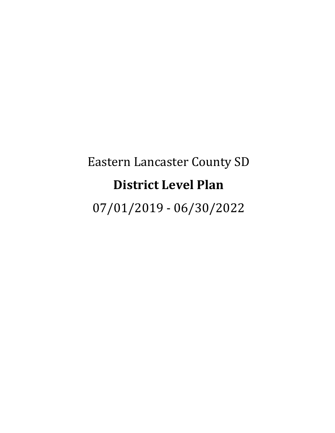# Eastern Lancaster County SD **District Level Plan**

07/01/2019 - 06/30/2022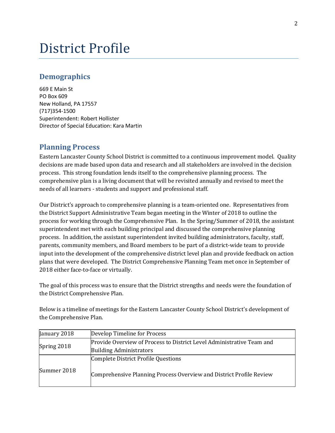## District Profile

## **Demographics**

669 E Main St PO Box 609 New Holland, PA 17557 (717)354-1500 Superintendent: Robert Hollister Director of Special Education: Kara Martin

## **Planning Process**

Eastern Lancaster County School District is committed to a continuous improvement model. Quality decisions are made based upon data and research and all stakeholders are involved in the decision process. This strong foundation lends itself to the comprehensive planning process. The comprehensive plan is a living document that will be revisited annually and revised to meet the needs of all learners - students and support and professional staff.

Our District's approach to comprehensive planning is a team-oriented one. Representatives from the District Support Administrative Team began meeting in the Winter of 2018 to outline the process for working through the Comprehensive Plan. In the Spring/Summer of 2018, the assistant superintendent met with each building principal and discussed the comprehensive planning process. In addition, the assistant superintendent invited building administrators, faculty, staff, parents, community members, and Board members to be part of a district-wide team to provide input into the development of the comprehensive district level plan and provide feedback on action plans that were developed. The District Comprehensive Planning Team met once in September of 2018 either face-to-face or virtually.

The goal of this process was to ensure that the District strengths and needs were the foundation of the District Comprehensive Plan.

Below is a timeline of meetings for the Eastern Lancaster County School District's development of the Comprehensive Plan.

| January 2018 | Develop Timeline for Process                                          |
|--------------|-----------------------------------------------------------------------|
| Spring 2018  | Provide Overview of Process to District Level Administrative Team and |
|              | <b>Building Administrators</b>                                        |
|              | Complete District Profile Questions                                   |
| Summer 2018  | Comprehensive Planning Process Overview and District Profile Review   |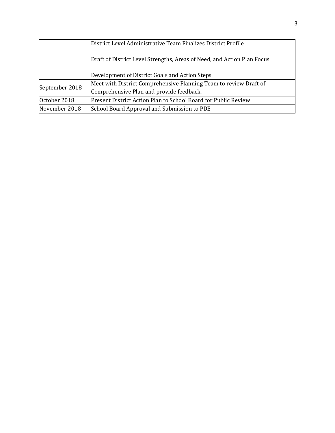|                | District Level Administrative Team Finalizes District Profile           |  |  |
|----------------|-------------------------------------------------------------------------|--|--|
|                | Draft of District Level Strengths, Areas of Need, and Action Plan Focus |  |  |
|                | Development of District Goals and Action Steps                          |  |  |
| September 2018 | Meet with District Comprehensive Planning Team to review Draft of       |  |  |
|                | Comprehensive Plan and provide feedback.                                |  |  |
| October 2018   | Present District Action Plan to School Board for Public Review          |  |  |
| November 2018  | School Board Approval and Submission to PDE                             |  |  |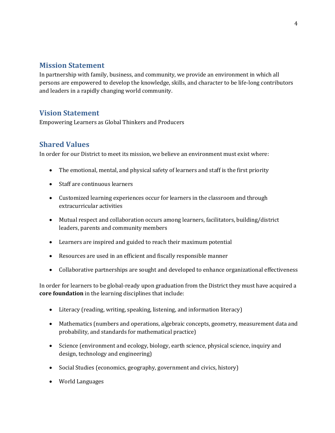## **Mission Statement**

In partnership with family, business, and community, we provide an environment in which all persons are empowered to develop the knowledge, skills, and character to be life-long contributors and leaders in a rapidly changing world community.

## **Vision Statement**

Empowering Learners as Global Thinkers and Producers

## **Shared Values**

In order for our District to meet its mission, we believe an environment must exist where:

- The emotional, mental, and physical safety of learners and staff is the first priority
- Staff are continuous learners
- Customized learning experiences occur for learners in the classroom and through extracurricular activities
- Mutual respect and collaboration occurs among learners, facilitators, building/district leaders, parents and community members
- Learners are inspired and guided to reach their maximum potential
- Resources are used in an efficient and fiscally responsible manner
- Collaborative partnerships are sought and developed to enhance organizational effectiveness

In order for learners to be global-ready upon graduation from the District they must have acquired a **core foundation** in the learning disciplines that include:

- Literacy (reading, writing, speaking, listening, and information literacy)
- Mathematics (numbers and operations, algebraic concepts, geometry, measurement data and probability, and standards for mathematical practice)
- Science (environment and ecology, biology, earth science, physical science, inquiry and design, technology and engineering)
- Social Studies (economics, geography, government and civics, history)
- World Languages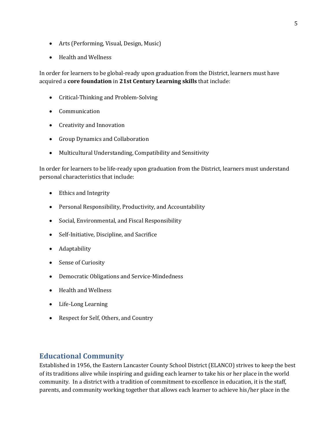- Arts (Performing, Visual, Design, Music)
- Health and Wellness

In order for learners to be global-ready upon graduation from the District, learners must have acquired a **core foundation** in **21st Century Learning skills** that include:

- Critical-Thinking and Problem-Solving
- Communication
- Creativity and Innovation
- Group Dynamics and Collaboration
- Multicultural Understanding, Compatibility and Sensitivity

In order for learners to be life-ready upon graduation from the District, learners must understand personal characteristics that include:

- Ethics and Integrity
- Personal Responsibility, Productivity, and Accountability
- Social, Environmental, and Fiscal Responsibility
- Self-Initiative, Discipline, and Sacrifice
- Adaptability
- Sense of Curiosity
- Democratic Obligations and Service-Mindedness
- Health and Wellness
- Life-Long Learning
- Respect for Self, Others, and Country

## **Educational Community**

Established in 1956, the Eastern Lancaster County School District (ELANCO) strives to keep the best of its traditions alive while inspiring and guiding each learner to take his or her place in the world community. In a district with a tradition of commitment to excellence in education, it is the staff, parents, and community working together that allows each learner to achieve his/her place in the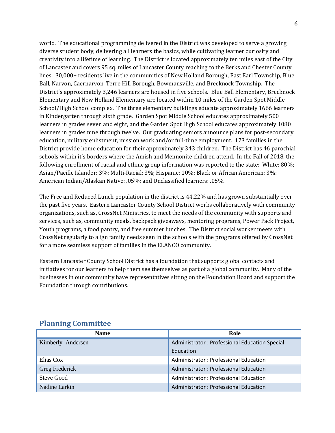world. The educational programming delivered in the District was developed to serve a growing diverse student body, delivering all learners the basics, while cultivating learner curiosity and creativity into a lifetime of learning. The District is located approximately ten miles east of the City of Lancaster and covers 95 sq. miles of Lancaster County reaching to the Berks and Chester County lines. 30,000+ residents live in the communities of New Holland Borough, East Earl Township, Blue Ball, Narvon, Caernarvon, Terre Hill Borough, Bowmansville, and Brecknock Township. The District's approximately 3,246 learners are housed in five schools. Blue Ball Elementary, Brecknock Elementary and New Holland Elementary are located within 10 miles of the Garden Spot Middle School/High School complex. The three elementary buildings educate approximately 1666 learners in Kindergarten through sixth grade. Garden Spot Middle School educates approximately 500 learners in grades seven and eight, and the Garden Spot High School educates approximately 1080 learners in grades nine through twelve. Our graduating seniors announce plans for post-secondary education, military enlistment, mission work and/or full-time employment. 173 families in the District provide home education for their approximately 343 children. The District has 46 parochial schools within it's borders where the Amish and Mennonite children attend. In the Fall of 2018, the following enrollment of racial and ethnic group information was reported to the state: White: 80%; Asian/Pacific Islander: 3%; Multi-Racial: 3%; Hispanic: 10%; Black or African American: 3%: American Indian/Alaskan Native: .05%; and Unclassified learners: .05%.

The Free and Reduced Lunch population in the district is 44.22% and has grown substantially over the past five years. Eastern Lancaster County School District works collaboratively with community organizations, such as, CrossNet Ministries, to meet the needs of the community with supports and services, such as, community meals, backpack giveaways, mentoring programs, Power Pack Project, Youth programs, a food pantry, and free summer lunches. The District social worker meets with CrossNet regularly to align family needs seen in the schools with the programs offered by CrossNet for a more seamless support of families in the ELANCO community.

Eastern Lancaster County School District has a foundation that supports global contacts and initiatives for our learners to help them see themselves as part of a global community. Many of the businesses in our community have representatives sitting on the Foundation Board and support the Foundation through contributions.

| <b>Name</b>       | Role                                          |  |
|-------------------|-----------------------------------------------|--|
| Kimberly Andersen | Administrator: Professional Education Special |  |
|                   | Education                                     |  |
| Elias Cox         | Administrator: Professional Education         |  |
| Greg Frederick    | Administrator: Professional Education         |  |
| <b>Steve Good</b> | Administrator: Professional Education         |  |
| Nadine Larkin     | Administrator: Professional Education         |  |

## **Planning Committee**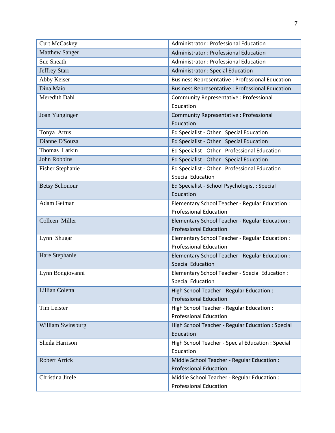| <b>Curt McCaskey</b>    | Administrator: Professional Education                                            |
|-------------------------|----------------------------------------------------------------------------------|
| <b>Matthew Sanger</b>   | <b>Administrator: Professional Education</b>                                     |
| <b>Sue Sneath</b>       | Administrator: Professional Education                                            |
| <b>Jeffrey Starr</b>    | <b>Administrator: Special Education</b>                                          |
| Abby Keiser             | <b>Business Representative : Professional Education</b>                          |
| Dina Maio               | <b>Business Representative : Professional Education</b>                          |
| Meredith Dahl           | <b>Community Representative: Professional</b><br>Education                       |
| Joan Yunginger          | Community Representative : Professional<br>Education                             |
| Tonya Artus             | Ed Specialist - Other: Special Education                                         |
| Dianne D'Souza          | Ed Specialist - Other : Special Education                                        |
| Thomas Larkin           | Ed Specialist - Other: Professional Education                                    |
| <b>John Robbins</b>     | Ed Specialist - Other : Special Education                                        |
| <b>Fisher Stephanie</b> | Ed Specialist - Other: Professional Education<br><b>Special Education</b>        |
| <b>Betsy Schonour</b>   | Ed Specialist - School Psychologist : Special<br>Education                       |
| Adam Geiman             | Elementary School Teacher - Regular Education :<br><b>Professional Education</b> |
| Colleen Miller          | Elementary School Teacher - Regular Education :<br><b>Professional Education</b> |
| Lynn Shugar             | Elementary School Teacher - Regular Education :<br><b>Professional Education</b> |
| Hare Stephanie          | Elementary School Teacher - Regular Education :<br><b>Special Education</b>      |
| Lynn Bongiovanni        | Elementary School Teacher - Special Education :<br><b>Special Education</b>      |
| Lillian Coletta         | High School Teacher - Regular Education :<br><b>Professional Education</b>       |
| Tim Leister             | High School Teacher - Regular Education :<br><b>Professional Education</b>       |
| William Swinsburg       | High School Teacher - Regular Education : Special<br>Education                   |
| Sheila Harrison         | High School Teacher - Special Education : Special<br>Education                   |
| <b>Robert Arrick</b>    | Middle School Teacher - Regular Education :<br><b>Professional Education</b>     |
| Christina Jirele        | Middle School Teacher - Regular Education :<br><b>Professional Education</b>     |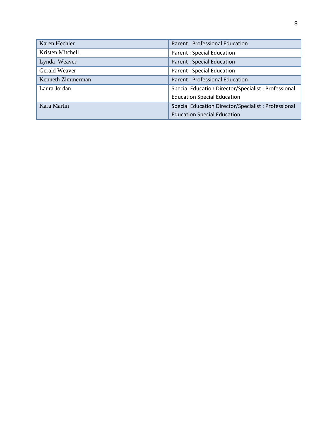| Karen Hechler     | Parent: Professional Education                      |
|-------------------|-----------------------------------------------------|
| Kristen Mitchell  | <b>Parent: Special Education</b>                    |
| Lynda Weaver      | <b>Parent: Special Education</b>                    |
| Gerald Weaver     | <b>Parent: Special Education</b>                    |
| Kenneth Zimmerman | <b>Parent: Professional Education</b>               |
| Laura Jordan      | Special Education Director/Specialist: Professional |
|                   | <b>Education Special Education</b>                  |
| Kara Martin       | Special Education Director/Specialist: Professional |
|                   | <b>Education Special Education</b>                  |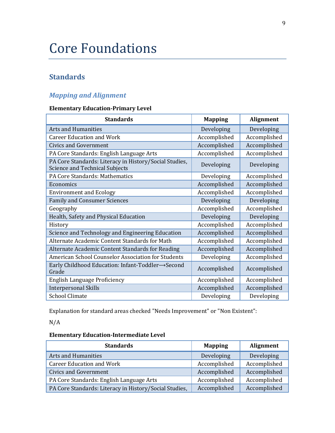## Core Foundations

## **Standards**

## *Mapping and Alignment*

#### **Elementary Education-Primary Level**

| <b>Standards</b>                                                                         | <b>Mapping</b> | <b>Alignment</b> |
|------------------------------------------------------------------------------------------|----------------|------------------|
| <b>Arts and Humanities</b>                                                               | Developing     | Developing       |
| <b>Career Education and Work</b>                                                         | Accomplished   | Accomplished     |
| <b>Civics and Government</b>                                                             | Accomplished   | Accomplished     |
| PA Core Standards: English Language Arts                                                 | Accomplished   | Accomplished     |
| PA Core Standards: Literacy in History/Social Studies,<br>Science and Technical Subjects | Developing     | Developing       |
| PA Core Standards: Mathematics                                                           | Developing     | Accomplished     |
| Economics                                                                                | Accomplished   | Accomplished     |
| <b>Environment and Ecology</b>                                                           | Accomplished   | Accomplished     |
| <b>Family and Consumer Sciences</b>                                                      | Developing     | Developing       |
| Geography                                                                                | Accomplished   | Accomplished     |
| Health, Safety and Physical Education                                                    | Developing     | Developing       |
| History                                                                                  | Accomplished   | Accomplished     |
| Science and Technology and Engineering Education                                         | Accomplished   | Accomplished     |
| Alternate Academic Content Standards for Math                                            | Accomplished   | Accomplished     |
| Alternate Academic Content Standards for Reading                                         | Accomplished   | Accomplished     |
| American School Counselor Association for Students                                       | Developing     | Accomplished     |
| Early Childhood Education: Infant-Toddler→Second<br>Grade                                | Accomplished   | Accomplished     |
| English Language Proficiency                                                             | Accomplished   | Accomplished     |
| <b>Interpersonal Skills</b>                                                              | Accomplished   | Accomplished     |
| <b>School Climate</b>                                                                    | Developing     | Developing       |

Explanation for standard areas checked "Needs Improvement" or "Non Existent":

N/A

## **Elementary Education-Intermediate Level**

| <b>Standards</b>                                       | <b>Mapping</b> | Alignment    |
|--------------------------------------------------------|----------------|--------------|
| <b>Arts and Humanities</b>                             | Developing     | Developing   |
| <b>Career Education and Work</b>                       | Accomplished   | Accomplished |
| Civics and Government                                  | Accomplished   | Accomplished |
| PA Core Standards: English Language Arts               | Accomplished   | Accomplished |
| PA Core Standards: Literacy in History/Social Studies, | Accomplished   | Accomplished |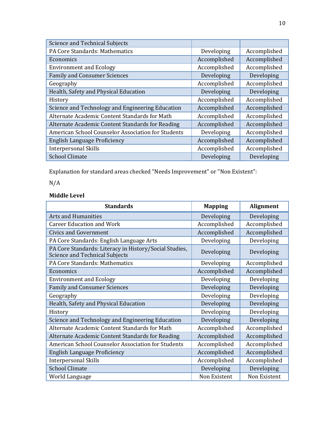| <b>Science and Technical Subjects</b>              |              |              |
|----------------------------------------------------|--------------|--------------|
| PA Core Standards: Mathematics                     | Developing   | Accomplished |
| Economics                                          | Accomplished | Accomplished |
| <b>Environment and Ecology</b>                     | Accomplished | Accomplished |
| <b>Family and Consumer Sciences</b>                | Developing   | Developing   |
| Geography                                          | Accomplished | Accomplished |
| Health, Safety and Physical Education              | Developing   | Developing   |
| History                                            | Accomplished | Accomplished |
| Science and Technology and Engineering Education   | Accomplished | Accomplished |
| Alternate Academic Content Standards for Math      | Accomplished | Accomplished |
| Alternate Academic Content Standards for Reading   | Accomplished | Accomplished |
| American School Counselor Association for Students | Developing   | Accomplished |
| English Language Proficiency                       | Accomplished | Accomplished |
| <b>Interpersonal Skills</b>                        | Accomplished | Accomplished |
| <b>School Climate</b>                              | Developing   | Developing   |

Explanation for standard areas checked "Needs Improvement" or "Non Existent":

## N/A

## **Middle Level**

| <b>Standards</b>                                                                         | <b>Mapping</b> | <b>Alignment</b> |
|------------------------------------------------------------------------------------------|----------------|------------------|
| <b>Arts and Humanities</b>                                                               | Developing     | Developing       |
| <b>Career Education and Work</b>                                                         | Accomplished   | Accomplished     |
| <b>Civics and Government</b>                                                             | Accomplished   | Accomplished     |
| PA Core Standards: English Language Arts                                                 | Developing     | Developing       |
| PA Core Standards: Literacy in History/Social Studies,<br>Science and Technical Subjects | Developing     | Developing       |
| PA Core Standards: Mathematics                                                           | Developing     | Accomplished     |
| Economics                                                                                | Accomplished   | Accomplished     |
| <b>Environment and Ecology</b>                                                           | Developing     | Developing       |
| <b>Family and Consumer Sciences</b>                                                      | Developing     | Developing       |
| Geography                                                                                | Developing     | Developing       |
| Health, Safety and Physical Education                                                    | Developing     | Developing       |
| History                                                                                  | Developing     | Developing       |
| Science and Technology and Engineering Education                                         | Developing     | Developing       |
| Alternate Academic Content Standards for Math                                            | Accomplished   | Accomplished     |
| Alternate Academic Content Standards for Reading                                         | Accomplished   | Accomplished     |
| American School Counselor Association for Students                                       | Accomplished   | Accomplished     |
| <b>English Language Proficiency</b>                                                      | Accomplished   | Accomplished     |
| <b>Interpersonal Skills</b>                                                              | Accomplished   | Accomplished     |
| <b>School Climate</b>                                                                    | Developing     | Developing       |
| World Language                                                                           | Non Existent   | Non Existent     |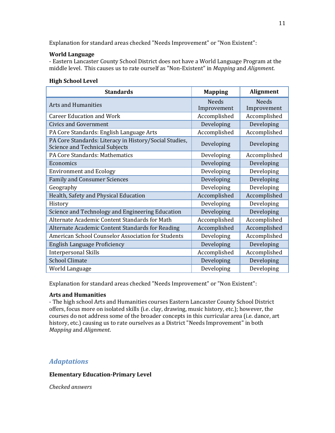Explanation for standard areas checked "Needs Improvement" or "Non Existent":

#### **World Language**

- Eastern Lancaster County School District does not have a World Language Program at the middle level. This causes us to rate ourself as "Non-Existent" in *Mapping* and *Alignment*.

#### **High School Level**

| <b>Standards</b>                                                                                | <b>Mapping</b>              | Alignment                   |
|-------------------------------------------------------------------------------------------------|-----------------------------|-----------------------------|
| <b>Arts and Humanities</b>                                                                      | <b>Needs</b><br>Improvement | <b>Needs</b><br>Improvement |
| <b>Career Education and Work</b>                                                                | Accomplished                | Accomplished                |
| <b>Civics and Government</b>                                                                    | Developing                  | Developing                  |
| PA Core Standards: English Language Arts                                                        | Accomplished                | Accomplished                |
| PA Core Standards: Literacy in History/Social Studies,<br><b>Science and Technical Subjects</b> | Developing                  | Developing                  |
| PA Core Standards: Mathematics                                                                  | Developing                  | Accomplished                |
| Economics                                                                                       | Developing                  | Developing                  |
| <b>Environment and Ecology</b>                                                                  | Developing                  | Developing                  |
| <b>Family and Consumer Sciences</b>                                                             | Developing                  | Developing                  |
| Geography                                                                                       | Developing                  | Developing                  |
| Health, Safety and Physical Education                                                           | Accomplished                | Accomplished                |
| History                                                                                         | Developing                  | Developing                  |
| Science and Technology and Engineering Education                                                | Developing                  | Developing                  |
| Alternate Academic Content Standards for Math                                                   | Accomplished                | Accomplished                |
| Alternate Academic Content Standards for Reading                                                | Accomplished                | Accomplished                |
| American School Counselor Association for Students                                              | Developing                  | Accomplished                |
| English Language Proficiency                                                                    | Developing                  | Developing                  |
| <b>Interpersonal Skills</b>                                                                     | Accomplished                | Accomplished                |
| <b>School Climate</b>                                                                           | Developing                  | Developing                  |
| World Language                                                                                  | Developing                  | Developing                  |

Explanation for standard areas checked "Needs Improvement" or "Non Existent":

#### **Arts and Humanities**

- The high school Arts and Humanities courses Eastern Lancaster County School District offers, focus more on isolated skills (i.e. clay, drawing, music history, etc.); however, the courses do not address some of the broader concepts in this curricular area (i.e. dance, art history, etc.) causing us to rate ourselves as a District "Needs Improvement" in both *Mapping* and *Alignment*.

## *Adaptations*

#### **Elementary Education-Primary Level**

*Checked answers*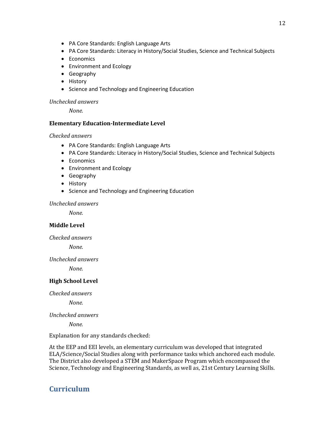- PA Core Standards: English Language Arts
- PA Core Standards: Literacy in History/Social Studies, Science and Technical Subjects
- Economics
- Environment and Ecology
- Geography
- History
- Science and Technology and Engineering Education

#### *Unchecked answers*

*None.*

#### **Elementary Education-Intermediate Level**

#### *Checked answers*

- PA Core Standards: English Language Arts
- PA Core Standards: Literacy in History/Social Studies, Science and Technical Subjects
- Economics
- Environment and Ecology
- Geography
- History
- Science and Technology and Engineering Education

#### *Unchecked answers*

*None.*

#### **Middle Level**

*Checked answers*

*None.*

*Unchecked answers*

*None.*

#### **High School Level**

*Checked answers*

*None.*

#### *Unchecked answers*

*None.*

Explanation for any standards checked:

At the EEP and EEI levels, an elementary curriculum was developed that integrated ELA/Science/Social Studies along with performance tasks which anchored each module. The District also developed a STEM and MakerSpace Program which encompassed the Science, Technology and Engineering Standards, as well as, 21st Century Learning Skills.

## **Curriculum**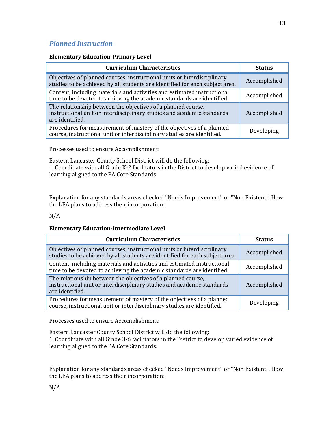## *Planned Instruction*

#### **Elementary Education-Primary Level**

| <b>Curriculum Characteristics</b>                                                                                                                         | <b>Status</b> |
|-----------------------------------------------------------------------------------------------------------------------------------------------------------|---------------|
| Objectives of planned courses, instructional units or interdisciplinary<br>studies to be achieved by all students are identified for each subject area.   | Accomplished  |
| Content, including materials and activities and estimated instructional<br>time to be devoted to achieving the academic standards are identified.         | Accomplished  |
| The relationship between the objectives of a planned course,<br>instructional unit or interdisciplinary studies and academic standards<br>are identified. | Accomplished  |
| Procedures for measurement of mastery of the objectives of a planned<br>course, instructional unit or interdisciplinary studies are identified.           | Developing    |

Processes used to ensure Accomplishment:

Eastern Lancaster County School District will do the following:

1. Coordinate with all Grade K-2 facilitators in the District to develop varied evidence of learning aligned to the PA Core Standards.

Explanation for any standards areas checked "Needs Improvement" or "Non Existent". How the LEA plans to address their incorporation:

#### N/A

#### **Elementary Education-Intermediate Level**

| <b>Curriculum Characteristics</b>                                                                                                                         | <b>Status</b> |
|-----------------------------------------------------------------------------------------------------------------------------------------------------------|---------------|
| Objectives of planned courses, instructional units or interdisciplinary<br>studies to be achieved by all students are identified for each subject area.   | Accomplished  |
| Content, including materials and activities and estimated instructional<br>time to be devoted to achieving the academic standards are identified.         | Accomplished  |
| The relationship between the objectives of a planned course,<br>instructional unit or interdisciplinary studies and academic standards<br>are identified. | Accomplished  |
| Procedures for measurement of mastery of the objectives of a planned<br>course, instructional unit or interdisciplinary studies are identified.           | Developing    |

Processes used to ensure Accomplishment:

Eastern Lancaster County School District will do the following: 1. Coordinate with all Grade 3-6 facilitators in the District to develop varied evidence of learning aligned to the PA Core Standards.

Explanation for any standards areas checked "Needs Improvement" or "Non Existent". How the LEA plans to address their incorporation: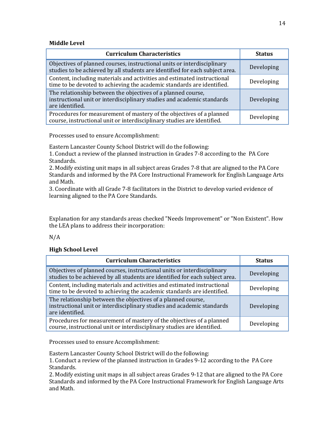#### **Middle Level**

| <b>Curriculum Characteristics</b>                                                                                                                         | <b>Status</b> |
|-----------------------------------------------------------------------------------------------------------------------------------------------------------|---------------|
| Objectives of planned courses, instructional units or interdisciplinary<br>studies to be achieved by all students are identified for each subject area.   | Developing    |
| Content, including materials and activities and estimated instructional<br>time to be devoted to achieving the academic standards are identified.         | Developing    |
| The relationship between the objectives of a planned course,<br>instructional unit or interdisciplinary studies and academic standards<br>are identified. | Developing    |
| Procedures for measurement of mastery of the objectives of a planned<br>course, instructional unit or interdisciplinary studies are identified.           | Developing    |

Processes used to ensure Accomplishment:

Eastern Lancaster County School District will do the following:

1. Conduct a review of the planned instruction in Grades 7-8 according to the PA Core Standards.

2. Modify existing unit maps in all subject areas Grades 7-8 that are aligned to the PA Core Standards and informed by the PA Core Instructional Framework for English Language Arts and Math.

3. Coordinate with all Grade 7-8 facilitators in the District to develop varied evidence of learning aligned to the PA Core Standards.

Explanation for any standards areas checked "Needs Improvement" or "Non Existent". How the LEA plans to address their incorporation:

#### N/A

#### **High School Level**

| <b>Curriculum Characteristics</b>                                                                                                                         | <b>Status</b> |
|-----------------------------------------------------------------------------------------------------------------------------------------------------------|---------------|
| Objectives of planned courses, instructional units or interdisciplinary<br>studies to be achieved by all students are identified for each subject area.   | Developing    |
| Content, including materials and activities and estimated instructional<br>time to be devoted to achieving the academic standards are identified.         | Developing    |
| The relationship between the objectives of a planned course,<br>instructional unit or interdisciplinary studies and academic standards<br>are identified. | Developing    |
| Procedures for measurement of mastery of the objectives of a planned<br>course, instructional unit or interdisciplinary studies are identified.           | Developing    |

Processes used to ensure Accomplishment:

Eastern Lancaster County School District will do the following:

1. Conduct a review of the planned instruction in Grades 9-12 according to the PA Core Standards.

2. Modify existing unit maps in all subject areas Grades 9-12 that are aligned to the PA Core Standards and informed by the PA Core Instructional Framework for English Language Arts and Math.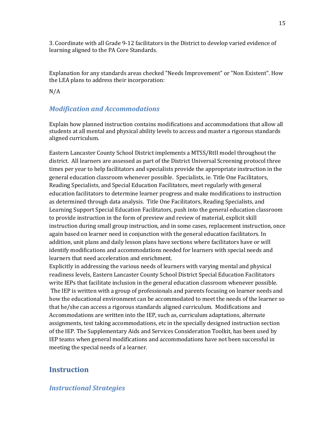3. Coordinate with all Grade 9-12 facilitators in the District to develop varied evidence of learning aligned to the PA Core Standards.

Explanation for any standards areas checked "Needs Improvement" or "Non Existent". How the LEA plans to address their incorporation:

N/A

#### *Modification and Accommodations*

Explain how planned instruction contains modifications and accommodations that allow all students at all mental and physical ability levels to access and master a rigorous standards aligned curriculum.

Eastern Lancaster County School District implements a MTSS/RtII model throughout the district. All learners are assessed as part of the District Universal Screening protocol three times per year to help facilitators and specialists provide the appropriate instruction in the general education classroom whenever possible. Specialists, ie. Title One Facilitators, Reading Specialists, and Special Education Facilitators, meet regularly with general education facilitators to determine learner progress and make modifications to instruction as determined through data analysis. Title One Facilitators, Reading Specialists, and Learning Support Special Education Facilitators, push into the general education classroom to provide instruction in the form of preview and review of material, explicit skill instruction during small group instruction, and in some cases, replacement instruction, once again based on learner need in conjunction with the general education facilitators. In addition, unit plans and daily lesson plans have sections where facilitators have or will identify modifications and accommodations needed for learners with special needs and learners that need acceleration and enrichment.

Explicitly in addressing the various needs of learners with varying mental and physical readiness levels, Eastern Lancaster County School District Special Education Facilitators write IEPs that facilitate inclusion in the general education classroom whenever possible. The IEP is written with a group of professionals and parents focusing on learner needs and how the educational environment can be accommodated to meet the needs of the learner so that he/she can access a rigorous standards aligned curriculum. Modifications and Accommodations are written into the IEP, such as, curriculum adaptations, alternate assignments, test taking accommodations, etc in the specially designed instruction section of the IEP. The Supplementary Aids and Services Consideration Toolkit, has been used by IEP teams when general modifications and accommodations have not been successful in meeting the special needs of a learner.

## **Instruction**

#### *Instructional Strategies*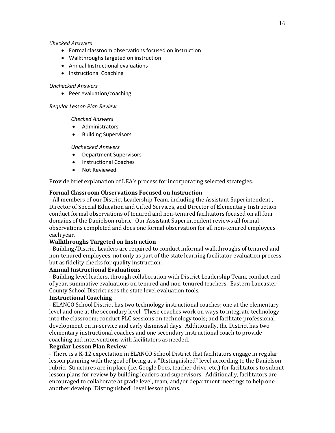#### *Checked Answers*

- Formal classroom observations focused on instruction
- Walkthroughs targeted on instruction
- Annual Instructional evaluations
- Instructional Coaching

#### *Unchecked Answers*

• Peer evaluation/coaching

#### *Regular Lesson Plan Review*

*Checked Answers*

- Administrators
- Building Supervisors

#### *Unchecked Answers*

- Department Supervisors
- Instructional Coaches
- Not Reviewed

Provide brief explanation of LEA's process for incorporating selected strategies.

#### **Formal Classroom Observations Focused on Instruction**

- All members of our District Leadership Team, including the Assistant Superintendent , Director of Special Education and Gifted Services, and Director of Elementary Instruction conduct formal observations of tenured and non-tenured facilitators focused on all four domains of the Danielson rubric. Our Assistant Superintendent reviews all formal observations completed and does one formal observation for all non-tenured employees each year.

#### **Walkthroughs Targeted on Instruction**

- Building/District Leaders are required to conduct informal walkthroughs of tenured and non-tenured employees, not only as part of the state learning facilitator evaluation process but as fidelity checks for quality instruction.

#### **Annual Instructional Evaluations**

- Building level leaders, through collaboration with District Leadership Team, conduct end of year, summative evaluations on tenured and non-tenured teachers. Eastern Lancaster County School District uses the state level evaluation tools.

#### **Instructional Coaching**

- ELANCO School District has two technology instructional coaches; one at the elementary level and one at the secondary level. These coaches work on ways to integrate technology into the classroom; conduct PLC sessions on technology tools; and facilitate professional development on in-service and early dismissal days. Additionally, the District has two elementary instructional coaches and one secondary instructional coach to provide coaching and interventions with facilitators as needed.

#### **Regular Lesson Plan Review**

- There is a K-12 expectation in ELANCO School District that facilitators engage in regular lesson planning with the goal of being at a "Distinguished" level according to the Danielson rubric. Structures are in place (i.e. Google Docs, teacher drive, etc.) for facilitators to submit lesson plans for review by building leaders and supervisors. Additionally, facilitators are encouraged to collaborate at grade level, team, and/or department meetings to help one another develop "Distinguished" level lesson plans.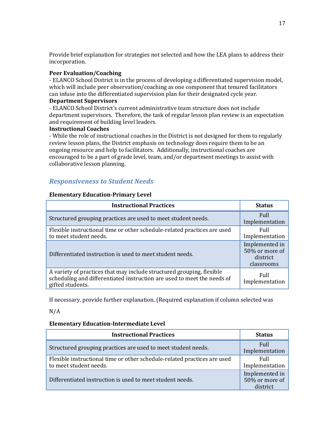Provide brief explanation for strategies not selected and how the LEA plans to address their incorporation.

#### **Peer Evaluation/Coaching**

- ELANCO School District is in the process of developing a differentiated supervision model, which will include peer observation/coaching as one component that tenured facilitators can infuse into the differentiated supervision plan for their designated cycle year.

#### **Department Supervisors**

- ELANCO School District's current administrative team structure does not include department supervisors. Therefore, the task of regular lesson plan review is an expectation and requirement of building level leaders.

#### **Instructional Coaches**

- While the role of instructional coaches in the District is not designed for them to regularly review lesson plans, the District emphasis on technology does require them to be an ongoing resource and help to facilitators. Additionally, instructional coaches are encouraged to be a part of grade level, team, and/or department meetings to assist with collaborative lesson planning.

#### *Responsiveness to Student Needs*

#### **Elementary Education-Primary Level**

| <b>Instructional Practices</b>                                                                                                                                       | <b>Status</b>                                              |
|----------------------------------------------------------------------------------------------------------------------------------------------------------------------|------------------------------------------------------------|
| Structured grouping practices are used to meet student needs.                                                                                                        | Full<br>Implementation                                     |
| Flexible instructional time or other schedule-related practices are used<br>to meet student needs.                                                                   | Full<br>Implementation                                     |
| Differentiated instruction is used to meet student needs.                                                                                                            | Implemented in<br>50% or more of<br>district<br>classrooms |
| A variety of practices that may include structured grouping, flexible<br>scheduling and differentiated instruction are used to meet the needs of<br>gifted students. | Full<br>Implementation                                     |

If necessary, provide further explanation. (Required explanation if column selected was

N/A

#### **Elementary Education-Intermediate Level**

| <b>Instructional Practices</b>                                                                     | <b>Status</b>                                |
|----------------------------------------------------------------------------------------------------|----------------------------------------------|
| Structured grouping practices are used to meet student needs.                                      | Full<br>Implementation                       |
| Flexible instructional time or other schedule-related practices are used<br>to meet student needs. | Full<br>Implementation                       |
| Differentiated instruction is used to meet student needs.                                          | Implemented in<br>50% or more of<br>district |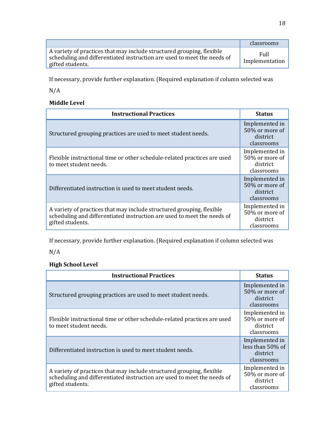|                                                                                                                                                                      | classrooms             |
|----------------------------------------------------------------------------------------------------------------------------------------------------------------------|------------------------|
| A variety of practices that may include structured grouping, flexible<br>scheduling and differentiated instruction are used to meet the needs of<br>gifted students. | Full<br>Implementation |

If necessary, provide further explanation. (Required explanation if column selected was

N/A

#### **Middle Level**

| <b>Instructional Practices</b>                                                                                                                                       | <b>Status</b>                                              |
|----------------------------------------------------------------------------------------------------------------------------------------------------------------------|------------------------------------------------------------|
| Structured grouping practices are used to meet student needs.                                                                                                        | Implemented in<br>50% or more of<br>district<br>classrooms |
| Flexible instructional time or other schedule-related practices are used<br>to meet student needs.                                                                   | Implemented in<br>50% or more of<br>district<br>classrooms |
| Differentiated instruction is used to meet student needs.                                                                                                            | Implemented in<br>50% or more of<br>district<br>classrooms |
| A variety of practices that may include structured grouping, flexible<br>scheduling and differentiated instruction are used to meet the needs of<br>gifted students. | Implemented in<br>50% or more of<br>district<br>classrooms |

If necessary, provide further explanation. (Required explanation if column selected was

N/A

## **High School Level**

| <b>Instructional Practices</b>                                                                                                                                       | <b>Status</b>                                                |
|----------------------------------------------------------------------------------------------------------------------------------------------------------------------|--------------------------------------------------------------|
| Structured grouping practices are used to meet student needs.                                                                                                        | Implemented in<br>50% or more of<br>district<br>classrooms   |
| Flexible instructional time or other schedule-related practices are used<br>to meet student needs.                                                                   | Implemented in<br>50% or more of<br>district<br>classrooms   |
| Differentiated instruction is used to meet student needs.                                                                                                            | Implemented in<br>less than 50% of<br>district<br>classrooms |
| A variety of practices that may include structured grouping, flexible<br>scheduling and differentiated instruction are used to meet the needs of<br>gifted students. | Implemented in<br>50% or more of<br>district<br>classrooms   |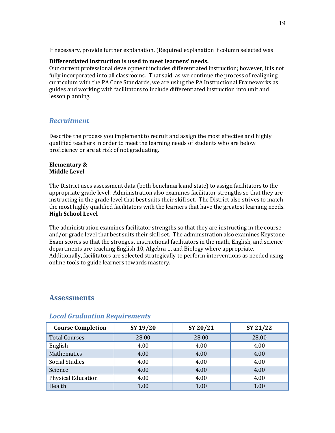If necessary, provide further explanation. (Required explanation if column selected was

#### **Differentiated instruction is used to meet learners' needs.**

Our current professional development includes differentiated instruction; however, it is not fully incorporated into all classrooms. That said, as we continue the process of realigning curriculum with the PA Core Standards, we are using the PA Instructional Frameworks as guides and working with facilitators to include differentiated instruction into unit and lesson planning.

#### *Recruitment*

Describe the process you implement to recruit and assign the most effective and highly qualified teachers in order to meet the learning needs of students who are below proficiency or are at risk of not graduating.

#### **Elementary & Middle Level**

The District uses assessment data (both benchmark and state) to assign facilitators to the appropriate grade level. Administration also examines facilitator strengths so that they are instructing in the grade level that best suits their skill set. The District also strives to match the most highly qualified facilitators with the learners that have the greatest learning needs. **High School Level**

The administration examines facilitator strengths so that they are instructing in the course and/or grade level that best suits their skill set. The administration also examines Keystone Exam scores so that the strongest instructional facilitators in the math, English, and science departments are teaching English 10, Algebra 1, and Biology where appropriate. Additionally, facilitators are selected strategically to perform interventions as needed using online tools to guide learners towards mastery.

## **Assessments**

| <b>Course Completion</b>  | SY 19/20 | SY 20/21 | SY 21/22 |
|---------------------------|----------|----------|----------|
| <b>Total Courses</b>      | 28.00    | 28.00    | 28.00    |
| English                   | 4.00     | 4.00     | 4.00     |
| Mathematics               | 4.00     | 4.00     | 4.00     |
| <b>Social Studies</b>     | 4.00     | 4.00     | 4.00     |
| Science                   | 4.00     | 4.00     | 4.00     |
| <b>Physical Education</b> | 4.00     | 4.00     | 4.00     |
| Health                    | 1.00     | 1.00     | 1.00     |

#### *Local Graduation Requirements*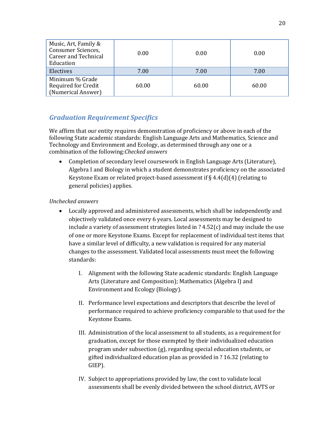| Music, Art, Family &<br>Consumer Sciences,<br><b>Career and Technical</b><br>Education | 0.00  | 0.00  | 0.00  |
|----------------------------------------------------------------------------------------|-------|-------|-------|
| Electives                                                                              | 7.00  | 7.00  | 7.00  |
| Minimum % Grade<br>Required for Credit<br>(Numerical Answer)                           | 60.00 | 60.00 | 60.00 |

## *Graduation Requirement Specifics*

We affirm that our entity requires demonstration of proficiency or above in each of the following State academic standards: English Language Arts and Mathematics, Science and Technology and Environment and Ecology, as determined through any one or a combination of the following:*Checked answers*

• Completion of secondary level coursework in English Language Arts (Literature), Algebra I and Biology in which a student demonstrates proficiency on the associated Keystone Exam or related project-based assessment if § 4.4(d)(4) (relating to general policies) applies.

#### *Unchecked answers*

- Locally approved and administered assessments, which shall be independently and objectively validated once every 6 years. Local assessments may be designed to include a variety of assessment strategies listed in  $?$  4.52 $(c)$  and may include the use of one or more Keystone Exams. Except for replacement of individual test items that have a similar level of difficulty, a new validation is required for any material changes to the assessment. Validated local assessments must meet the following standards:
	- I. Alignment with the following State academic standards: English Language Arts (Literature and Composition); Mathematics (Algebra I) and Environment and Ecology (Biology).
	- II. Performance level expectations and descriptors that describe the level of performance required to achieve proficiency comparable to that used for the Keystone Exams.
	- III. Administration of the local assessment to all students, as a requirement for graduation, except for those exempted by their individualized education program under subsection (g), regarding special education students, or gifted individualized education plan as provided in ? 16.32 (relating to GIEP).
	- IV. Subject to appropriations provided by law, the cost to validate local assessments shall be evenly divided between the school district, AVTS or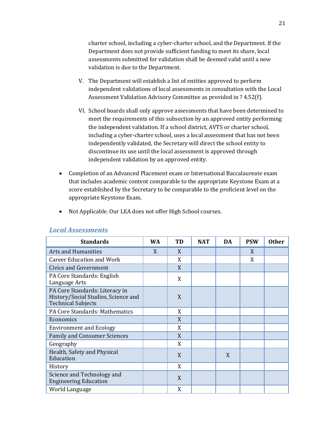charter school, including a cyber-charter school, and the Department. If the Department does not provide sufficient funding to meet its share, local assessments submitted for validation shall be deemed valid until a new validation is due to the Department.

- V. The Department will establish a list of entities approved to perform independent validations of local assessments in consultation with the Local Assessment Validation Advisory Committee as provided in ? 4.52(f).
- VI. School boards shall only approve assessments that have been determined to meet the requirements of this subsection by an approved entity performing the independent validation. If a school district, AVTS or charter school, including a cyber-charter school, uses a local assessment that has not been independently validated, the Secretary will direct the school entity to discontinue its use until the local assessment is approved through independent validation by an approved entity.
- Completion of an Advanced Placement exam or International Baccalaureate exam that includes academic content comparable to the appropriate Keystone Exam at a score established by the Secretary to be comparable to the proficient level on the appropriate Keystone Exam.

• Not Applicable. Our LEA does not offer High School courses.

| <b>Standards</b>                                                                                   | <b>WA</b> | TD | <b>NAT</b> | DA | <b>PSW</b> | <b>Other</b> |
|----------------------------------------------------------------------------------------------------|-----------|----|------------|----|------------|--------------|
| <b>Arts and Humanities</b>                                                                         | X         | X  |            |    | X          |              |
| <b>Career Education and Work</b>                                                                   |           | X  |            |    | X          |              |
| <b>Civics and Government</b>                                                                       |           | X  |            |    |            |              |
| PA Core Standards: English<br>Language Arts                                                        |           | X  |            |    |            |              |
| PA Core Standards: Literacy in<br>History/Social Studies, Science and<br><b>Technical Subjects</b> |           | X  |            |    |            |              |
| PA Core Standards: Mathematics                                                                     |           | X  |            |    |            |              |
| Economics                                                                                          |           | X  |            |    |            |              |
| <b>Environment and Ecology</b>                                                                     |           | X  |            |    |            |              |
| <b>Family and Consumer Sciences</b>                                                                |           | X  |            |    |            |              |
| Geography                                                                                          |           | X  |            |    |            |              |
| Health, Safety and Physical<br>Education                                                           |           | X  |            | X  |            |              |
| History                                                                                            |           | X  |            |    |            |              |
| Science and Technology and<br><b>Engineering Education</b>                                         |           | X  |            |    |            |              |
| World Language                                                                                     |           | X  |            |    |            |              |

#### *Local Assessments*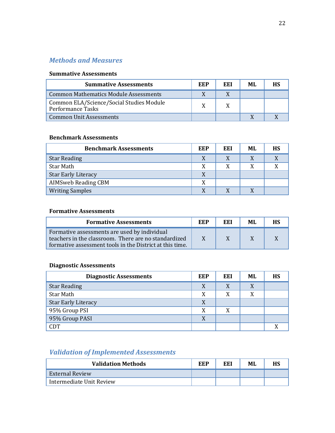## *Methods and Measures*

#### **Summative Assessments**

| <b>Summative Assessments</b>                                  | EEP | EEI | MI. | НS |
|---------------------------------------------------------------|-----|-----|-----|----|
| Common Mathematics Module Assessments                         |     |     |     |    |
| Common ELA/Science/Social Studies Module<br>Performance Tasks |     |     |     |    |
| <b>Common Unit Assessments</b>                                |     |     |     |    |

#### **Benchmark Assessments**

| <b>Benchmark Assessments</b> | EEP | EEI | ML | <b>HS</b> |
|------------------------------|-----|-----|----|-----------|
| <b>Star Reading</b>          |     | X   |    |           |
| Star Math                    | X   | X   | X  |           |
| <b>Star Early Literacy</b>   | X   |     |    |           |
| <b>AIMSweb Reading CBM</b>   | X   |     |    |           |
| <b>Writing Samples</b>       | X   |     |    |           |

#### **Formative Assessments**

| <b>Formative Assessments</b>                                                                                                                                     | EEP | EEI | MI. | <b>HS</b> |
|------------------------------------------------------------------------------------------------------------------------------------------------------------------|-----|-----|-----|-----------|
| Formative assessments are used by individual<br>teachers in the classroom. There are no standardized<br>formative assessment tools in the District at this time. |     |     |     |           |

## **Diagnostic Assessments**

| <b>Diagnostic Assessments</b> | EEP | EEI | ML | HS |
|-------------------------------|-----|-----|----|----|
| <b>Star Reading</b>           | X   |     | X  |    |
| Star Math                     | X   |     | X  |    |
| <b>Star Early Literacy</b>    | X   |     |    |    |
| 95% Group PSI                 | X   | X   |    |    |
| 95% Group PASI                | X   |     |    |    |
| <b>CDT</b>                    |     |     |    |    |

## *Validation of Implemented Assessments*

| <b>Validation Methods</b> | EEP | EEI | ML | HS. |
|---------------------------|-----|-----|----|-----|
| <b>External Review</b>    |     |     |    |     |
| Intermediate Unit Review  |     |     |    |     |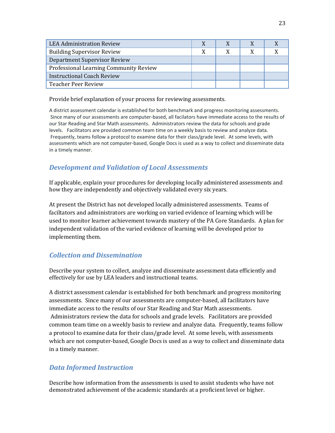| <b>LEA Administration Review</b>       |  |  |
|----------------------------------------|--|--|
| <b>Building Supervisor Review</b>      |  |  |
| Department Supervisor Review           |  |  |
| Professional Learning Community Review |  |  |
| <b>Instructional Coach Review</b>      |  |  |
| <b>Teacher Peer Review</b>             |  |  |

Provide brief explanation of your process for reviewing assessments.

A district assessment calendar is established for both benchmark and progress monitoring assessments. Since many of our assessments are computer-based, all facilators have immediate access to the results of our Star Reading and Star Math assessments. Administrators review the data for schools and grade levels. Facilitators are provided common team time on a weekly basis to review and analyze data. Frequently, teams follow a protocol to examine data for their class/grade level. At some levels, with assessments which are not computer-based, Google Docs is used as a way to collect and disseminate data in a timely manner.

## *Development and Validation of Local Assessments*

If applicable, explain your procedures for developing locally administered assessments and how they are independently and objectively validated every six years.

At present the District has not developed locally administered assessments. Teams of faciltators and administrators are working on varied evidence of learning which will be used to monitor learner achievement towards mastery of the PA Core Standards. A plan for independent validation of the varied evidence of learning will be developed prior to implementing them.

## *Collection and Dissemination*

Describe your system to collect, analyze and disseminate assessment data efficiently and effectively for use by LEA leaders and instructional teams.

A district assessment calendar is established for both benchmark and progress monitoring assessments. Since many of our assessments are computer-based, all facilitators have immediate access to the results of our Star Reading and Star Math assessments. Administrators review the data for schools and grade levels. Facilitators are provided common team time on a weekly basis to review and analyze data. Frequently, teams follow a protocol to examine data for their class/grade level. At some levels, with assessments which are not computer-based, Google Docs is used as a way to collect and disseminate data in a timely manner.

#### *Data Informed Instruction*

Describe how information from the assessments is used to assist students who have not demonstrated achievement of the academic standards at a proficient level or higher.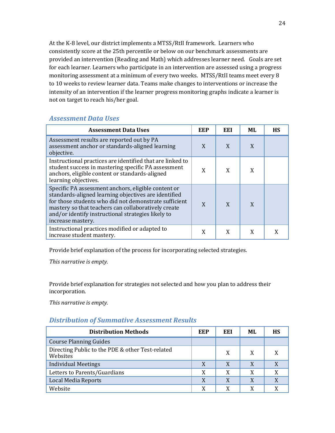At the K-8 level, our district implements a MTSS/RtII framework. Learners who consistently score at the 25th percentile or below on our benchmark assessments are provided an intervention (Reading and Math) which addresses learner need. Goals are set for each learner. Learners who participate in an intervention are assessed using a progress monitoring assessment at a minimum of every two weeks. MTSS/RtII teams meet every 8 to 10 weeks to review learner data. Teams make changes to interventions or increase the intensity of an intervention if the learner progress monitoring graphs indicate a learner is not on target to reach his/her goal.

## *Assessment Data Uses*

| <b>Assessment Data Uses</b>                                                                                                                                                                                                                                                                            | <b>EEP</b> | EEI | ML | <b>HS</b> |
|--------------------------------------------------------------------------------------------------------------------------------------------------------------------------------------------------------------------------------------------------------------------------------------------------------|------------|-----|----|-----------|
| Assessment results are reported out by PA<br>assessment anchor or standards-aligned learning<br>objective.                                                                                                                                                                                             | X          | X   | X  |           |
| Instructional practices are identified that are linked to<br>student success in mastering specific PA assessment<br>anchors, eligible content or standards-aligned<br>learning objectives.                                                                                                             | X          | X   | X  |           |
| Specific PA assessment anchors, eligible content or<br>standards-aligned learning objectives are identified<br>for those students who did not demonstrate sufficient<br>mastery so that teachers can collaboratively create<br>and/or identify instructional strategies likely to<br>increase mastery. | X          | X   | X  |           |
| Instructional practices modified or adapted to<br>increase student mastery.                                                                                                                                                                                                                            | X          | X   | X  |           |

Provide brief explanation of the process for incorporating selected strategies.

*This narrative is empty.*

Provide brief explanation for strategies not selected and how you plan to address their incorporation.

*This narrative is empty.*

## *Distribution of Summative Assessment Results*

| <b>Distribution Methods</b>                                  | EEP | EEI | ML | НS |
|--------------------------------------------------------------|-----|-----|----|----|
| <b>Course Planning Guides</b>                                |     |     |    |    |
| Directing Public to the PDE & other Test-related<br>Websites |     | X   | X  |    |
| <b>Individual Meetings</b>                                   | X   | X   | X  |    |
| Letters to Parents/Guardians                                 | X   | X   | X  |    |
| Local Media Reports                                          | X   | X   | X  |    |
| Website                                                      | X   | X   | X  |    |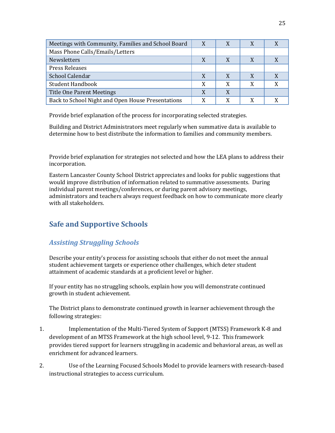| Meetings with Community, Families and School Board | X | X |   |  |
|----------------------------------------------------|---|---|---|--|
| Mass Phone Calls/Emails/Letters                    |   |   |   |  |
| Newsletters                                        | X |   |   |  |
| <b>Press Releases</b>                              |   |   |   |  |
| School Calendar                                    | X |   |   |  |
| <b>Student Handbook</b>                            | X | X | X |  |
| <b>Title One Parent Meetings</b>                   | X | X |   |  |
| Back to School Night and Open House Presentations  |   |   |   |  |

Provide brief explanation of the process for incorporating selected strategies.

Building and District Administrators meet regularly when summative data is available to determine how to best distribute the information to families and community members.

Provide brief explanation for strategies not selected and how the LEA plans to address their incorporation.

Eastern Lancaster County School District appreciates and looks for public suggestions that would improve distribution of information related to summative assessments. During individual parent meetings/conferences, or during parent advisory meetings, administrators and teachers always request feedback on how to communicate more clearly with all stakeholders.

## **Safe and Supportive Schools**

## *Assisting Struggling Schools*

Describe your entity's process for assisting schools that either do not meet the annual student achievement targets or experience other challenges, which deter student attainment of academic standards at a proficient level or higher.

If your entity has no struggling schools, explain how you will demonstrate continued growth in student achievement.

The District plans to demonstrate continued growth in learner achievement through the following strategies:

- 1. Implementation of the Multi-Tiered System of Support (MTSS) Framework K-8 and development of an MTSS Framework at the high school level, 9-12. This framework provides tiered support for learners struggling in academic and behavioral areas, as well as enrichment for advanced learners.
- 2. Use of the Learning Focused Schools Model to provide learners with research-based instructional strategies to access curriculum.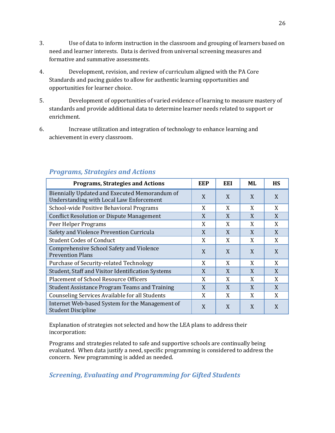- 3. Use of data to inform instruction in the classroom and grouping of learners based on need and learner interests. Data is derived from universal screening measures and formative and summative assessments.
- 4. Development, revision, and review of curriculum aligned with the PA Core Standards and pacing guides to allow for authentic learning opportunities and opportunities for learner choice.
- 5. Development of opportunities of varied evidence of learning to measure mastery of standards and provide additional data to determine learner needs related to support or enrichment.
- 6. Increase utilization and integration of technology to enhance learning and achievement in every classroom.

| <b>Programs, Strategies and Actions</b>                                                          | EEP | EEI | ML | <b>HS</b> |
|--------------------------------------------------------------------------------------------------|-----|-----|----|-----------|
| Biennially Updated and Executed Memorandum of<br><b>Understanding with Local Law Enforcement</b> | X   | X   | X  | X         |
| School-wide Positive Behavioral Programs                                                         | X   | X   | X  | X         |
| <b>Conflict Resolution or Dispute Management</b>                                                 | X   | X   | X  | X         |
| Peer Helper Programs                                                                             | X   | X   | X  | X         |
| Safety and Violence Prevention Curricula                                                         | X   | X   | X  | X         |
| <b>Student Codes of Conduct</b>                                                                  | X   | X   | X  | X         |
| Comprehensive School Safety and Violence<br><b>Prevention Plans</b>                              | X   | X   | X  | X         |
| Purchase of Security-related Technology                                                          | X   | X   | X  | X         |
| Student, Staff and Visitor Identification Systems                                                | X   | X   | X  | X         |
| <b>Placement of School Resource Officers</b>                                                     | X   | X   | X  | X         |
| <b>Student Assistance Program Teams and Training</b>                                             | X   | X   | X  | X         |
| Counseling Services Available for all Students                                                   | X   | X   | X  | X         |
| Internet Web-based System for the Management of<br><b>Student Discipline</b>                     | X   | X   | X  | X         |

## *Programs, Strategies and Actions*

Explanation of strategies not selected and how the LEA plans to address their incorporation:

Programs and strategies related to safe and supportive schools are continually being evaluated. When data justify a need, specific programming is considered to address the concern. New programming is added as needed.

*Screening, Evaluating and Programming for Gifted Students*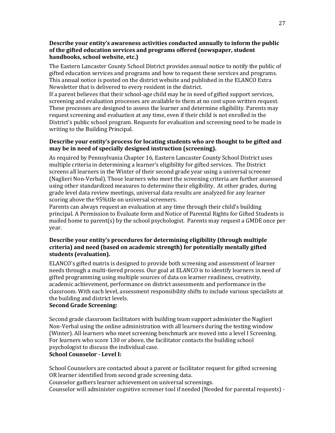#### **Describe your entity's awareness activities conducted annually to inform the public of the gifted education services and programs offered (newspaper, student handbooks, school website, etc.)**

The Eastern Lancaster County School District provides annual notice to notify the public of gifted education services and programs and how to request these services and programs. This annual notice is posted on the district website and published in the ELANCO Extra Newsletter that is delivered to every resident in the district.

If a parent believes that their school-age child may be in need of gifted support services, screening and evaluation processes are available to them at no cost upon written request. These processes are designed to assess the learner and determine eligibility. Parents may request screening and evaluation at any time, even if their child is not enrolled in the District's public school program. Requests for evaluation and screening need to be made in writing to the Building Principal.

#### **Describe your entity's process for locating students who are thought to be gifted and may be in need of specially designed instruction (screening).**

As required by Pennsylvania Chapter 16, Eastern Lancaster County School District uses multiple criteria in determining a learner's eligibility for gifted services. The District screens all learners in the Winter of their second grade year using a universal screener (Naglieri Non-Verbal). Those learners who meet the screening criteria are further assessed using other standardized measures to determine their eligibility. At other grades, during grade level data review meetings, universal data results are analyzed for any learner scoring above the 95%tile on universal screeners.

Parents can always request an evaluation at any time through their child's building principal. A Permission to Evaluate form and Notice of Parental Rights for Gifted Students is mailed home to parent(s) by the school psychologist. Parents may request a GMDE once per year.

#### **Describe your entity's procedures for determining eligibility (through multiple criteria) and need (based on academic strength) for potentially mentally gifted students (evaluation).**

ELANCO's gifted matrix is designed to provide both screening and assessment of learner needs through a multi-tiered process. Our goal at ELANCO is to identify learners in need of gifted programming using multiple sources of data on learner readiness, creativity, academic achievement, performance on district assessments and performance in the classroom. With each level, assessment responsibility shifts to include various specialists at the building and district levels.

#### **Second Grade Screening:**

Second grade classroom facilitators with building team support administer the Naglieri Non-Verbal using the online administration with all learners during the testing window (Winter). All learners who meet screening benchmark are moved into a level I Screening. For learners who score 130 or above, the facilitator contacts the building school psychologist to discuss the individual case.

#### **School Counselor - Level I:**

School Counselors are contacted about a parent or facilitator request for gifted screening OR learner identified from second grade screening data.

Counselor gathers learner achievement on universal screenings.

Counselor will administer cognitive screener tool if needed (Needed for parental requests) -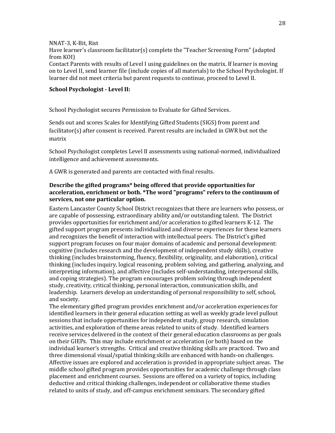NNAT-3, K-Bit, Rist

Have learner's classroom facilitator(s) complete the "Teacher Screening Form" (adapted from KOI)

Contact Parents with results of Level I using guidelines on the matrix. If learner is moving on to Level II, send learner file (include copies of all materials) to the School Psychologist. If learner did not meet criteria but parent requests to continue, proceed to Level II.

#### **School Psychologist - Level II:**

School Psychologist secures Permission to Evaluate for Gifted Services.

Sends out and scores Scales for Identifying Gifted Students (SIGS) from parent and facilitator(s) after consent is received. Parent results are included in GWR but not the matrix

School Psychologist completes Level II assessments using national-normed, individualized intelligence and achievement assessments.

A GWR is generated and parents are contacted with final results.

#### **Describe the gifted programs\* being offered that provide opportunities for acceleration, enrichment or both. \*The word "programs" refers to the continuum of services, not one particular option.**

Eastern Lancaster County School District recognizes that there are learners who possess, or are capable of possessing, extraordinary ability and/or outstanding talent. The District provides opportunities for enrichment and/or acceleration to gifted learners K-12. The gifted support program presents individualized and diverse experiences for these learners and recognizes the benefit of interaction with intellectual peers. The District's gifted support program focuses on four major domains of academic and personal development: cognitive (includes research and the development of independent study skills), creative thinking (includes brainstorming, fluency, flexibility, originality, and elaboration), critical thinking (includes inquiry, logical reasoning, problem solving, and gathering, analyzing, and interpreting information), and affective (includes self-understanding, interpersonal skills, and coping strategies). The program encourages problem solving through independent study, creativity, critical thinking, personal interaction, communication skills, and leadership. Learners develop an understanding of personal responsibility to self, school, and society.

The elementary gifted program provides enrichment and/or acceleration experiences for identified learners in their general education setting as well as weekly grade level pullout sessions that include opportunities for independent study, group research, simulation activities, and exploration of theme areas related to units of study. Identified learners receive services delivered in the context of their general education classrooms as per goals on their GIEPs. This may include enrichment or acceleration (or both) based on the individual learner's strengths. Critical and creative thinking skills are practiced. Two and three dimensional visual/spatial thinking skills are enhanced with hands-on challenges. Affective issues are explored and acceleration is provided in appropriate subject areas. The middle school gifted program provides opportunities for academic challenge through class placement and enrichment courses. Sessions are offered on a variety of topics, including deductive and critical thinking challenges, independent or collaborative theme studies related to units of study, and off-campus enrichment seminars. The secondary gifted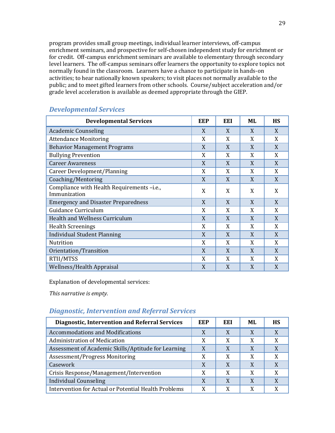program provides small group meetings, individual learner interviews, off-campus enrichment seminars, and prospective for self-chosen independent study for enrichment or for credit. Off-campus enrichment seminars are available to elementary through secondary level learners. The off-campus seminars offer learners the opportunity to explore topics not normally found in the classroom. Learners have a chance to participate in hands-on activities; to hear nationally known speakers; to visit places not normally available to the public; and to meet gifted learners from other schools. Course/subject acceleration and/or grade level acceleration is available as deemed appropriate through the GIEP.

| <b>Developmental Services</b>                             | <b>EEP</b> | EEI | <b>ML</b> | <b>HS</b> |
|-----------------------------------------------------------|------------|-----|-----------|-----------|
| <b>Academic Counseling</b>                                | X          | X   | X         | X         |
| <b>Attendance Monitoring</b>                              | X          | X   | X         | X         |
| <b>Behavior Management Programs</b>                       | X          | X   | X         | X         |
| <b>Bullying Prevention</b>                                | X          | X   | X         | X         |
| <b>Career Awareness</b>                                   | X          | X   | X         | X         |
| Career Development/Planning                               | X          | X   | X         | X         |
| Coaching/Mentoring                                        | X          | X   | X         | X         |
| Compliance with Health Requirements-i.e.,<br>Immunization | X          | X   | X         | X         |
| <b>Emergency and Disaster Preparedness</b>                | X          | X   | X         | X         |
| Guidance Curriculum                                       | X          | X   | X         | X         |
| Health and Wellness Curriculum                            | X          | X   | X         | X         |
| <b>Health Screenings</b>                                  | X          | X   | X         | X         |
| <b>Individual Student Planning</b>                        | X          | X   | X         | X         |
| <b>Nutrition</b>                                          | X          | X   | X         | X         |
| Orientation/Transition                                    | X          | X   | X         | X         |
| RTII/MTSS                                                 | X          | X   | X         | X         |
| <b>Wellness/Health Appraisal</b>                          | X          | X   | X         | X         |

## *Developmental Services*

Explanation of developmental services:

*This narrative is empty.*

## *Diagnostic, Intervention and Referral Services*

| <b>Diagnostic, Intervention and Referral Services</b> | EEP | EEI | ML. | <b>HS</b> |
|-------------------------------------------------------|-----|-----|-----|-----------|
| <b>Accommodations and Modifications</b>               | X   | X   | X   | X         |
| Administration of Medication                          | X   | X   | X   |           |
| Assessment of Academic Skills/Aptitude for Learning   | X   | X   |     |           |
| Assessment/Progress Monitoring                        | X   | X   | X   |           |
| Casework                                              | X   | X   |     |           |
| Crisis Response/Management/Intervention               | X   | X   | X   |           |
| <b>Individual Counseling</b>                          | X   | X   |     |           |
| Intervention for Actual or Potential Health Problems  | X   | X   |     |           |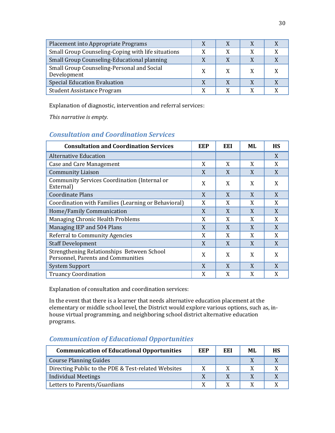| Placement into Appropriate Programs                       | X |   |   |  |
|-----------------------------------------------------------|---|---|---|--|
| Small Group Counseling-Coping with life situations        | X | X | X |  |
| Small Group Counseling-Educational planning               |   |   |   |  |
| Small Group Counseling-Personal and Social<br>Development | X |   |   |  |
| <b>Special Education Evaluation</b>                       |   |   |   |  |
| <b>Student Assistance Program</b>                         | X |   |   |  |

Explanation of diagnostic, intervention and referral services:

*This narrative is empty.*

## *Consultation and Coordination Services*

| <b>Consultation and Coordination Services</b>                                    | <b>EEP</b> | EEI | ML | <b>HS</b> |
|----------------------------------------------------------------------------------|------------|-----|----|-----------|
| Alternative Education                                                            |            |     |    | X         |
| Case and Care Management                                                         | X          | X   | X  | X         |
| <b>Community Liaison</b>                                                         | X          | X   | X  | X         |
| Community Services Coordination (Internal or<br>External)                        | X          | X   | X  | X         |
| <b>Coordinate Plans</b>                                                          | X          | X   | X  | X         |
| Coordination with Families (Learning or Behavioral)                              | X          | X   | X  | X         |
| Home/Family Communication                                                        | X          | X   | X  | X         |
| Managing Chronic Health Problems                                                 | X          | X   | X  | X         |
| Managing IEP and 504 Plans                                                       | X          | X   | X  | X         |
| <b>Referral to Community Agencies</b>                                            | X          | X   | X  | X         |
| <b>Staff Development</b>                                                         | X          | X   | X  | X         |
| Strengthening Relationships Between School<br>Personnel, Parents and Communities | X          | X   | X  | X         |
| System Support                                                                   | X          | X   | X  | X         |
| <b>Truancy Coordination</b>                                                      | X          | X   | X  | X         |

Explanation of consultation and coordination services:

In the event that there is a learner that needs alternative education placement at the elementary or middle school level, the District would explore various options, such as, inhouse virtual programming, and neighboring school district alternative education programs.

## *Communication of Educational Opportunities*

| <b>Communication of Educational Opportunities</b>   | EEP | EEI | ML | <b>HS</b> |
|-----------------------------------------------------|-----|-----|----|-----------|
| <b>Course Planning Guides</b>                       |     |     |    |           |
| Directing Public to the PDE & Test-related Websites | X   | Y   |    |           |
| <b>Individual Meetings</b>                          |     |     |    |           |
| Letters to Parents/Guardians                        |     |     |    |           |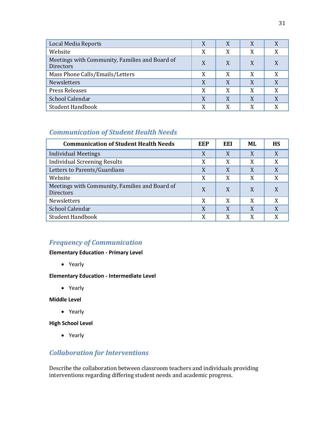| <b>Local Media Reports</b>                                  | X | X | X |   |
|-------------------------------------------------------------|---|---|---|---|
| Website                                                     | X | X | X |   |
| Meetings with Community, Families and Board of<br>Directors | X | X | X |   |
| Mass Phone Calls/Emails/Letters                             | X | X | X |   |
| <b>Newsletters</b>                                          | X | X | X | X |
| <b>Press Releases</b>                                       | X | X | X | X |
| School Calendar                                             | X | X | X | X |
| <b>Student Handbook</b>                                     | X | X | X |   |

## *Communication of Student Health Needs*

| <b>Communication of Student Health Needs</b>                       | EEP | EEI | MI. | <b>HS</b> |
|--------------------------------------------------------------------|-----|-----|-----|-----------|
| <b>Individual Meetings</b>                                         | X   | X   | X   |           |
| <b>Individual Screening Results</b>                                | X   | X   | X   | X         |
| Letters to Parents/Guardians                                       | X   | X   | X   | X         |
| Website                                                            | X   | X   | X   | X         |
| Meetings with Community, Families and Board of<br><b>Directors</b> | X   | X   | X   |           |
| Newsletters                                                        | X   | X   | X   |           |
| School Calendar                                                    | X   | X   | X   | X         |
| <b>Student Handbook</b>                                            | X   | X   | X   |           |

## *Frequency of Communication*

#### **Elementary Education - Primary Level**

• Yearly

#### **Elementary Education - Intermediate Level**

• Yearly

**Middle Level**

• Yearly

**High School Level**

• Yearly

## *Collaboration for Interventions*

Describe the collaboration between classroom teachers and individuals providing interventions regarding differing student needs and academic progress.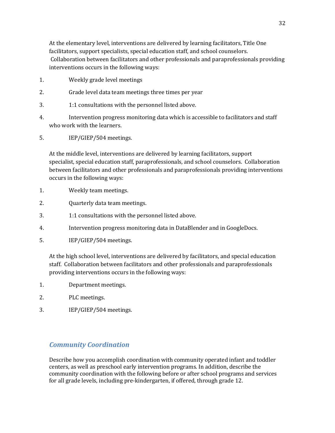At the elementary level, interventions are delivered by learning facilitators, Title One facilitators, support specialists, special education staff, and school counselors. Collaboration between facilitators and other professionals and paraprofessionals providing interventions occurs in the following ways:

- 1. Weekly grade level meetings
- 2. Grade level data team meetings three times per year
- 3. 1:1 consultations with the personnel listed above.
- 4. Intervention progress monitoring data which is accessible to facilitators and staff who work with the learners.
- 5. IEP/GIEP/504 meetings.

At the middle level, interventions are delivered by learning facilitators, support specialist, special education staff, paraprofessionals, and school counselors. Collaboration between facilitators and other professionals and paraprofessionals providing interventions occurs in the following ways:

- 1. Weekly team meetings.
- 2. Quarterly data team meetings.
- 3. 1:1 consultations with the personnel listed above.
- 4. Intervention progress monitoring data in DataBlender and in GoogleDocs.
- 5. IEP/GIEP/504 meetings.

At the high school level, interventions are delivered by facilitators, and special education staff. Collaboration between facilitators and other professionals and paraprofessionals providing interventions occurs in the following ways:

- 1. Department meetings.
- 2. PLC meetings.
- 3. IEP/GIEP/504 meetings.

#### *Community Coordination*

Describe how you accomplish coordination with community operated infant and toddler centers, as well as preschool early intervention programs. In addition, describe the community coordination with the following before or after school programs and services for all grade levels, including pre-kindergarten, if offered, through grade 12.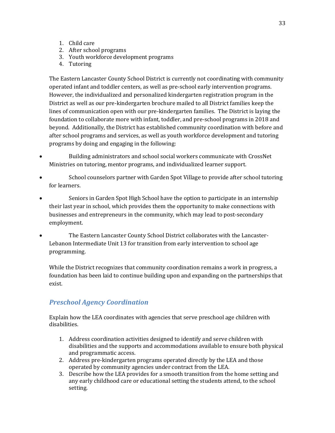- 1. Child care
- 2. After school programs
- 3. Youth workforce development programs
- 4. Tutoring

The Eastern Lancaster County School District is currently not coordinating with community operated infant and toddler centers, as well as pre-school early intervention programs. However, the individualized and personalized kindergarten registration program in the District as well as our pre-kindergarten brochure mailed to all District families keep the lines of communication open with our pre-kindergarten families. The District is laying the foundation to collaborate more with infant, toddler, and pre-school programs in 2018 and beyond. Additionally, the District has established community coordination with before and after school programs and services, as well as youth workforce development and tutoring programs by doing and engaging in the following:

- Building administrators and school social workers communicate with CrossNet Ministries on tutoring, mentor programs, and individualized learner support.
- School counselors partner with Garden Spot Village to provide after school tutoring for learners.
- Seniors in Garden Spot High School have the option to participate in an internship their last year in school, which provides them the opportunity to make connections with businesses and entrepreneurs in the community, which may lead to post-secondary employment.
- The Eastern Lancaster County School District collaborates with the Lancaster-Lebanon Intermediate Unit 13 for transition from early intervention to school age programming.

While the District recognizes that community coordination remains a work in progress, a foundation has been laid to continue building upon and expanding on the partnerships that exist.

## *Preschool Agency Coordination*

Explain how the LEA coordinates with agencies that serve preschool age children with disabilities.

- 1. Address coordination activities designed to identify and serve children with disabilities and the supports and accommodations available to ensure both physical and programmatic access.
- 2. Address pre-kindergarten programs operated directly by the LEA and those operated by community agencies under contract from the LEA.
- 3. Describe how the LEA provides for a smooth transition from the home setting and any early childhood care or educational setting the students attend, to the school setting.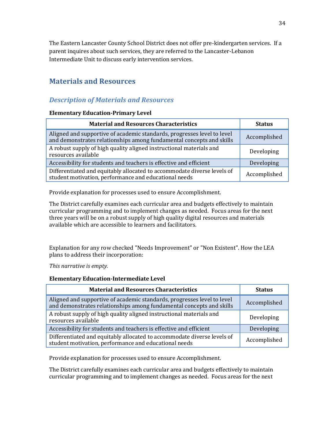The Eastern Lancaster County School District does not offer pre-kindergarten services. If a parent inquires about such services, they are referred to the Lancaster-Lebanon Intermediate Unit to discuss early intervention services.

## **Materials and Resources**

## *Description of Materials and Resources*

#### **Elementary Education-Primary Level**

| <b>Material and Resources Characteristics</b>                                                                                                   | <b>Status</b> |
|-------------------------------------------------------------------------------------------------------------------------------------------------|---------------|
| Aligned and supportive of academic standards, progresses level to level<br>and demonstrates relationships among fundamental concepts and skills | Accomplished  |
| A robust supply of high quality aligned instructional materials and<br>resources available                                                      | Developing    |
| Accessibility for students and teachers is effective and efficient                                                                              | Developing    |
| Differentiated and equitably allocated to accommodate diverse levels of<br>student motivation, performance and educational needs                | Accomplished  |

Provide explanation for processes used to ensure Accomplishment.

The District carefully examines each curricular area and budgets effectively to maintain curricular programming and to implement changes as needed. Focus areas for the next three years will be on a robust supply of high quality digital resources and materials available which are accessible to learners and facilitators.

Explanation for any row checked "Needs Improvement" or "Non Existent". How the LEA plans to address their incorporation:

*This narrative is empty.*

#### **Elementary Education-Intermediate Level**

| <b>Material and Resources Characteristics</b>                                                                                                   | <b>Status</b> |
|-------------------------------------------------------------------------------------------------------------------------------------------------|---------------|
| Aligned and supportive of academic standards, progresses level to level<br>and demonstrates relationships among fundamental concepts and skills | Accomplished  |
| A robust supply of high quality aligned instructional materials and<br>resources available                                                      | Developing    |
| Accessibility for students and teachers is effective and efficient                                                                              | Developing    |
| Differentiated and equitably allocated to accommodate diverse levels of<br>student motivation, performance and educational needs                | Accomplished  |

Provide explanation for processes used to ensure Accomplishment.

The District carefully examines each curricular area and budgets effectively to maintain curricular programming and to implement changes as needed. Focus areas for the next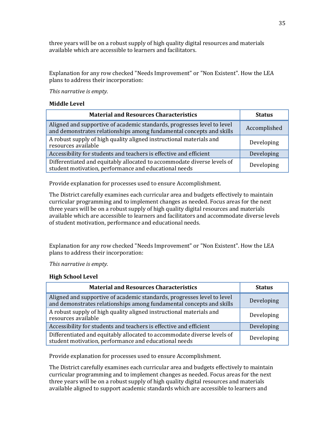three years will be on a robust supply of high quality digital resources and materials available which are accessible to learners and facilitators.

Explanation for any row checked "Needs Improvement" or "Non Existent". How the LEA plans to address their incorporation:

*This narrative is empty.*

#### **Middle Level**

| <b>Material and Resources Characteristics</b>                                                                                                   | <b>Status</b> |
|-------------------------------------------------------------------------------------------------------------------------------------------------|---------------|
| Aligned and supportive of academic standards, progresses level to level<br>and demonstrates relationships among fundamental concepts and skills | Accomplished  |
| A robust supply of high quality aligned instructional materials and<br>resources available                                                      | Developing    |
| Accessibility for students and teachers is effective and efficient                                                                              | Developing    |
| Differentiated and equitably allocated to accommodate diverse levels of<br>student motivation, performance and educational needs                | Developing    |

Provide explanation for processes used to ensure Accomplishment.

The District carefully examines each curricular area and budgets effectively to maintain curricular programming and to implement changes as needed. Focus areas for the next three years will be on a robust supply of high quality digital resources and materials available which are accessible to learners and facilitators and accommodate diverse levels of student motivation, performance and educational needs.

Explanation for any row checked "Needs Improvement" or "Non Existent". How the LEA plans to address their incorporation:

*This narrative is empty.*

#### **High School Level**

| <b>Material and Resources Characteristics</b>                                                                                                   | <b>Status</b> |
|-------------------------------------------------------------------------------------------------------------------------------------------------|---------------|
| Aligned and supportive of academic standards, progresses level to level<br>and demonstrates relationships among fundamental concepts and skills | Developing    |
| A robust supply of high quality aligned instructional materials and<br>resources available                                                      | Developing    |
| Accessibility for students and teachers is effective and efficient                                                                              | Developing    |
| Differentiated and equitably allocated to accommodate diverse levels of<br>student motivation, performance and educational needs                | Developing    |

Provide explanation for processes used to ensure Accomplishment.

The District carefully examines each curricular area and budgets effectively to maintain curricular programming and to implement changes as needed. Focus areas for the next three years will be on a robust supply of high quality digital resources and materials available aligned to support academic standards which are accessible to learners and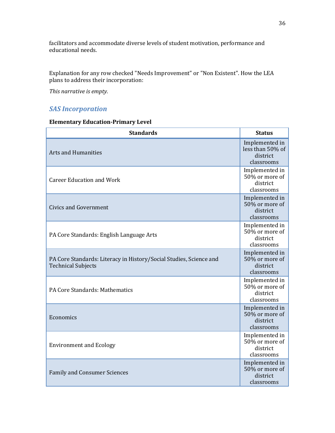facilitators and accommodate diverse levels of student motivation, performance and educational needs.

Explanation for any row checked "Needs Improvement" or "Non Existent". How the LEA plans to address their incorporation:

*This narrative is empty.*

## *SAS Incorporation*

#### **Elementary Education-Primary Level**

| <b>Standards</b>                                                                                | <b>Status</b>                                                |
|-------------------------------------------------------------------------------------------------|--------------------------------------------------------------|
| <b>Arts and Humanities</b>                                                                      | Implemented in<br>less than 50% of<br>district<br>classrooms |
| <b>Career Education and Work</b>                                                                | Implemented in<br>50% or more of<br>district<br>classrooms   |
| <b>Civics and Government</b>                                                                    | Implemented in<br>50% or more of<br>district<br>classrooms   |
| PA Core Standards: English Language Arts                                                        | Implemented in<br>50% or more of<br>district<br>classrooms   |
| PA Core Standards: Literacy in History/Social Studies, Science and<br><b>Technical Subjects</b> | Implemented in<br>50% or more of<br>district<br>classrooms   |
| PA Core Standards: Mathematics                                                                  | Implemented in<br>50% or more of<br>district<br>classrooms   |
| Economics                                                                                       | Implemented in<br>50% or more of<br>district<br>classrooms   |
| <b>Environment and Ecology</b>                                                                  | Implemented in<br>50% or more of<br>district<br>classrooms   |
| <b>Family and Consumer Sciences</b>                                                             | Implemented in<br>50% or more of<br>district<br>classrooms   |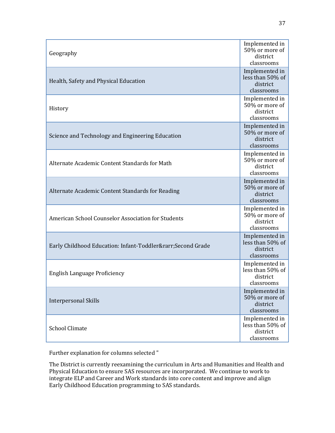| Geography                                              | Implemented in<br>50% or more of<br>district<br>classrooms   |
|--------------------------------------------------------|--------------------------------------------------------------|
| Health, Safety and Physical Education                  | Implemented in<br>less than 50% of<br>district<br>classrooms |
| History                                                | Implemented in<br>50% or more of<br>district<br>classrooms   |
| Science and Technology and Engineering Education       | Implemented in<br>50% or more of<br>district<br>classrooms   |
| Alternate Academic Content Standards for Math          | Implemented in<br>50% or more of<br>district<br>classrooms   |
| Alternate Academic Content Standards for Reading       | Implemented in<br>50% or more of<br>district<br>classrooms   |
| American School Counselor Association for Students     | Implemented in<br>50% or more of<br>district<br>classrooms   |
| Early Childhood Education: Infant-Toddler→Second Grade | Implemented in<br>less than 50% of<br>district<br>classrooms |
| English Language Proficiency                           | Implemented in<br>less than 50% of<br>district<br>classrooms |
| <b>Interpersonal Skills</b>                            | Implemented in<br>50% or more of<br>district<br>classrooms   |
| <b>School Climate</b>                                  | Implemented in<br>less than 50% of<br>district<br>classrooms |

The District is currently reexamining the curriculum in Arts and Humanities and Health and Physical Education to ensure SAS resources are incorporated. We continue to work to integrate ELP and Career and Work standards into core content and improve and align Early Childhood Education programming to SAS standards.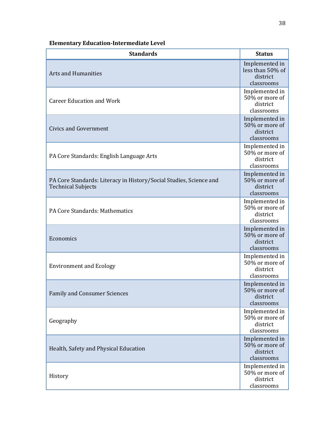# **Elementary Education-Intermediate Level**

| <b>Standards</b>                                                                                | <b>Status</b>                                                |
|-------------------------------------------------------------------------------------------------|--------------------------------------------------------------|
| <b>Arts and Humanities</b>                                                                      | Implemented in<br>less than 50% of<br>district<br>classrooms |
| <b>Career Education and Work</b>                                                                | Implemented in<br>50% or more of<br>district<br>classrooms   |
| <b>Civics and Government</b>                                                                    | Implemented in<br>50% or more of<br>district<br>classrooms   |
| PA Core Standards: English Language Arts                                                        | Implemented in<br>50% or more of<br>district<br>classrooms   |
| PA Core Standards: Literacy in History/Social Studies, Science and<br><b>Technical Subjects</b> | Implemented in<br>50% or more of<br>district<br>classrooms   |
| PA Core Standards: Mathematics                                                                  | Implemented in<br>50% or more of<br>district<br>classrooms   |
| Economics                                                                                       | Implemented in<br>50% or more of<br>district<br>classrooms   |
| <b>Environment and Ecology</b>                                                                  | Implemented in<br>50% or more of<br>district<br>classrooms   |
| <b>Family and Consumer Sciences</b>                                                             | Implemented in<br>50% or more of<br>district<br>classrooms   |
| Geography                                                                                       | Implemented in<br>50% or more of<br>district<br>classrooms   |
| Health, Safety and Physical Education                                                           | Implemented in<br>50% or more of<br>district<br>classrooms   |
| History                                                                                         | Implemented in<br>50% or more of<br>district<br>classrooms   |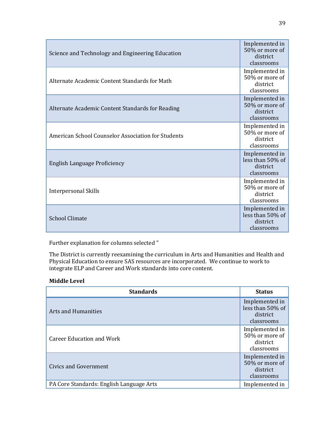| Science and Technology and Engineering Education   | Implemented in<br>50% or more of<br>district<br>classrooms   |
|----------------------------------------------------|--------------------------------------------------------------|
| Alternate Academic Content Standards for Math      | Implemented in<br>50% or more of<br>district<br>classrooms   |
| Alternate Academic Content Standards for Reading   | Implemented in<br>50% or more of<br>district<br>classrooms   |
| American School Counselor Association for Students | Implemented in<br>50% or more of<br>district<br>classrooms   |
| English Language Proficiency                       | Implemented in<br>less than 50% of<br>district<br>classrooms |
| Interpersonal Skills                               | Implemented in<br>50% or more of<br>district<br>classrooms   |
| <b>School Climate</b>                              | Implemented in<br>less than 50% of<br>district<br>classrooms |

The District is currently reexamining the curriculum in Arts and Humanities and Health and Physical Education to ensure SAS resources are incorporated. We continue to work to integrate ELP and Career and Work standards into core content.

# **Middle Level**

| <b>Standards</b>                         | <b>Status</b>                                                |
|------------------------------------------|--------------------------------------------------------------|
| <b>Arts and Humanities</b>               | Implemented in<br>less than 50% of<br>district<br>classrooms |
| Career Education and Work                | Implemented in<br>50% or more of<br>district<br>classrooms   |
| Civics and Government                    | Implemented in<br>50% or more of<br>district<br>classrooms   |
| PA Core Standards: English Language Arts | Implemented in                                               |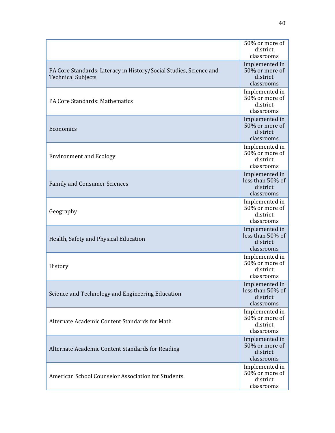|                                                                                                 | 50% or more of<br>district<br>classrooms                     |
|-------------------------------------------------------------------------------------------------|--------------------------------------------------------------|
| PA Core Standards: Literacy in History/Social Studies, Science and<br><b>Technical Subjects</b> | Implemented in<br>50% or more of<br>district<br>classrooms   |
| PA Core Standards: Mathematics                                                                  | Implemented in<br>50% or more of<br>district<br>classrooms   |
| Economics                                                                                       | Implemented in<br>50% or more of<br>district<br>classrooms   |
| <b>Environment and Ecology</b>                                                                  | Implemented in<br>50% or more of<br>district<br>classrooms   |
| <b>Family and Consumer Sciences</b>                                                             | Implemented in<br>less than 50% of<br>district<br>classrooms |
| Geography                                                                                       | Implemented in<br>50% or more of<br>district<br>classrooms   |
| Health, Safety and Physical Education                                                           | Implemented in<br>less than 50% of<br>district<br>classrooms |
| History                                                                                         | Implemented in<br>50% or more of<br>district<br>classrooms   |
| Science and Technology and Engineering Education                                                | Implemented in<br>less than 50% of<br>district<br>classrooms |
| Alternate Academic Content Standards for Math                                                   | Implemented in<br>50% or more of<br>district<br>classrooms   |
| Alternate Academic Content Standards for Reading                                                | Implemented in<br>50% or more of<br>district<br>classrooms   |
| American School Counselor Association for Students                                              | Implemented in<br>50% or more of<br>district<br>classrooms   |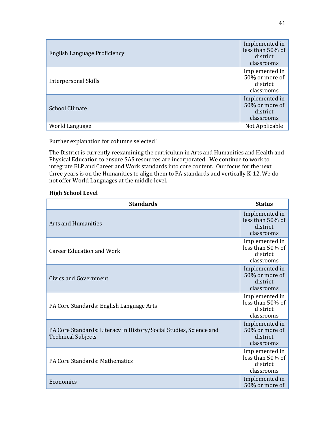| English Language Proficiency | Implemented in<br>less than 50% of<br>district<br>classrooms |
|------------------------------|--------------------------------------------------------------|
| <b>Interpersonal Skills</b>  | Implemented in<br>50% or more of<br>district<br>classrooms   |
| <b>School Climate</b>        | Implemented in<br>50% or more of<br>district<br>classrooms   |
| World Language               | Not Applicable                                               |

The District is currently reexamining the curriculum in Arts and Humanities and Health and Physical Education to ensure SAS resources are incorporated. We continue to work to integrate ELP and Career and Work standards into core content. Our focus for the next three years is on the Humanities to align them to PA standards and vertically K-12. We do not offer World Languages at the middle level.

### **High School Level**

| <b>Standards</b>                                                                                | <b>Status</b>                                                |
|-------------------------------------------------------------------------------------------------|--------------------------------------------------------------|
| Arts and Humanities                                                                             | Implemented in<br>less than 50% of<br>district<br>classrooms |
| <b>Career Education and Work</b>                                                                | Implemented in<br>less than 50% of<br>district<br>classrooms |
| Civics and Government                                                                           | Implemented in<br>50% or more of<br>district<br>classrooms   |
| PA Core Standards: English Language Arts                                                        | Implemented in<br>less than 50% of<br>district<br>classrooms |
| PA Core Standards: Literacy in History/Social Studies, Science and<br><b>Technical Subjects</b> | Implemented in<br>50% or more of<br>district<br>classrooms   |
| PA Core Standards: Mathematics                                                                  | Implemented in<br>less than 50% of<br>district<br>classrooms |
| Economics                                                                                       | Implemented in<br>50% or more of                             |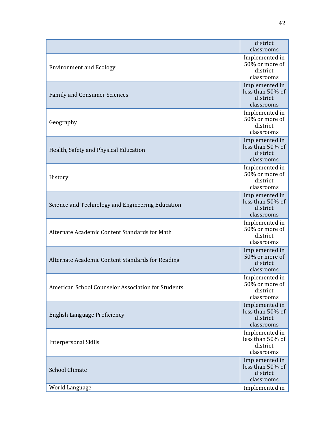|                                                    | district<br>classrooms                                       |
|----------------------------------------------------|--------------------------------------------------------------|
| <b>Environment and Ecology</b>                     | Implemented in<br>50% or more of<br>district<br>classrooms   |
| <b>Family and Consumer Sciences</b>                | Implemented in<br>less than 50% of<br>district<br>classrooms |
| Geography                                          | Implemented in<br>50% or more of<br>district<br>classrooms   |
| Health, Safety and Physical Education              | Implemented in<br>less than 50% of<br>district<br>classrooms |
| History                                            | Implemented in<br>50% or more of<br>district<br>classrooms   |
| Science and Technology and Engineering Education   | Implemented in<br>less than 50% of<br>district<br>classrooms |
| Alternate Academic Content Standards for Math      | Implemented in<br>50% or more of<br>district<br>classrooms   |
| Alternate Academic Content Standards for Reading   | Implemented in<br>50% or more of<br>district<br>classrooms   |
| American School Counselor Association for Students | Implemented in<br>50% or more of<br>district<br>classrooms   |
| English Language Proficiency                       | Implemented in<br>less than 50% of<br>district<br>classrooms |
| <b>Interpersonal Skills</b>                        | Implemented in<br>less than 50% of<br>district<br>classrooms |
| <b>School Climate</b>                              | Implemented in<br>less than 50% of<br>district<br>classrooms |
| World Language                                     | Implemented in                                               |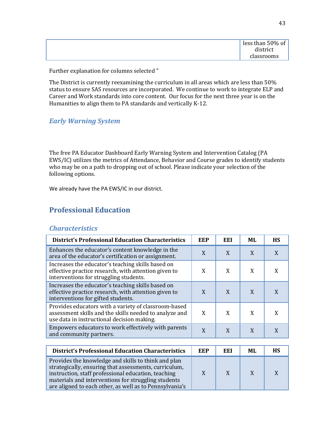| less than 50% of |
|------------------|
| district         |
| classrooms       |

The District is currently reexamining the curriculum in all areas which are less than 50% status to ensure SAS resources are incorporated. We continue to work to integrate ELP and Career and Work standards into core content. Our focus for the next three year is on the Humanities to align them to PA standards and vertically K-12.

# *Early Warning System*

The free PA Educator Dashboard Early Warning System and Intervention Catalog (PA EWS/IC) utilizes the metrics of Attendance, Behavior and Course grades to identify students who may be on a path to dropping out of school. Please indicate your selection of the following options.

We already have the PA EWS/IC in our district.

# **Professional Education**

# *Characteristics*

| <b>District's Professional Education Characteristics</b>                                                                                                     | EEP | EEI | ML | <b>HS</b> |
|--------------------------------------------------------------------------------------------------------------------------------------------------------------|-----|-----|----|-----------|
| Enhances the educator's content knowledge in the<br>area of the educator's certification or assignment.                                                      | X   | X   | X  |           |
| Increases the educator's teaching skills based on<br>effective practice research, with attention given to<br>interventions for struggling students.          | X   | X   | X  |           |
| Increases the educator's teaching skills based on<br>effective practice research, with attention given to<br>interventions for gifted students.              | X   | X   | X  |           |
| Provides educators with a variety of classroom-based<br>assessment skills and the skills needed to analyze and<br>use data in instructional decision making. | X   | X   | X  |           |
| Empowers educators to work effectively with parents<br>and community partners.                                                                               | X   | X   | X  |           |

| <b>District's Professional Education Characteristics</b>                                                                                                                                                                                                                              | EEP | EEI | ML | НS |
|---------------------------------------------------------------------------------------------------------------------------------------------------------------------------------------------------------------------------------------------------------------------------------------|-----|-----|----|----|
| Provides the knowledge and skills to think and plan<br>strategically, ensuring that assessments, curriculum,<br>instruction, staff professional education, teaching<br>materials and interventions for struggling students<br>are aligned to each other, as well as to Pennsylvania's |     | X   |    |    |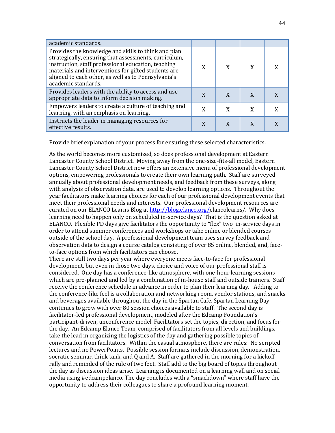| academic standards.                                                                                                                                                                                                                                                                                      |   |   |   |  |
|----------------------------------------------------------------------------------------------------------------------------------------------------------------------------------------------------------------------------------------------------------------------------------------------------------|---|---|---|--|
| Provides the knowledge and skills to think and plan<br>strategically, ensuring that assessments, curriculum,<br>instruction, staff professional education, teaching<br>materials and interventions for gifted students are<br>aligned to each other, as well as to Pennsylvania's<br>academic standards. | X | X | X |  |
| Provides leaders with the ability to access and use<br>appropriate data to inform decision making.                                                                                                                                                                                                       | X | X |   |  |
| Empowers leaders to create a culture of teaching and<br>learning, with an emphasis on learning.                                                                                                                                                                                                          | X |   |   |  |
| Instructs the leader in managing resources for<br>effective results.                                                                                                                                                                                                                                     | X |   |   |  |

Provide brief explanation of your process for ensuring these selected characteristics.

As the world becomes more customized, so does professional development at Eastern Lancaster County School District. Moving away from the one-size-fits-all model, Eastern Lancaster County School District now offers an extensive menu of professional development options, empowering professionals to create their own learning path. Staff are surveyed annually about professional development needs, and feedback from these surveys, along with analysis of observation data, are used to develop learning options. Throughout the year facilitators make learning choices for each of our professional development events that meet their professional needs and interests. Our professional development resources are curated on our ELANCO Learns Blog a[t http://blog.elanco.org/e](http://blog.elanco.org/)lancolearns/. Why does learning need to happen only on scheduled in-service days? That is the question asked at ELANCO. Flexible PD days give facilitators the opportunity to "flex" two in-service days in order to attend summer conferences and workshops or take online or blended courses outside of the school day. A professional development team uses survey feedback and observation data to design a course catalog consisting of over 85 online, blended, and, faceto-face options from which facilitators can choose.

There are still two days per year where everyone meets face-to-face for professional development, but even in those two days, choice and voice of our professional staff is considered. One day has a conference-like atmosphere, with one-hour learning sessions which are pre-planned and led by a combination of in-house staff and outside trainers. Staff receive the conference schedule in advance in order to plan their learning day. Adding to the conference-like feel is a collaboration and networking room, vendor stations, and snacks and beverages available throughout the day in the Spartan Cafe. Spartan Learning Day continues to grow with over 80 session choices available to staff. The second day is facilitator-led professional development, modeled after the Edcamp Foundation's participant-driven, unconference model. Facilitators set the topics, direction, and focus for the day. An Edcamp Elanco Team, comprised of facilitators from all levels and buildings, take the lead in organizing the logistics of the day and gathering possible topics of conversation from facilitators. Within the casual atmosphere, there are rules: No scripted lectures and no PowerPoints. Possible session formats include discussion, demonstration, socratic seminar, think tank, and Q and A. Staff are gathered in the morning for a kickoff rally and reminded of the rule of two feet. Staff add to the big board of topics throughout the day as discussion ideas arise. Learning is documented on a learning wall and on social media using #edcampelanco. The day concludes with a "smackdown" where staff have the opportunity to address their colleagues to share a profound learning moment.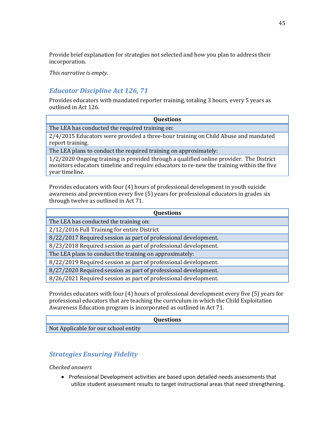Provide brief explanation for strategies not selected and how you plan to address their incorporation.

*This narrative is empty.*

# *Educator Discipline Act 126, 71*

Provides educators with mandated reporter training, totaling 3 hours, every 5 years as outlined in Act 126.

| <b>Questions</b>                                                                                                                                                                                      |
|-------------------------------------------------------------------------------------------------------------------------------------------------------------------------------------------------------|
| The LEA has conducted the required training on:                                                                                                                                                       |
| 2/4/2015 Educators were provided a three-hour training on Child Abuse and mandated<br>report training.                                                                                                |
| The LEA plans to conduct the required training on approximately:                                                                                                                                      |
| 1/2/2020 Ongoing training is provided through a qualified online provider. The District<br>monitors educators timeline and require educators to re-new the training within the five<br>year timeline. |

Provides educators with four (4) hours of professional development in youth suicide awareness and prevention every five (5) years for professional educators in grades six through twelve as outlined in Act 71.

| <b>Questions</b>                                                |
|-----------------------------------------------------------------|
| The LEA has conducted the training on:                          |
| 2/12/2016 Full Training for entire District                     |
| 8/22/2017 Required session as part of professional development. |
| 8/23/2018 Required session as part of professional development. |
| The LEA plans to conduct the training on approximately:         |
| 8/22/2019 Required session as part of professional development. |
| 8/27/2020 Required session as part of professional development. |
| 8/26/2021 Required session as part of professional development. |
|                                                                 |

Provides educators with four (4) hours of professional development every five (5) years for professional educators that are teaching the curriculum in which the Child Exploitation Awareness Education program is incorporated as outlined in Act 71.

#### **Questions**

Not Applicable for our school entity

# *Strategies Ensuring Fidelity*

#### *Checked answers*

• Professional Development activities are based upon detailed needs assessments that utilize student assessment results to target instructional areas that need strengthening.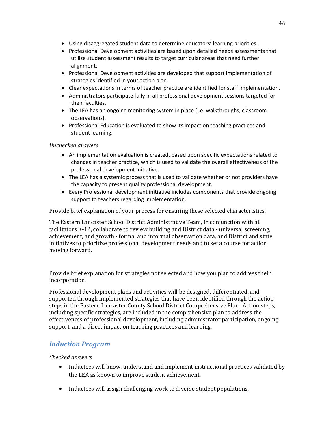- Using disaggregated student data to determine educators' learning priorities.
- Professional Development activities are based upon detailed needs assessments that utilize student assessment results to target curricular areas that need further alignment.
- Professional Development activities are developed that support implementation of strategies identified in your action plan.
- Clear expectations in terms of teacher practice are identified for staff implementation.
- Administrators participate fully in all professional development sessions targeted for their faculties.
- The LEA has an ongoing monitoring system in place (i.e. walkthroughs, classroom observations).
- Professional Education is evaluated to show its impact on teaching practices and student learning.

# *Unchecked answers*

- An implementation evaluation is created, based upon specific expectations related to changes in teacher practice, which is used to validate the overall effectiveness of the professional development initiative.
- The LEA has a systemic process that is used to validate whether or not providers have the capacity to present quality professional development.
- Every Professional development initiative includes components that provide ongoing support to teachers regarding implementation.

Provide brief explanation of your process for ensuring these selected characteristics.

The Eastern Lancaster School District Administrative Team, in conjunction with all facilitators K-12, collaborate to review building and District data - universal screening, achievement, and growth - formal and informal observation data, and District and state initiatives to prioritize professional development needs and to set a course for action moving forward.

Provide brief explanation for strategies not selected and how you plan to address their incorporation.

Professional development plans and activities will be designed, differentiated, and supported through implemented strategies that have been identified through the action steps in the Eastern Lancaster County School District Comprehensive Plan. Action steps, including specific strategies, are included in the comprehensive plan to address the effectiveness of professional development, including administrator participation, ongoing support, and a direct impact on teaching practices and learning.

# *Induction Program*

#### *Checked answers*

- Inductees will know, understand and implement instructional practices validated by the LEA as known to improve student achievement.
- Inductees will assign challenging work to diverse student populations.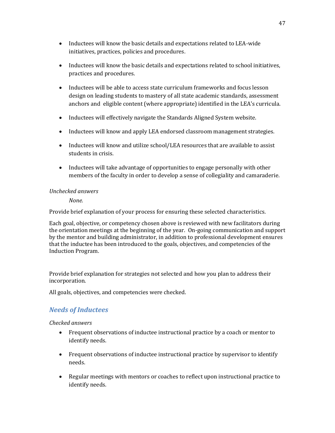- Inductees will know the basic details and expectations related to LEA-wide initiatives, practices, policies and procedures.
- Inductees will know the basic details and expectations related to school initiatives, practices and procedures.
- Inductees will be able to access state curriculum frameworks and focus lesson design on leading students to mastery of all state academic standards, assessment anchors and eligible content (where appropriate) identified in the LEA's curricula.
- Inductees will effectively navigate the Standards Aligned System website.
- Inductees will know and apply LEA endorsed classroom management strategies.
- Inductees will know and utilize school/LEA resources that are available to assist students in crisis.
- Inductees will take advantage of opportunities to engage personally with other members of the faculty in order to develop a sense of collegiality and camaraderie.

#### *Unchecked answers*

*None.*

Provide brief explanation of your process for ensuring these selected characteristics.

Each goal, objective, or competency chosen above is reviewed with new facilitators during the orientation meetings at the beginning of the year. On-going communication and support by the mentor and building administrator, in addition to professional development ensures that the inductee has been introduced to the goals, objectives, and competencies of the Induction Program.

Provide brief explanation for strategies not selected and how you plan to address their incorporation.

All goals, objectives, and competencies were checked.

# *Needs of Inductees*

*Checked answers*

- Frequent observations of inductee instructional practice by a coach or mentor to identify needs.
- Frequent observations of inductee instructional practice by supervisor to identify needs.
- Regular meetings with mentors or coaches to reflect upon instructional practice to identify needs.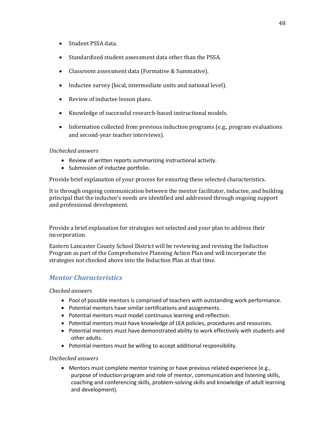- Student PSSA data.
- Standardized student assessment data other than the PSSA.
- Classroom assessment data (Formative & Summative).
- Inductee survey (local, intermediate units and national level).
- Review of inductee lesson plans.
- Knowledge of successful research-based instructional models.
- Information collected from previous induction programs (e.g., program evaluations and second-year teacher interviews).

#### *Unchecked answers*

- Review of written reports summarizing instructional activity.
- Submission of inductee portfolio.

Provide brief explanation of your process for ensuring these selected characteristics.

It is through ongoing communication between the mentor facilitator, inductee, and building principal that the inductee's needs are identified and addressed through ongoing support and professional development.

Provide a brief explanation for strategies not selected and your plan to address their incorporation.

Eastern Lancaster County School District will be reviewing and revising the Induction Program as part of the Comprehensive Planning Action Plan and will incorporate the strategies not checked above into the Induction Plan at that time.

# *Mentor Characteristics*

#### *Checked answers*

- Pool of possible mentors is comprised of teachers with outstanding work performance.
- Potential mentors have similar certifications and assignments.
- Potential mentors must model continuous learning and reflection.
- Potential mentors must have knowledge of LEA policies, procedures and resources.
- Potential mentors must have demonstrated ability to work effectively with students and other adults.
- Potential mentors must be willing to accept additional responsibility.

#### *Unchecked answers*

• Mentors must complete mentor training or have previous related experience (e.g., purpose of induction program and role of mentor, communication and listening skills, coaching and conferencing skills, problem-solving skills and knowledge of adult learning and development).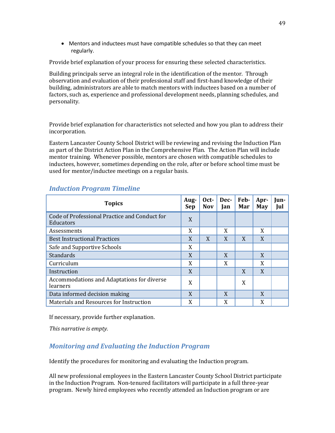• Mentors and inductees must have compatible schedules so that they can meet regularly.

Provide brief explanation of your process for ensuring these selected characteristics.

Building principals serve an integral role in the identification of the mentor. Through observation and evaluation of their professional staff and first-hand knowledge of their building, administrators are able to match mentors with inductees based on a number of factors, such as, experience and professional development needs, planning schedules, and personality.

Provide brief explanation for characteristics not selected and how you plan to address their incorporation.

Eastern Lancaster County School District will be reviewing and revising the Induction Plan as part of the District Action Plan in the Comprehensive Plan. The Action Plan will include mentor training. Whenever possible, mentors are chosen with compatible schedules to inductees, however, sometimes depending on the role, after or before school time must be used for mentor/inductee meetings on a regular basis.

| <b>Topics</b>                                              | Aug-<br>Sep | Oct-<br><b>Nov</b> | Dec-<br>Jan | Feb-<br>Mar | Apr-<br>May | Jun-<br>Jul |
|------------------------------------------------------------|-------------|--------------------|-------------|-------------|-------------|-------------|
| Code of Professional Practice and Conduct for<br>Educators | X           |                    |             |             |             |             |
| Assessments                                                | X           |                    | X           |             | X           |             |
| <b>Best Instructional Practices</b>                        | X           | X                  | X           | X           | X           |             |
| Safe and Supportive Schools                                | X           |                    |             |             |             |             |
| Standards                                                  | X           |                    | X           |             | X           |             |
| Curriculum                                                 | X           |                    | X           |             | X           |             |
| Instruction                                                | X           |                    |             | X           | X           |             |
| Accommodations and Adaptations for diverse<br>learners     | X           |                    |             | X           |             |             |
| Data informed decision making                              | X           |                    | X           |             | X           |             |
| Materials and Resources for Instruction                    | X           |                    | X           |             | X           |             |

# *Induction Program Timeline*

If necessary, provide further explanation.

*This narrative is empty.*

# *Monitoring and Evaluating the Induction Program*

Identify the procedures for monitoring and evaluating the Induction program.

All new professional employees in the Eastern Lancaster County School District participate in the Induction Program. Non-tenured facilitators will participate in a full three-year program. Newly hired employees who recently attended an Induction program or are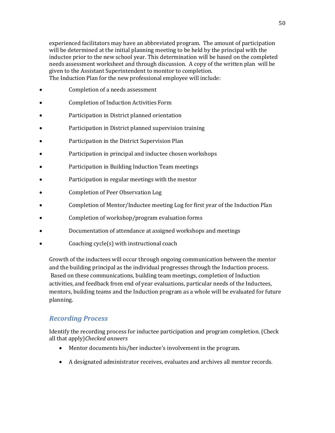experienced facilitators may have an abbreviated program. The amount of participation will be determined at the initial planning meeting to be held by the principal with the inductee prior to the new school year. This determination will be based on the completed needs assessment worksheet and through discussion. A copy of the written plan will be given to the Assistant Superintendent to monitor to completion. The Induction Plan for the new professional employee will include:

- Completion of a needs assessment
- Completion of Induction Activities Form
- Participation in District planned orientation
- Participation in District planned supervision training
- Participation in the District Supervision Plan
- Participation in principal and inductee chosen workshops
- Participation in Building Induction Team meetings
- Participation in regular meetings with the mentor
- Completion of Peer Observation Log
- Completion of Mentor/Inductee meeting Log for first year of the Induction Plan
- Completion of workshop/program evaluation forms
- Documentation of attendance at assigned workshops and meetings
- Coaching cycle(s) with instructional coach

Growth of the inductees will occur through ongoing communication between the mentor and the building principal as the individual progresses through the Induction process. Based on these communications, building team meetings, completion of Induction activities, and feedback from end of year evaluations, particular needs of the Inductees, mentors, building teams and the Induction program as a whole will be evaluated for future planning.

# *Recording Process*

Identify the recording process for inductee participation and program completion. (Check all that apply)*Checked answers*

- Mentor documents his/her inductee's involvement in the program.
- A designated administrator receives, evaluates and archives all mentor records.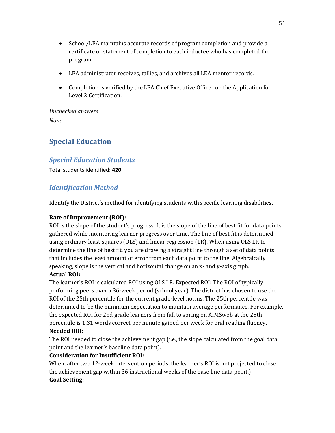- School/LEA maintains accurate records of program completion and provide a certificate or statement of completion to each inductee who has completed the program.
- LEA administrator receives, tallies, and archives all LEA mentor records.
- Completion is verified by the LEA Chief Executive Officer on the Application for Level 2 Certification.

*Unchecked answers None.*

# **Special Education**

# *Special Education Students*

Total students identified: **420**

# *Identification Method*

Identify the District's method for identifying students with specific learning disabilities.

# **Rate of Improvement (ROI):**

ROI is the slope of the student's progress. It is the slope of the line of best fit for data points gathered while monitoring learner progress over time. The line of best fit is determined using ordinary least squares (OLS) and linear regression (LR). When using OLS LR to determine the line of best fit, you are drawing a straight line through a set of data points that includes the least amount of error from each data point to the line. Algebraically speaking, slope is the vertical and horizontal change on an x- and y-axis graph.

# **Actual ROI:**

The learner's ROI is calculated ROI using OLS LR. Expected ROI: The ROI of typically performing peers over a 36-week period (school year). The district has chosen to use the ROI of the 25th percentile for the current grade-level norms. The 25th percentile was determined to be the minimum expectation to maintain average performance. For example, the expected ROI for 2nd grade learners from fall to spring on AIMSweb at the 25th percentile is 1.31 words correct per minute gained per week for oral reading fluency. **Needed ROI:**

The ROI needed to close the achievement gap (i.e., the slope calculated from the goal data point and the learner's baseline data point).

# **Consideration for Insufficient ROI:**

When, after two 12-week intervention periods, the learner's ROI is not projected to close the achievement gap within 36 instructional weeks of the base line data point.) **Goal Setting:**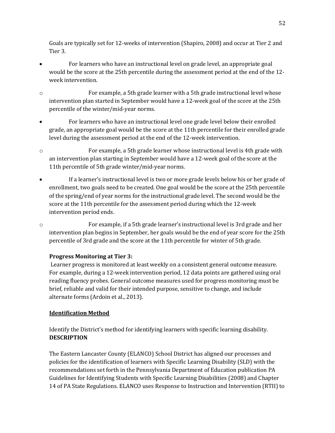Goals are typically set for 12-weeks of intervention (Shapiro, 2008) and occur at Tier 2 and Tier 3.

- For learners who have an instructional level on grade level, an appropriate goal would be the score at the 25th percentile during the assessment period at the end of the 12 week intervention.
- o For example, a 5th grade learner with a 5th grade instructional level whose intervention plan started in September would have a 12-week goal of the score at the 25th percentile of the winter/mid-year norms.
- For learners who have an instructional level one grade level below their enrolled grade, an appropriate goal would be the score at the 11th percentile for their enrolled grade level during the assessment period at the end of the 12-week intervention.
- o For example, a 5th grade learner whose instructional level is 4th grade with an intervention plan starting in September would have a 12-week goal of the score at the 11th percentile of 5th grade winter/mid-year norms.
- If a learner's instructional level is two or more grade levels below his or her grade of enrollment, two goals need to be created. One goal would be the score at the 25th percentile of the spring/end of year norms for the instructional grade level. The second would be the score at the 11th percentile for the assessment period during which the 12-week intervention period ends.
- o For example, if a 5th grade learner's instructional level is 3rd grade and her intervention plan begins in September, her goals would be the end of year score for the 25th percentile of 3rd grade and the score at the 11th percentile for winter of 5th grade.

# **Progress Monitoring at Tier 3:**

Learner progress is monitored at least weekly on a consistent general outcome measure. For example, during a 12-week intervention period, 12 data points are gathered using oral reading fluency probes. General outcome measures used for progress monitoring must be brief, reliable and valid for their intended purpose, sensitive to change, and include alternate forms (Ardoin et al., 2013).

# **Identification Method**

Identify the District's method for identifying learners with specific learning disability. **DESCRIPTION** 

The Eastern Lancaster County (ELANCO) School District has aligned our processes and policies for the identification of learners with Specific Learning Disability (SLD) with the recommendations set forth in the Pennsylvania Department of Education publication PA Guidelines for Identifying Students with Specific Learning Disabilities (2008) and Chapter 14 of PA State Regulations. ELANCO uses Response to Instruction and Intervention (RTII) to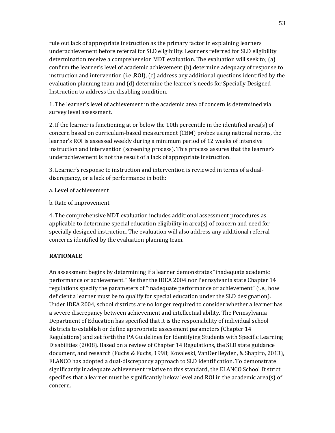rule out lack of appropriate instruction as the primary factor in explaining learners underachievement before referral for SLD eligibility. Learners referred for SLD eligibility determination receive a comprehension MDT evaluation. The evaluation will seek to; (a) confirm the learner's level of academic achievement (b) determine adequacy of response to instruction and intervention (i.e.,ROI), (c) address any additional questions identified by the evaluation planning team and (d) determine the learner's needs for Specially Designed Instruction to address the disabling condition.

1. The learner's level of achievement in the academic area of concern is determined via survey level assessment.

2. If the learner is functioning at or below the 10th percentile in the identified area(s) of concern based on curriculum-based measurement (CBM) probes using national norms, the learner's ROI is assessed weekly during a minimum period of 12 weeks of intensive instruction and intervention (screening process). This process assures that the learner's underachievement is not the result of a lack of appropriate instruction.

3. Learner's response to instruction and intervention is reviewed in terms of a dualdiscrepancy, or a lack of performance in both:

- a. Level of achievement
- b. Rate of improvement

4. The comprehensive MDT evaluation includes additional assessment procedures as applicable to determine special education eligibility in area(s) of concern and need for specially designed instruction. The evaluation will also address any additional referral concerns identified by the evaluation planning team.

# **RATIONALE**

An assessment begins by determining if a learner demonstrates "inadequate academic performance or achievement." Neither the IDEA 2004 nor Pennsylvania state Chapter 14 regulations specify the parameters of "inadequate performance or achievement" (i.e., how deficient a learner must be to qualify for special education under the SLD designation). Under IDEA 2004, school districts are no longer required to consider whether a learner has a severe discrepancy between achievement and intellectual ability. The Pennsylvania Department of Education has specified that it is the responsibility of individual school districts to establish or define appropriate assessment parameters (Chapter 14 Regulations) and set forth the PA Guidelines for Identifying Students with Specific Learning Disabilities (2008). Based on a review of Chapter 14 Regulations, the SLD state guidance document, and research (Fuchs & Fuchs, 1998; Kovaleski, VanDerHeyden, & Shapiro, 2013), ELANCO has adopted a dual-discrepancy approach to SLD identification. To demonstrate significantly inadequate achievement relative to this standard, the ELANCO School District specifies that a learner must be significantly below level and ROI in the academic area(s) of concern.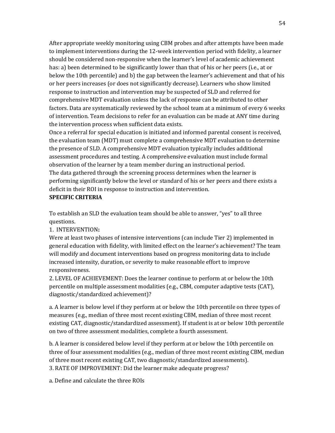After appropriate weekly monitoring using CBM probes and after attempts have been made to implement interventions during the 12-week intervention period with fidelity, a learner should be considered non-responsive when the learner's level of academic achievement has: a) been determined to be significantly lower than that of his or her peers (i.e., at or below the 10th percentile) and b) the gap between the learner's achievement and that of his or her peers increases (or does not significantly decrease). Learners who show limited response to instruction and intervention may be suspected of SLD and referred for comprehensive MDT evaluation unless the lack of response can be attributed to other factors. Data are systematically reviewed by the school team at a minimum of every 6 weeks of intervention. Team decisions to refer for an evaluation can be made at ANY time during the intervention process when sufficient data exists.

Once a referral for special education is initiated and informed parental consent is received, the evaluation team (MDT) must complete a comprehensive MDT evaluation to determine the presence of SLD. A comprehensive MDT evaluation typically includes additional assessment procedures and testing. A comprehensive evaluation must include formal observation of the learner by a team member during an instructional period. The data gathered through the screening process determines when the learner is performing significantly below the level or standard of his or her peers and there exists a deficit in their ROI in response to instruction and intervention.

#### **SPECIFIC CRITERIA**

To establish an SLD the evaluation team should be able to answer, "yes" to all three questions.

# 1. INTERVENTION**:**

Were at least two phases of intensive interventions (can include Tier 2) implemented in general education with fidelity, with limited effect on the learner's achievement? The team will modify and document interventions based on progress monitoring data to include increased intensity, duration, or severity to make reasonable effort to improve responsiveness.

2. LEVEL OF ACHIEVEMENT: Does the learner continue to perform at or below the 10th percentile on multiple assessment modalities (e.g., CBM, computer adaptive tests (CAT), diagnostic/standardized achievement)?

a. A learner is below level if they perform at or below the 10th percentile on three types of measures (e.g., median of three most recent existing CBM, median of three most recent existing CAT, diagnostic/standardized assessment). If student is at or below 10th percentile on two of three assessment modalities, complete a fourth assessment.

b. A learner is considered below level if they perform at or below the 10th percentile on three of four assessment modalities (e.g., median of three most recent existing CBM, median of three most recent existing CAT, two diagnostic/standardized assessments). 3. RATE OF IMPROVEMENT: Did the learner make adequate progress?

a. Define and calculate the three ROIs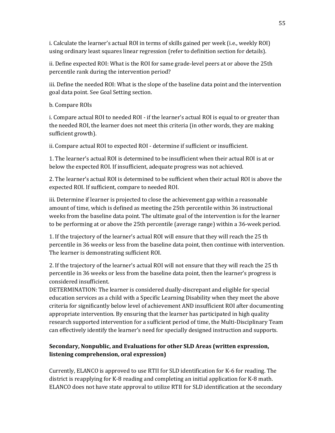i. Calculate the learner's actual ROI in terms of skills gained per week (i.e., weekly ROI) using ordinary least squares linear regression (refer to definition section for details).

ii. Define expected ROI: What is the ROI for same grade-level peers at or above the 25th percentile rank during the intervention period?

iii. Define the needed ROI: What is the slope of the baseline data point and the intervention goal data point. See Goal Setting section.

# b. Compare ROIs

i. Compare actual ROI to needed ROI - if the learner's actual ROI is equal to or greater than the needed ROI, the learner does not meet this criteria (in other words, they are making sufficient growth).

ii. Compare actual ROI to expected ROI - determine if sufficient or insufficient.

1. The learner's actual ROI is determined to be insufficient when their actual ROI is at or below the expected ROI. If insufficient, adequate progress was not achieved.

2. The learner's actual ROI is determined to be sufficient when their actual ROI is above the expected ROI. If sufficient, compare to needed ROI.

iii. Determine if learner is projected to close the achievement gap within a reasonable amount of time, which is defined as meeting the 25th percentile within 36 instructional weeks from the baseline data point. The ultimate goal of the intervention is for the learner to be performing at or above the 25th percentile (average range) within a 36-week period.

1. If the trajectory of the learner's actual ROI will ensure that they will reach the 25 th percentile in 36 weeks or less from the baseline data point, then continue with intervention. The learner is demonstrating sufficient ROI.

2. If the trajectory of the learner's actual ROI will not ensure that they will reach the 25 th percentile in 36 weeks or less from the baseline data point, then the learner's progress is considered insufficient.

DETERMINATION: The learner is considered dually-discrepant and eligible for special education services as a child with a Specific Learning Disability when they meet the above criteria for significantly below level of achievement AND insufficient ROI after documenting appropriate intervention. By ensuring that the learner has participated in high quality research supported intervention for a sufficient period of time, the Multi-Disciplinary Team can effectively identify the learner's need for specially designed instruction and supports.

# **Secondary, Nonpublic, and Evaluations for other SLD Areas (written expression, listening comprehension, oral expression)**

Currently, ELANCO is approved to use RTII for SLD identification for K-6 for reading. The district is reapplying for K-8 reading and completing an initial application for K-8 math. ELANCO does not have state approval to utilize RTII for SLD identification at the secondary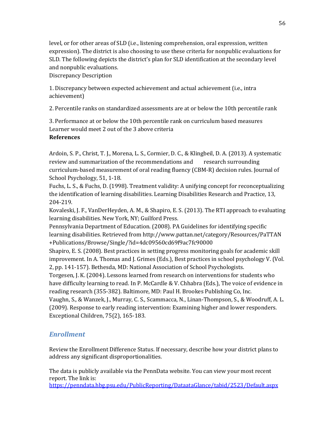level, or for other areas of SLD (i.e., listening comprehension, oral expression, written expression). The district is also choosing to use these criteria for nonpublic evaluations for SLD. The following depicts the district's plan for SLD identification at the secondary level and nonpublic evaluations.

Discrepancy Description

1. Discrepancy between expected achievement and actual achievement (i.e., intra achievement)

2. Percentile ranks on standardized assessments are at or below the 10th percentile rank

3. Performance at or below the 10th percentile rank on curriculum based measures Learner would meet 2 out of the 3 above criteria

# **References**

Ardoin, S. P., Christ, T. J., Morena, L. S., Cormier, D. C., & Klingbeil, D. A. (2013). A systematic review and summarization of the recommendations and research surrounding curriculum-based measurement of oral reading fluency (CBM-R) decision rules. Journal of School Psychology, 51, 1-18.

Fuchs, L. S., & Fuchs, D. (1998). Treatment validity: A unifying concept for reconceptualizing the identification of learning disabilities. Learning Disabilities Research and Practice, 13, 204-219.

Kovaleski, J. F., VanDerHeyden, A. M., & Shapiro, E. S. (2013). The RTI approach to evaluating learning disabilities. New York, NY; Guilford Press.

Pennsylvania Department of Education. (2008). PA Guidelines for identifying specific learning disabilities. Retrieved from http://www.pattan.net/category/Resources/PaTTAN +Publications/Browse/Single/?id=4dc09560cd69f9ac7fc90000

Shapiro, E. S. (2008). Best practices in setting progress monitoring goals for academic skill improvement. In A. Thomas and J. Grimes (Eds.), Best practices in school psychology V. (Vol. 2, pp. 141-157). Bethesda, MD: National Association of School Psychologists.

Torgesen, J. K. (2004). Lessons learned from research on interventions for students who have difficulty learning to read. In P. McCardle & V. Chhabra (Eds.), The voice of evidence in reading research (355-382). Baltimore, MD: Paul H. Brookes Publishing Co, Inc. Vaughn, S., & Wanzek, J., Murray, C. S., Scammacca, N., Linan-Thompson, S., & Woodruff, A. L. (2009). Response to early reading intervention: Examining higher and lower responders.

# Exceptional Children, 75(2), 165-183.

# *Enrollment*

Review the Enrollment Difference Status. If necessary, describe how your district plans to address any significant disproportionalities.

The data is publicly available via the PennData website. You can view your most recent report. The link is: <https://penndata.hbg.psu.edu/PublicReporting/DataataGlance/tabid/2523/Default.aspx>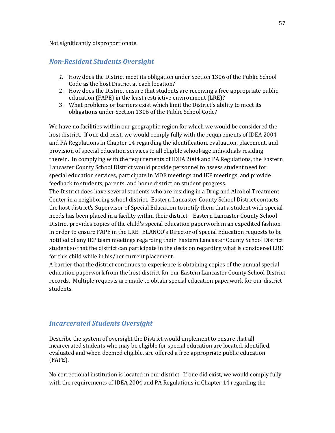#### Not significantly disproportionate.

# *Non-Resident Students Oversight*

- *1.* How does the District meet its obligation under Section 1306 of the Public School Code as the host District at each location?
- 2. How does the District ensure that students are receiving a free appropriate public education (FAPE) in the least restrictive environment (LRE)?
- 3. What problems or barriers exist which limit the District's ability to meet its obligations under Section 1306 of the Public School Code?

We have no facilities within our geographic region for which we would be considered the host district. If one did exist, we would comply fully with the requirements of IDEA 2004 and PA Regulations in Chapter 14 regarding the identification, evaluation, placement, and provision of special education services to all eligible school-age individuals residing therein. In complying with the requirements of IDEA 2004 and PA Regulations, the Eastern Lancaster County School District would provide personnel to assess student need for special education services, participate in MDE meetings and IEP meetings, and provide feedback to students, parents, and home district on student progress.

The District does have several students who are residing in a Drug and Alcohol Treatment Center in a neighboring school district. Eastern Lancaster County School District contacts the host district's Supervisor of Special Education to notify them that a student with special needs has been placed in a facility within their district. Eastern Lancaster County School District provides copies of the child's special education paperwork in an expedited fashion in order to ensure FAPE in the LRE. ELANCO's Director of Special Education requests to be notified of any IEP team meetings regarding their Eastern Lancaster County School District student so that the district can participate in the decision regarding what is considered LRE for this child while in his/her current placement.

A barrier that the district continues to experience is obtaining copies of the annual special education paperwork from the host district for our Eastern Lancaster County School District records. Multiple requests are made to obtain special education paperwork for our district students.

# *Incarcerated Students Oversight*

Describe the system of oversight the District would implement to ensure that all incarcerated students who may be eligible for special education are located, identified, evaluated and when deemed eligible, are offered a free appropriate public education (FAPE).

No correctional institution is located in our district. If one did exist, we would comply fully with the requirements of IDEA 2004 and PA Regulations in Chapter 14 regarding the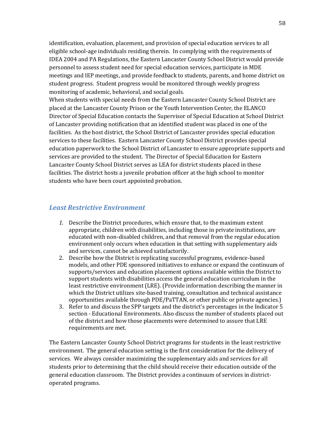identification, evaluation, placement, and provision of special education services to all eligible school-age individuals residing therein. In complying with the requirements of IDEA 2004 and PA Regulations, the Eastern Lancaster County School District would provide personnel to assess student need for special education services, participate in MDE meetings and IEP meetings, and provide feedback to students, parents, and home district on student progress. Student progress would be monitored through weekly progress monitoring of academic, behavioral, and social goals.

When students with special needs from the Eastern Lancaster County School District are placed at the Lancaster County Prison or the Youth Intervention Center, the ELANCO Director of Special Education contacts the Supervisor of Special Education at School District of Lancaster providing notification that an identified student was placed in one of the facilities. As the host district, the School District of Lancaster provides special education services to these facilities. Eastern Lancaster County School District provides special education paperwork to the School District of Lancaster to ensure appropriate supports and services are provided to the student. The Director of Special Education for Eastern Lancaster County School District serves as LEA for district students placed in these facilities. The district hosts a juvenile probation officer at the high school to monitor students who have been court appointed probation.

### *Least Restrictive Environment*

- *1.* Describe the District procedures, which ensure that, to the maximum extent appropriate, children with disabilities, including those in private institutions, are educated with non-disabled children, and that removal from the regular education environment only occurs when education in that setting with supplementary aids and services, cannot be achieved satisfactorily.
- 2. Describe how the District is replicating successful programs, evidence-based models, and other PDE sponsored initiatives to enhance or expand the continuum of supports/services and education placement options available within the District to support students with disabilities access the general education curriculum in the least restrictive environment (LRE). (Provide information describing the manner in which the District utilizes site-based training, consultation and technical assistance opportunities available through PDE/PaTTAN, or other public or private agencies.)
- 3. Refer to and discuss the SPP targets and the district's percentages in the Indicator 5 section - Educational Environments. Also discuss the number of students placed out of the district and how those placements were determined to assure that LRE requirements are met.

The Eastern Lancaster County School District programs for students in the least restrictive environment. The general education setting is the first consideration for the delivery of services. We always consider maximizing the supplementary aids and services for all students prior to determining that the child should receive their education outside of the general education classroom. The District provides a continuum of services in districtoperated programs.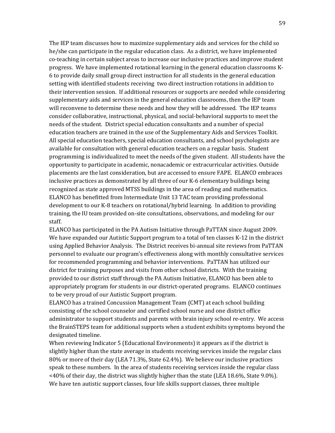The IEP team discusses how to maximize supplementary aids and services for the child so he/she can participate in the regular education class. As a district, we have implemented co-teaching in certain subject areas to increase our inclusive practices and improve student progress. We have implemented rotational learning in the general education classrooms K-6 to provide daily small group direct instruction for all students in the general education setting with identified students receiving two direct instruction rotations in addition to their intervention session. If additional resources or supports are needed while considering supplementary aids and services in the general education classrooms, then the IEP team will reconvene to determine these needs and how they will be addressed. The IEP teams consider collaborative, instructional, physical, and social-behavioral supports to meet the needs of the student. District special education consultants and a number of special education teachers are trained in the use of the Supplementary Aids and Services Toolkit. All special education teachers, special education consultants, and school psychologists are available for consultation with general education teachers on a regular basis. Student programming is individualized to meet the needs of the given student. All students have the opportunity to participate in academic, nonacademic or extracurricular activities. Outside placements are the last consideration, but are accessed to ensure FAPE. ELANCO embraces inclusive practices as demonstrated by all three of our K-6 elementary buildings being recognized as state approved MTSS buildings in the area of reading and mathematics. ELANCO has benefitted from Intermediate Unit 13 TAC team providing professional development to our K-8 teachers on rotational/hybrid learning. In addition to providing training, the IU team provided on-site consultations, observations, and modeling for our staff.

ELANCO has participated in the PA Autism Initiative through PaTTAN since August 2009. We have expanded our Autistic Support program to a total of ten classes K-12 in the district using Applied Behavior Analysis. The District receives bi-annual site reviews from PaTTAN personnel to evaluate our program's effectiveness along with monthly consultative services for recommended programming and behavior interventions. PaTTAN has utilized our district for training purposes and visits from other school districts. With the training provided to our district staff through the PA Autism Initiative, ELANCO has been able to appropriately program for students in our district-operated programs. ELANCO continues to be very proud of our Autistic Support program.

ELANCO has a trained Concussion Management Team (CMT) at each school building consisting of the school counselor and certified school nurse and one district office administrator to support students and parents with brain injury school re-entry. We access the BrainSTEPS team for additional supports when a student exhibits symptoms beyond the designated timeline.

When reviewing Indicator 5 (Educational Environments) it appears as if the district is slightly higher than the state average in students receiving services inside the regular class 80% or more of their day (LEA 71.3%, State 62.4%). We believe our inclusive practices speak to these numbers. In the area of students receiving services inside the regular class <40% of their day, the district was slightly higher than the state (LEA 18.6%, State 9.0%). We have ten autistic support classes, four life skills support classes, three multiple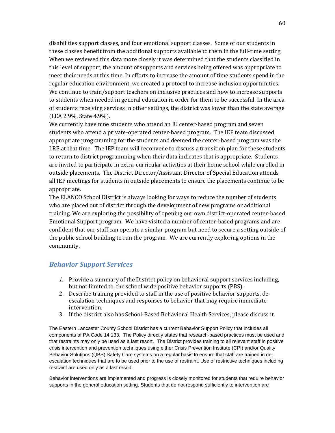disabilities support classes, and four emotional support classes. Some of our students in these classes benefit from the additional supports available to them in the full-time setting. When we reviewed this data more closely it was determined that the students classified in this level of support, the amount of supports and services being offered was appropriate to meet their needs at this time. In efforts to increase the amount of time students spend in the regular education environment, we created a protocol to increase inclusion opportunities. We continue to train/support teachers on inclusive practices and how to increase supports to students when needed in general education in order for them to be successful. In the area of students receiving services in other settings, the district was lower than the state average (LEA 2.9%, State 4.9%).

We currently have nine students who attend an IU center-based program and seven students who attend a private-operated center-based program. The IEP team discussed appropriate programming for the students and deemed the center-based program was the LRE at that time. The IEP team will reconvene to discuss a transition plan for these students to return to district programming when their data indicates that is appropriate. Students are invited to participate in extra-curricular activities at their home school while enrolled in outside placements. The District Director/Assistant Director of Special Education attends all IEP meetings for students in outside placements to ensure the placements continue to be appropriate.

The ELANCO School District is always looking for ways to reduce the number of students who are placed out of district through the development of new programs or additional training. We are exploring the possibility of opening our own district-operated center-based Emotional Support program. We have visited a number of center-based programs and are confident that our staff can operate a similar program but need to secure a setting outside of the public school building to run the program. We are currently exploring options in the community.

# *Behavior Support Services*

- *1.* Provide a summary of the District policy on behavioral support services including, but not limited to, the school wide positive behavior supports (PBS).
- 2. Describe training provided to staff in the use of positive behavior supports, deescalation techniques and responses to behavior that may require immediate intervention.
- 3. If the district also has School-Based Behavioral Health Services, please discuss it.

The Eastern Lancaster County School District has a current Behavior Support Policy that includes all components of PA Code 14.133. The Policy directly states that research-based practices must be used and that restraints may only be used as a last resort. The District provides training to all relevant staff in positive crisis intervention and prevention techniques using either Crisis Prevention Institute (CPI) and/or Quality Behavior Solutions (QBS) Safety Care systems on a regular basis to ensure that staff are trained in deescalation techniques that are to be used prior to the use of restraint. Use of restrictive techniques including restraint are used only as a last resort.

Behavior interventions are implemented and progress is closely monitored for students that require behavior supports in the general education setting. Students that do not respond sufficiently to intervention are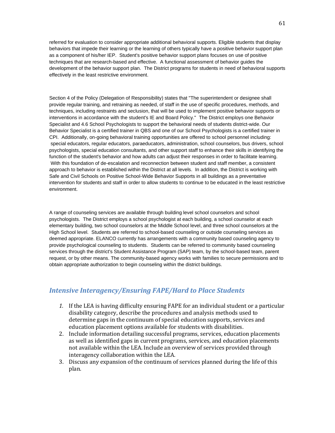referred for evaluation to consider appropriate additional behavioral supports. Eligible students that display behaviors that impede their learning or the learning of others typically have a positive behavior support plan as a component of his/her IEP. Student's positive behavior support plans focuses on use of positive techniques that are research-based and effective. A functional assessment of behavior guides the development of the behavior support plan. The District programs for students in need of behavioral supports effectively in the least restrictive environment.

Section 4 of the Policy (Delegation of Responsibility) states that "The superintendent or designee shall provide regular training, and retraining as needed, of staff in the use of specific procedures, methods, and techniques, including restraints and seclusion, that will be used to implement positive behavior supports or interventions in accordance with the student's IE and Board Policy." The District employs one Behavior Specialist and 4.6 School Psychologists to support the behavioral needs of students district-wide. Our Behavior Specialist is a certified trainer in QBS and one of our School Psychologists is a certified trainer in CPI. Additionally, on-going behavioral training opportunities are offered to school personnel including: special educators, regular educators, paraeducators, administration, school counselors, bus drivers, school psychologists, special education consultants, and other support staff to enhance their skills in identifying the function of the student's behavior and how adults can adjust their responses in order to facilitate learning. With this foundation of de-escalation and reconnection between student and staff member, a consistent approach to behavior is established within the District at all levels. In addition, the District is working with Safe and Civil Schools on Positive School-Wide Behavior Supports in all buildings as a preventative intervention for students and staff in order to allow students to continue to be educated in the least restrictive environment.

A range of counseling services are available through building level school counselors and school psychologists. The District employs a school psychologist at each building, a school counselor at each elementary building, two school counselors at the Middle School level, and three school counselors at the High School level. Students are referred to school-based counseling or outside counseling services as deemed appropriate. ELANCO currently has arrangements with a community based counseling agency to provide psychological counseling to students. Students can be referred to community based counseling services through the district's Student Assistance Program (SAP) team, by the school-based team, parent request, or by other means. The community-based agency works with families to secure permissions and to obtain appropriate authorization to begin counseling within the district buildings.

# *Intensive Interagency/Ensuring FAPE/Hard to Place Students*

- *1.* If the LEA is having difficulty ensuring FAPE for an individual student or a particular disability category, describe the procedures and analysis methods used to determine gaps in the continuum of special education supports, services and education placement options available for students with disabilities.
- 2. Include information detailing successful programs, services, education placements as well as identified gaps in current programs, services, and education placements not available within the LEA. Include an overview of services provided through interagency collaboration within the LEA.
- 3. Discuss any expansion of the continuum of services planned during the life of this plan.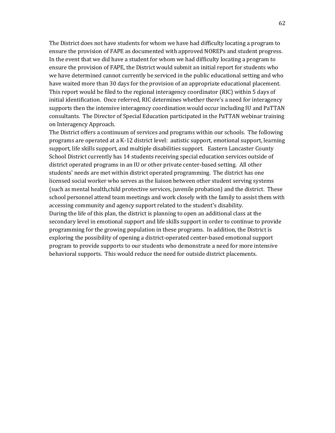The District does not have students for whom we have had difficulty locating a program to ensure the provision of FAPE as documented with approved NOREPs and student progress. In the event that we did have a student for whom we had difficulty locating a program to ensure the provision of FAPE, the District would submit an initial report for students who we have determined cannot currently be serviced in the public educational setting and who have waited more than 30 days for the provision of an appropriate educational placement. This report would be filed to the regional interagency coordinator (RIC) within 5 days of initial identification. Once referred, RIC determines whether there's a need for interagency supports then the intensive interagency coordination would occur including IU and PaTTAN consultants. The Director of Special Education participated in the PaTTAN webinar training on Interagency Approach.

The District offers a continuum of services and programs within our schools. The following programs are operated at a K-12 district level: autistic support, emotional support, learning support, life skills support, and multiple disabilities support. Eastern Lancaster County School District currently has 14 students receiving special education services outside of district operated programs in an IU or other private center-based setting. All other students' needs are met within district operated programming. The district has one licensed social worker who serves as the liaison between other student serving systems (such as mental health,child protective services, juvenile probation) and the district. These school personnel attend team meetings and work closely with the family to assist them with accessing community and agency support related to the student's disability. During the life of this plan, the district is planning to open an additional class at the secondary level in emotional support and life skills support in order to continue to provide programming for the growing population in these programs. In addition, the District is exploring the possibility of opening a district-operated center-based emotional support program to provide supports to our students who demonstrate a need for more intensive behavioral supports. This would reduce the need for outside district placements.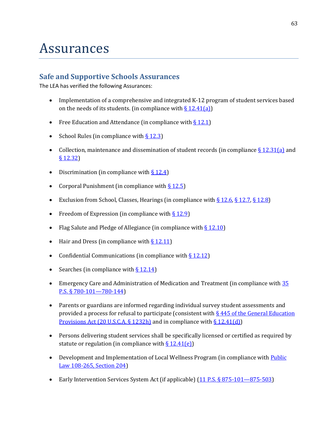# Assurances

# **Safe and Supportive Schools Assurances**

The LEA has verified the following Assurances:

- Implementation of a comprehensive and integrated K-12 program of student services based on the needs of its students. (in compliance with  $\S 12.41(a)$ )
- Free Education and Attendance (in compliance with  $\S 12.1$ )
- School Rules (in compliance with  $\S$  12.3)
- Collection, maintenance and dissemination of student records (in compliance  $\S 12.31(a)$  and [§ 12.32\)](http://www.pacode.com/secure/data/022/chapter12/s12.32.html)
- Discrimination (in compliance with  $\S 12.4$ )
- Corporal Punishment (in compliance with  $\S$  12.5)
- Exclusion from School, Classes, Hearings (in compliance with  $\S 12.6$ ,  $\S 12.7$ ,  $\S 12.8$ )
- Freedom of Expression (in compliance with  $\S 12.9$ )
- Flag Salute and Pledge of Allegiance (in compliance with  $\S$  12.10)
- Hair and Dress (in compliance with  $\S$  12.11)
- Confidential Communications (in compliance with  $\S 12.12$ )
- Searches (in compliance with  $\S 12.14$ )
- Emergency Care and Administration of Medication and Treatment (in compliance with 35 [P.S. § 780-101](http://government.westlaw.com/linkedslice/default.asp?SP=PAC-1000)—780-144)
- Parents or guardians are informed regarding individual survey student assessments and provided a process for refusal to participate (consistent with § 445 of the General Education [Provisions Act \(20 U.S.C.A. § 1232h\)](http://www2.ed.gov/policy/elsec/leg/esea02/pg122.html) and in compliance wit[h § 12.41\(d\)\)](http://www.pacode.com/secure/data/022/chapter12/s12.41.html)
- Persons delivering student services shall be specifically licensed or certified as required by statute or regulation (in compliance with  $\S 12.41(e)$ )
- Development and Implementation of Local Wellness Program (in compliance with Public [Law 108-265, Section 204\)](http://www.fns.usda.gov/cnd/governance/legislation/historical/pl_108-265.pdf)
- Early Intervention Services System Act (if applicable) [\(11 P.S. § 875-101](http://government.westlaw.com/linkedslice/default.asp?SP=PAC-1000)-875-503)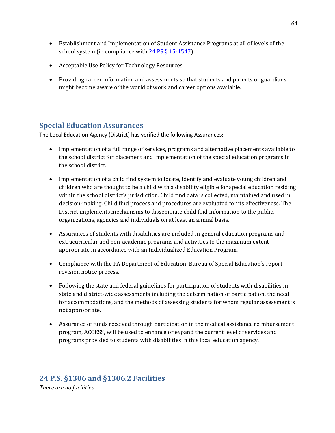- Establishment and Implementation of Student Assistance Programs at all of levels of the school system (in compliance with 24 [PS § 15-1547\)](http://www.pacode.com/secure/data/022/chapter12/s12.42.html)
- Acceptable Use Policy for Technology Resources
- Providing career information and assessments so that students and parents or guardians might become aware of the world of work and career options available.

# **Special Education Assurances**

The Local Education Agency (District) has verified the following Assurances:

- Implementation of a full range of services, programs and alternative placements available to the school district for placement and implementation of the special education programs in the school district.
- Implementation of a child find system to locate, identify and evaluate young children and children who are thought to be a child with a disability eligible for special education residing within the school district's jurisdiction. Child find data is collected, maintained and used in decision-making. Child find process and procedures are evaluated for its effectiveness. The District implements mechanisms to disseminate child find information to the public, organizations, agencies and individuals on at least an annual basis.
- Assurances of students with disabilities are included in general education programs and extracurricular and non-academic programs and activities to the maximum extent appropriate in accordance with an Individualized Education Program.
- Compliance with the PA Department of Education, Bureau of Special Education's report revision notice process.
- Following the state and federal guidelines for participation of students with disabilities in state and district-wide assessments including the determination of participation, the need for accommodations, and the methods of assessing students for whom regular assessment is not appropriate.
- Assurance of funds received through participation in the medical assistance reimbursement program, ACCESS, will be used to enhance or expand the current level of services and programs provided to students with disabilities in this local education agency.

# **24 P.S. §1306 and §1306.2 Facilities**

*There are no facilities.*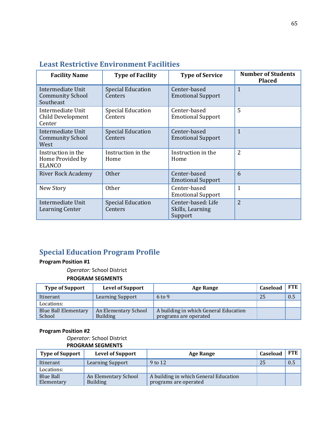| <b>Facility Name</b>                                      | <b>Type of Facility</b>             | <b>Type of Service</b>                            | <b>Number of Students</b><br><b>Placed</b> |
|-----------------------------------------------------------|-------------------------------------|---------------------------------------------------|--------------------------------------------|
| Intermediate Unit<br><b>Community School</b><br>Southeast | <b>Special Education</b><br>Centers | Center-based<br><b>Emotional Support</b>          | $\mathbf{1}$                               |
| Intermediate Unit<br>Child Development<br>Center          | <b>Special Education</b><br>Centers | Center-based<br><b>Emotional Support</b>          | 5                                          |
| Intermediate Unit<br><b>Community School</b><br>West      | <b>Special Education</b><br>Centers | Center-based<br><b>Emotional Support</b>          | $\mathbf{1}$                               |
| Instruction in the<br>Home Provided by<br><b>ELANCO</b>   | Instruction in the<br>Home          | Instruction in the<br>Home                        | $\overline{2}$                             |
| <b>River Rock Academy</b>                                 | <b>Other</b>                        | Center-based<br><b>Emotional Support</b>          | 6                                          |
| New Story                                                 | <b>Other</b>                        | Center-based<br><b>Emotional Support</b>          | $\overline{1}$                             |
| Intermediate Unit<br><b>Learning Center</b>               | <b>Special Education</b><br>Centers | Center-based: Life<br>Skills, Learning<br>Support | $\overline{2}$                             |

# **Least Restrictive Environment Facilities**

# **Special Education Program Profile**

# **Program Position #1**

*Operator:* School District

#### **PROGRAM SEGMENTS**

| <b>Type of Support</b>                | <b>Level of Support</b>                 | <b>Age Range</b>                                               | Caseload | <b>FTE</b> |
|---------------------------------------|-----------------------------------------|----------------------------------------------------------------|----------|------------|
| Itinerant                             | <b>Learning Support</b>                 | $6$ to 9                                                       | 25       | 0.5        |
| Locations:                            |                                         |                                                                |          |            |
| <b>Blue Ball Elementary</b><br>School | An Elementary School<br><b>Building</b> | A building in which General Education<br>programs are operated |          |            |

# **Program Position #2**

#### *Operator:* School District **PROGRAM SEGMENTS**

| <b>Type of Support</b>  | <b>Level of Support</b>                 | <b>Age Range</b>                                               | Caseload | <b>FTE</b> |
|-------------------------|-----------------------------------------|----------------------------------------------------------------|----------|------------|
| Itinerant               | Learning Support                        | 9 to 12                                                        | 25       | 0.5        |
| Locations:              |                                         |                                                                |          |            |
| Blue Ball<br>Elementary | An Elementary School<br><b>Building</b> | A building in which General Education<br>programs are operated |          |            |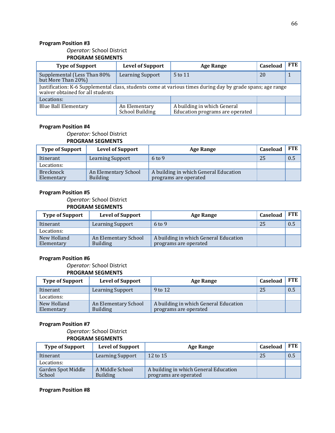#### *Operator:* School District **PROGRAM SEGMENTS**

| <b>Type of Support</b>                                                                                                                         | <b>Level of Support</b>                 | <b>Age Range</b>                                               | Caseload | <b>FTE</b> |  |
|------------------------------------------------------------------------------------------------------------------------------------------------|-----------------------------------------|----------------------------------------------------------------|----------|------------|--|
| Supplemental (Less Than 80%<br>Learning Support<br>but More Than 20%)                                                                          |                                         | 5 to 11                                                        | 20       |            |  |
| Justification: K-6 Supplemental class, students come at various times during day by grade spans; age range<br>waiver obtained for all students |                                         |                                                                |          |            |  |
| Locations:                                                                                                                                     |                                         |                                                                |          |            |  |
| <b>Blue Ball Elementary</b>                                                                                                                    | An Elementary<br><b>School Building</b> | A building in which General<br>Education programs are operated |          |            |  |

#### **Program Position #4**

#### *Operator:* School District **PROGRAM SEGMENTS**

| <b>Type of Support</b>         | <b>Level of Support</b>                 | <b>Age Range</b>                                               | Caseload | <b>FTE</b> |
|--------------------------------|-----------------------------------------|----------------------------------------------------------------|----------|------------|
| Itinerant                      | <b>Learning Support</b>                 | $6$ to 9                                                       | 25       | 0.5        |
| Locations:                     |                                         |                                                                |          |            |
| <b>Brecknock</b><br>Elementary | An Elementary School<br><b>Building</b> | A building in which General Education<br>programs are operated |          |            |

#### **Program Position #5**

#### *Operator:* School District **PROGRAM SEGMENTS**

| <b>Type of Support</b>    | <b>Level of Support</b>                 | <b>Age Range</b>                                               | Caseload | <b>FTE</b> |
|---------------------------|-----------------------------------------|----------------------------------------------------------------|----------|------------|
| Itinerant                 | <b>Learning Support</b>                 | $6 \text{ to } 9$                                              | 25       | 0.5        |
| Locations:                |                                         |                                                                |          |            |
| New Holland<br>Elementary | An Elementary School<br><b>Building</b> | A building in which General Education<br>programs are operated |          |            |

#### **Program Position #6**

*Operator:* School District

#### **PROGRAM SEGMENTS**

| <b>Type of Support</b>    | <b>Level of Support</b>                 | <b>Age Range</b>                                               | Caseload | <b>FTE</b> |
|---------------------------|-----------------------------------------|----------------------------------------------------------------|----------|------------|
| Itinerant                 | Learning Support                        | 9 to 12                                                        | 25       | 0.5        |
| Locations:                |                                         |                                                                |          |            |
| New Holland<br>Elementary | An Elementary School<br><b>Building</b> | A building in which General Education<br>programs are operated |          |            |

#### **Program Position #7**

*Operator:* School District

#### **PROGRAM SEGMENTS**

| <b>Type of Support</b>              | <b>Level of Support</b>            | Age Range                                                      | Caseload | <b>FTE</b> |
|-------------------------------------|------------------------------------|----------------------------------------------------------------|----------|------------|
| Itinerant                           | <b>Learning Support</b>            | 12 to 15                                                       | 25       | 0.5        |
| Locations:                          |                                    |                                                                |          |            |
| <b>Garden Spot Middle</b><br>School | A Middle School<br><b>Building</b> | A building in which General Education<br>programs are operated |          |            |

#### **Program Position #8**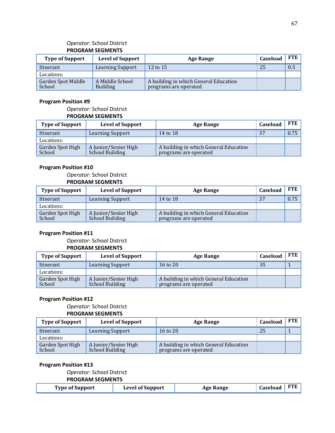### *Operator:* School District **PROGRAM SEGMENTS**

| <b>Type of Support</b>       | <b>Level of Support</b>            | <b>Age Range</b>                                               | Caseload | <b>FTE</b> |
|------------------------------|------------------------------------|----------------------------------------------------------------|----------|------------|
| Itinerant                    | <b>Learning Support</b>            | 12 to 15                                                       | 25       | 0.5        |
| Locations:                   |                                    |                                                                |          |            |
| Garden Spot Middle<br>School | A Middle School<br><b>Building</b> | A building in which General Education<br>programs are operated |          |            |

#### **Program Position #9**

# *Operator:* School District **PROGRAM SEGMENTS**

| <b>Type of Support</b>     | <b>Level of Support</b>                 | <b>Age Range</b>                                               | Caseload | FTE  |
|----------------------------|-----------------------------------------|----------------------------------------------------------------|----------|------|
| Itinerant                  | <b>Learning Support</b>                 | 14 to 18                                                       | 37       | 0.75 |
| Locations:                 |                                         |                                                                |          |      |
| Garden Spot High<br>School | A Junior/Senior High<br>School Building | A building in which General Education<br>programs are operated |          |      |

#### **Program Position #10**

*Operator:* School District **PROGRAM SEGMENTS**

| <b>Type of Support</b>     | <b>Level of Support</b>                 | Age Range                                                      | Caseload | <b>FTE</b> |
|----------------------------|-----------------------------------------|----------------------------------------------------------------|----------|------------|
| Itinerant                  | <b>Learning Support</b>                 | 14 to 18                                                       | 37       | 0.75       |
| Locations:                 |                                         |                                                                |          |            |
| Garden Spot High<br>School | A Junior/Senior High<br>School Building | A building in which General Education<br>programs are operated |          |            |

#### **Program Position #11**

#### *Operator:* School District **PROGRAM SEGMENTS**

| <b>Type of Support</b>     | <b>Level of Support</b>                 | <b>Age Range</b>                                               | Caseload | <b>FTE</b> |
|----------------------------|-----------------------------------------|----------------------------------------------------------------|----------|------------|
| Itinerant                  | <b>Learning Support</b>                 | $16$ to $20$                                                   | 35       |            |
| Locations:                 |                                         |                                                                |          |            |
| Garden Spot High<br>School | A Junior/Senior High<br>School Building | A building in which General Education<br>programs are operated |          |            |

#### **Program Position #12**

# *Operator:* School District

#### **PROGRAM SEGMENTS**

| <b>Type of Support</b>     | <b>Level of Support</b>                        | <b>Age Range</b>                                               | Caseload | <b>FTE</b> |
|----------------------------|------------------------------------------------|----------------------------------------------------------------|----------|------------|
| Itinerant                  | <b>Learning Support</b>                        | 16 to $20$                                                     | 25       |            |
| Locations:                 |                                                |                                                                |          |            |
| Garden Spot High<br>School | A Junior/Senior High<br><b>School Building</b> | A building in which General Education<br>programs are operated |          |            |

#### **Program Position #13**

#### *Operator:* School District

### **PROGRAM SEGMENTS**

| $\vert$ Caseload FTE<br><b>Level of Support</b><br><b>Type of Support</b><br><b>Age Range</b> |  |  |
|-----------------------------------------------------------------------------------------------|--|--|
|-----------------------------------------------------------------------------------------------|--|--|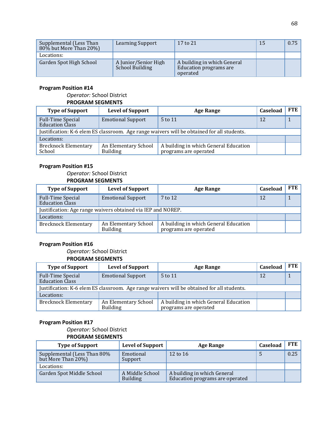| Supplemental (Less Than<br>80% but More Than 20%) | <b>Learning Support</b>                        | 17 to 21                                                          | 15 | 0.75 |
|---------------------------------------------------|------------------------------------------------|-------------------------------------------------------------------|----|------|
| Locations:                                        |                                                |                                                                   |    |      |
| Garden Spot High School                           | A Junior/Senior High<br><b>School Building</b> | A building in which General<br>Education programs are<br>operated |    |      |

# *Operator:* School District

# **PROGRAM SEGMENTS**

| <b>Type of Support</b>                                                                     | <b>Level of Support</b>                 | <b>Age Range</b>                                               | Caseload | <b>FTE</b> |
|--------------------------------------------------------------------------------------------|-----------------------------------------|----------------------------------------------------------------|----------|------------|
| <b>Full-Time Special</b><br><b>Education Class</b>                                         | <b>Emotional Support</b>                | 5 to 11                                                        | 12       |            |
| Justification: K-6 elem ES classroom. Age range waivers will be obtained for all students. |                                         |                                                                |          |            |
| Locations:                                                                                 |                                         |                                                                |          |            |
| <b>Brecknock Elementary</b><br>School                                                      | An Elementary School<br><b>Building</b> | A building in which General Education<br>programs are operated |          |            |

# **Program Position #15**

#### *Operator:* School District **PROGRAM SEGMENTS**

| <b>Type of Support</b>                                       | <b>Level of Support</b>                 | <b>Age Range</b>                                               | Caseload | <b>FTE</b> |
|--------------------------------------------------------------|-----------------------------------------|----------------------------------------------------------------|----------|------------|
| <b>Full-Time Special</b><br><b>Education Class</b>           | <b>Emotional Support</b>                | 7 to 12                                                        | 12       |            |
| Justification: Age range waivers obtained via IEP and NOREP. |                                         |                                                                |          |            |
| Locations:                                                   |                                         |                                                                |          |            |
| <b>Brecknock Elementary</b>                                  | An Elementary School<br><b>Building</b> | A building in which General Education<br>programs are operated |          |            |

# **Program Position #16**

#### *Operator:* School District **PROGRAM SEGMENTS**

| <b>Type of Support</b>                                                                     | <b>Level of Support</b>                 | <b>Age Range</b>                                               | Caseload | <b>FTE</b> |
|--------------------------------------------------------------------------------------------|-----------------------------------------|----------------------------------------------------------------|----------|------------|
| <b>Full-Time Special</b><br><b>Education Class</b>                                         | <b>Emotional Support</b>                | 5 to 11                                                        | 12       |            |
| Justification: K-6 elem ES classroom. Age range waivers will be obtained for all students. |                                         |                                                                |          |            |
| Locations:                                                                                 |                                         |                                                                |          |            |
| <b>Brecknock Elementary</b>                                                                | An Elementary School<br><b>Building</b> | A building in which General Education<br>programs are operated |          |            |

# **Program Position #17**

#### *Operator:* School District **PROGRAM SEGMENTS**

| <b>Type of Support</b>                            | <b>Level of Support</b>            | <b>Age Range</b>                                               | Caseload | <b>FTE</b> |
|---------------------------------------------------|------------------------------------|----------------------------------------------------------------|----------|------------|
| Supplemental (Less Than 80%<br>but More Than 20%) | Emotional<br>Support               | 12 to 16                                                       |          | 0.25       |
| Locations:                                        |                                    |                                                                |          |            |
| Garden Spot Middle School                         | A Middle School<br><b>Building</b> | A building in which General<br>Education programs are operated |          |            |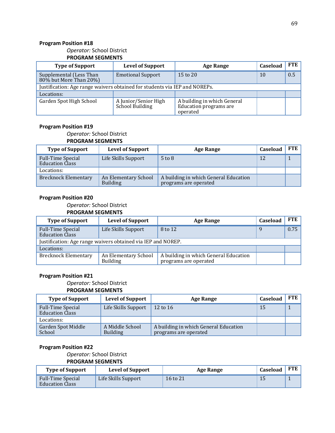#### *Operator:* School District **PROGRAM SEGMENTS**

| <b>Type of Support</b>                                                     | <b>Level of Support</b>                 | Age Range                                                         | Caseload | <b>FTE</b> |
|----------------------------------------------------------------------------|-----------------------------------------|-------------------------------------------------------------------|----------|------------|
| Supplemental (Less Than<br>$80\%$ but More Than $20\%$ )                   | <b>Emotional Support</b>                | 15 to 20                                                          | 10       | 0.5        |
| Justification: Age range waivers obtained for students via IEP and NOREPs. |                                         |                                                                   |          |            |
| Locations:                                                                 |                                         |                                                                   |          |            |
| Garden Spot High School                                                    | A Junior/Senior High<br>School Building | A building in which General<br>Education programs are<br>operated |          |            |

### **Program Position #19**

#### *Operator:* School District **PROGRAM SEGMENTS**

| <b>Type of Support</b>                             | <b>Level of Support</b>                 | <b>Age Range</b>                                               | Caseload | <b>FTE</b> |
|----------------------------------------------------|-----------------------------------------|----------------------------------------------------------------|----------|------------|
| <b>Full-Time Special</b><br><b>Education Class</b> | Life Skills Support                     | $5 \text{ to } 8$                                              | 12       |            |
| Locations:                                         |                                         |                                                                |          |            |
| <b>Brecknock Elementary</b>                        | An Elementary School<br><b>Building</b> | A building in which General Education<br>programs are operated |          |            |

#### **Program Position #20**

*Operator:* School District

#### **PROGRAM SEGMENTS**

| <b>Type of Support</b>                                       | <b>Level of Support</b>                 | Age Range                                                      | Caseload | <b>FTE</b> |
|--------------------------------------------------------------|-----------------------------------------|----------------------------------------------------------------|----------|------------|
| <b>Full-Time Special</b><br><b>Education Class</b>           | Life Skills Support                     | 8 to 12                                                        | q        | 0.75       |
| Justification: Age range waivers obtained via IEP and NOREP. |                                         |                                                                |          |            |
| Locations:                                                   |                                         |                                                                |          |            |
| <b>Brecknock Elementary</b>                                  | An Elementary School<br><b>Building</b> | A building in which General Education<br>programs are operated |          |            |

#### **Program Position #21**

*Operator:* School District

# **PROGRAM SEGMENTS**

| <b>Type of Support</b>                             | <b>Level of Support</b>            | <b>Age Range</b>                                               | Caseload | <b>FTE</b> |
|----------------------------------------------------|------------------------------------|----------------------------------------------------------------|----------|------------|
| <b>Full-Time Special</b><br><b>Education Class</b> | Life Skills Support                | 12 to 16                                                       | 15       |            |
| Locations:                                         |                                    |                                                                |          |            |
| Garden Spot Middle<br>School                       | A Middle School<br><b>Building</b> | A building in which General Education<br>programs are operated |          |            |

# **Program Position #22**

#### *Operator:* School District

# **PROGRAM SEGMENTS**

| <b>Type of Support</b>                             | <b>Level of Support</b> | Age Range | Caseload | <b>FTE</b> |
|----------------------------------------------------|-------------------------|-----------|----------|------------|
| <b>Full-Time Special</b><br><b>Education Class</b> | Life Skills Support     | 16 to 21  | Ш        |            |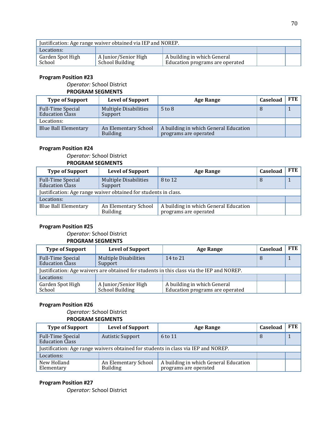| Justification: Age range waiver obtained via IEP and NOREP. |                                         |                                                                |  |  |
|-------------------------------------------------------------|-----------------------------------------|----------------------------------------------------------------|--|--|
| Locations:                                                  |                                         |                                                                |  |  |
| Garden Spot High<br>School                                  | A Junior/Senior High<br>School Building | A building in which General<br>Education programs are operated |  |  |

#### *Operator:* School District **PROGRAM SEGMENTS**

| <b>Type of Support</b>                             | <b>Level of Support</b>                 | <b>Age Range</b>                                               | Caseload | <b>FTE</b> |
|----------------------------------------------------|-----------------------------------------|----------------------------------------------------------------|----------|------------|
| <b>Full-Time Special</b><br><b>Education Class</b> | <b>Multiple Disabilities</b><br>Support | $5$ to $8$                                                     |          |            |
| Locations:                                         |                                         |                                                                |          |            |
| <b>Blue Ball Elementary</b>                        | An Elementary School<br><b>Building</b> | A building in which General Education<br>programs are operated |          |            |

#### **Program Position #24**

# *Operator:* School District

#### **PROGRAM SEGMENTS**

| <b>Type of Support</b>                                          | <b>Level of Support</b>                 | Age Range                                                      | Caseload | <b>FTE</b> |
|-----------------------------------------------------------------|-----------------------------------------|----------------------------------------------------------------|----------|------------|
| <b>Full-Time Special</b><br><b>Education Class</b>              | <b>Multiple Disabilities</b><br>Support | 8 to 12                                                        | 8        |            |
| Justification: Age range waiver obtained for students in class. |                                         |                                                                |          |            |
| Locations:                                                      |                                         |                                                                |          |            |
| <b>Blue Ball Elementary</b>                                     | An Elementary School<br><b>Building</b> | A building in which General Education<br>programs are operated |          |            |

#### **Program Position #25**

# *Operator:* School District

#### **PROGRAM SEGMENTS**

| <b>Type of Support</b>                                                                    | <b>Level of Support</b>                 | Age Range                                                      | Caseload | <b>FTE</b> |
|-------------------------------------------------------------------------------------------|-----------------------------------------|----------------------------------------------------------------|----------|------------|
| Full-Time Special<br><b>Education Class</b>                                               | <b>Multiple Disabilities</b><br>Support | 14 to 21                                                       |          |            |
| Justification: Age waivers are obtained for students in this class via the IEP and NOREP. |                                         |                                                                |          |            |
| Locations:                                                                                |                                         |                                                                |          |            |
| Garden Spot High<br>School                                                                | A Junior/Senior High<br>School Building | A building in which General<br>Education programs are operated |          |            |

#### **Program Position #26**

#### *Operator:* School District **PROGRAM SEGMENTS**

| <b>Type of Support</b>                                                             | <b>Level of Support</b>                 | <b>Age Range</b>                                               | Caseload | <b>FTE</b> |
|------------------------------------------------------------------------------------|-----------------------------------------|----------------------------------------------------------------|----------|------------|
| <b>Full-Time Special</b><br><b>Education Class</b>                                 | <b>Autistic Support</b>                 | 6 to 11                                                        | 8        |            |
| Justification: Age range waivers obtained for students in class via IEP and NOREP. |                                         |                                                                |          |            |
| Locations:                                                                         |                                         |                                                                |          |            |
| New Holland<br>Elementary                                                          | An Elementary School<br><b>Building</b> | A building in which General Education<br>programs are operated |          |            |

# **Program Position #27**

*Operator:* School District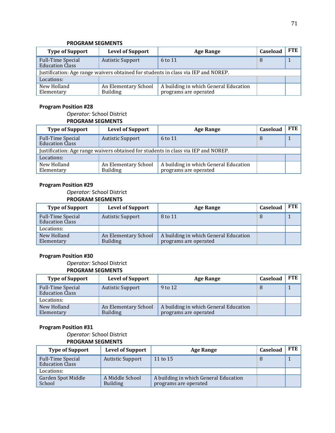#### **PROGRAM SEGMENTS**

| <b>Type of Support</b>                                                             | <b>Level of Support</b>                 | <b>Age Range</b>                                               | Caseload | FTE |
|------------------------------------------------------------------------------------|-----------------------------------------|----------------------------------------------------------------|----------|-----|
| <b>Full-Time Special</b><br><b>Education Class</b>                                 | <b>Autistic Support</b>                 | 6 to 11                                                        | 8        |     |
| Justification: Age range waivers obtained for students in class via IEP and NOREP. |                                         |                                                                |          |     |
| Locations:                                                                         |                                         |                                                                |          |     |
| New Holland<br>Elementary                                                          | An Elementary School<br><b>Building</b> | A building in which General Education<br>programs are operated |          |     |

#### **Program Position #28**

*Operator:* School District **PROGRAM SEGMENTS**

| <b>Type of Support</b>                                                             | <b>Level of Support</b>                 | <b>Age Range</b>                                               | Caseload | <b>FTE</b> |
|------------------------------------------------------------------------------------|-----------------------------------------|----------------------------------------------------------------|----------|------------|
| <b>Full-Time Special</b><br><b>Education Class</b>                                 | <b>Autistic Support</b>                 | 6 to 11                                                        | 8        |            |
| Justification: Age range waivers obtained for students in class via IEP and NOREP. |                                         |                                                                |          |            |
| Locations:                                                                         |                                         |                                                                |          |            |
| New Holland<br>Elementary                                                          | An Elementary School<br><b>Building</b> | A building in which General Education<br>programs are operated |          |            |

# **Program Position #29**

*Operator:* School District **PROGRAM SEGMENTS**

| <b>Type of Support</b>                             | <b>Level of Support</b>                 | <b>Age Range</b>                                               | Caseload | <b>FTE</b> |
|----------------------------------------------------|-----------------------------------------|----------------------------------------------------------------|----------|------------|
| <b>Full-Time Special</b><br><b>Education Class</b> | <b>Autistic Support</b>                 | 8 to 11                                                        | 8        |            |
| Locations:                                         |                                         |                                                                |          |            |
| New Holland<br>Elementary                          | An Elementary School<br><b>Building</b> | A building in which General Education<br>programs are operated |          |            |

### **Program Position #30**

*Operator:* School District

#### **PROGRAM SEGMENTS**

| <b>Type of Support</b>                             | <b>Level of Support</b>                 | <b>Age Range</b>                                               | Caseload | <b>FTE</b> |
|----------------------------------------------------|-----------------------------------------|----------------------------------------------------------------|----------|------------|
| <b>Full-Time Special</b><br><b>Education Class</b> | <b>Autistic Support</b>                 | 9 to 12                                                        | 8        |            |
| Locations:                                         |                                         |                                                                |          |            |
| New Holland<br>Elementary                          | An Elementary School<br><b>Building</b> | A building in which General Education<br>programs are operated |          |            |

#### **Program Position #31**

*Operator:* School District **PROGRAM SEGMENTS**

| <b>Type of Support</b>                             | <b>Level of Support</b>            | <b>Age Range</b>                                               | Caseload | <b>FTE</b> |
|----------------------------------------------------|------------------------------------|----------------------------------------------------------------|----------|------------|
| <b>Full-Time Special</b><br><b>Education Class</b> | <b>Autistic Support</b>            | 11 to 15                                                       |          |            |
| Locations:                                         |                                    |                                                                |          |            |
| <b>Garden Spot Middle</b><br>School                | A Middle School<br><b>Building</b> | A building in which General Education<br>programs are operated |          |            |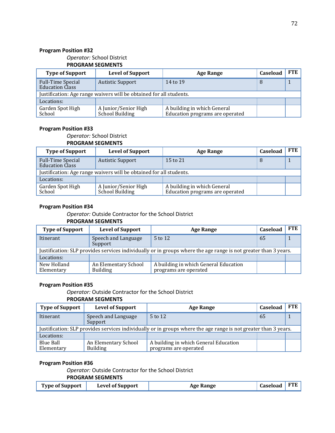*Operator:* School District

# **PROGRAM SEGMENTS**

| <b>Type of Support</b>                                              | <b>Level of Support</b>                 | <b>Age Range</b>                                               | Caseload | <b>FTE</b> |  |
|---------------------------------------------------------------------|-----------------------------------------|----------------------------------------------------------------|----------|------------|--|
| <b>Full-Time Special</b><br><b>Education Class</b>                  | <b>Autistic Support</b>                 | 14 to 19                                                       |          |            |  |
| Justification: Age range waivers will be obtained for all students. |                                         |                                                                |          |            |  |
| Locations:                                                          |                                         |                                                                |          |            |  |
| Garden Spot High<br>School                                          | A Junior/Senior High<br>School Building | A building in which General<br>Education programs are operated |          |            |  |

#### **Program Position #33**

#### *Operator:* School District

#### **PROGRAM SEGMENTS**

| <b>Type of Support</b>                                              | <b>Level of Support</b>                 | <b>Age Range</b>                                               | Caseload | <b>FTE</b> |  |
|---------------------------------------------------------------------|-----------------------------------------|----------------------------------------------------------------|----------|------------|--|
| <b>Full-Time Special</b><br><b>Education Class</b>                  | <b>Autistic Support</b>                 | 15 to 21                                                       |          |            |  |
| Justification: Age range waivers will be obtained for all students. |                                         |                                                                |          |            |  |
| Locations:                                                          |                                         |                                                                |          |            |  |
| Garden Spot High<br>School                                          | A Junior/Senior High<br>School Building | A building in which General<br>Education programs are operated |          |            |  |

#### **Program Position #34**

*Operator:* Outside Contractor for the School District

#### **PROGRAM SEGMENTS**

| <b>Type of Support</b>                                                                                          | <b>Level of Support</b>                 | <b>Age Range</b>                                               | Caseload | <b>FTE</b> |  |  |
|-----------------------------------------------------------------------------------------------------------------|-----------------------------------------|----------------------------------------------------------------|----------|------------|--|--|
| Itinerant                                                                                                       | Speech and Language<br>Support          | 5 to 12                                                        | 65       |            |  |  |
| Justification: SLP provides services individually or in groups where the age range is not greater than 3 years. |                                         |                                                                |          |            |  |  |
| Locations:                                                                                                      |                                         |                                                                |          |            |  |  |
| New Holland<br>Elementary                                                                                       | An Elementary School<br><b>Building</b> | A building in which General Education<br>programs are operated |          |            |  |  |

#### **Program Position #35**

*Operator:* Outside Contractor for the School District

#### **PROGRAM SEGMENTS**

| <b>Type of Support</b>                                                                                          | <b>Level of Support</b>                 | Age Range                                                      | Caseload | <b>FTE</b> |  |  |
|-----------------------------------------------------------------------------------------------------------------|-----------------------------------------|----------------------------------------------------------------|----------|------------|--|--|
| Itinerant                                                                                                       | Speech and Language<br>Support          | 5 to 12                                                        | 65       |            |  |  |
| Justification: SLP provides services individually or in groups where the age range is not greater than 3 years. |                                         |                                                                |          |            |  |  |
| Locations:                                                                                                      |                                         |                                                                |          |            |  |  |
| Blue Ball<br>Elementary                                                                                         | An Elementary School<br><b>Building</b> | A building in which General Education<br>programs are operated |          |            |  |  |

#### **Program Position #36**

*Operator:* Outside Contractor for the School District

#### **PROGRAM SEGMENTS**

| <b>Type of Support</b> | <b>Level of Support</b> | <b>Age Range</b> | $\overline{\phantom{a}}$ Caseload FTE |  |
|------------------------|-------------------------|------------------|---------------------------------------|--|
|                        |                         |                  |                                       |  |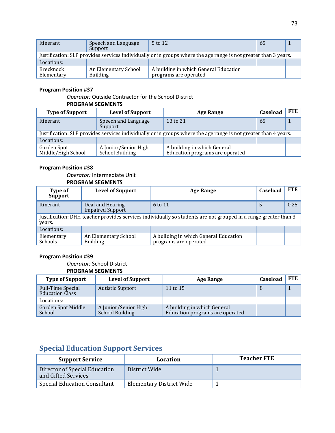| Itinerant               | Speech and Language<br>Support                                                                                  | $5$ to 12                                                      | -65 |  |  |  |  |  |
|-------------------------|-----------------------------------------------------------------------------------------------------------------|----------------------------------------------------------------|-----|--|--|--|--|--|
|                         | Justification: SLP provides services individually or in groups where the age range is not greater than 3 years. |                                                                |     |  |  |  |  |  |
| Locations:              |                                                                                                                 |                                                                |     |  |  |  |  |  |
| Brecknock<br>Elementary | An Elementary School<br><b>Building</b>                                                                         | A building in which General Education<br>programs are operated |     |  |  |  |  |  |

## **Program Position #37**

*Operator:* Outside Contractor for the School District

#### **PROGRAM SEGMENTS**

| <b>Type of Support</b>            | <b>Level of Support</b>                 | <b>Age Range</b>                                                                                                | Caseload | <b>FTE</b> |
|-----------------------------------|-----------------------------------------|-----------------------------------------------------------------------------------------------------------------|----------|------------|
| Itinerant                         | Speech and Language<br>Support          | 13 to 21                                                                                                        | 65       |            |
|                                   |                                         | Justification: SLP provides services individually or in groups where the age range is not greater than 4 years. |          |            |
| Locations:                        |                                         |                                                                                                                 |          |            |
| Garden Spot<br>Middle/High School | A Junior/Senior High<br>School Building | A building in which General<br>Education programs are operated                                                  |          |            |

#### **Program Position #38**

#### *Operator:* Intermediate Unit **PROGRAM SEGMENTS**

| Type of<br><b>Support</b>    | <b>Level of Support</b>                                                                                         | Age Range                                                      | Caseload | <b>FTE</b> |  |  |  |  |  |
|------------------------------|-----------------------------------------------------------------------------------------------------------------|----------------------------------------------------------------|----------|------------|--|--|--|--|--|
| Itinerant                    | Deaf and Hearing<br><b>Impaired Support</b>                                                                     | 6 to 11                                                        |          | 0.25       |  |  |  |  |  |
| years.                       | Justification: DHH teacher provides services individually so students are not grouped in a range greater than 3 |                                                                |          |            |  |  |  |  |  |
| Locations:                   |                                                                                                                 |                                                                |          |            |  |  |  |  |  |
| Elementary<br><b>Schools</b> | An Elementary School<br><b>Building</b>                                                                         | A building in which General Education<br>programs are operated |          |            |  |  |  |  |  |

## **Program Position #39**

*Operator:* School District

## **PROGRAM SEGMENTS**

| <b>Type of Support</b>                             | <b>Level of Support</b>                        | <b>Age Range</b>                                               | Caseload | <b>FTE</b> |
|----------------------------------------------------|------------------------------------------------|----------------------------------------------------------------|----------|------------|
| <b>Full-Time Special</b><br><b>Education Class</b> | <b>Autistic Support</b>                        | 11 to $15$                                                     |          |            |
| Locations:                                         |                                                |                                                                |          |            |
| Garden Spot Middle<br>School                       | A Junior/Senior High<br><b>School Building</b> | A building in which General<br>Education programs are operated |          |            |

## **Special Education Support Services**

| <b>Support Service</b>                               | Location                        | <b>Teacher FTE</b> |
|------------------------------------------------------|---------------------------------|--------------------|
| Director of Special Education<br>and Gifted Services | District Wide                   |                    |
| <b>Special Education Consultant</b>                  | <b>Elementary District Wide</b> |                    |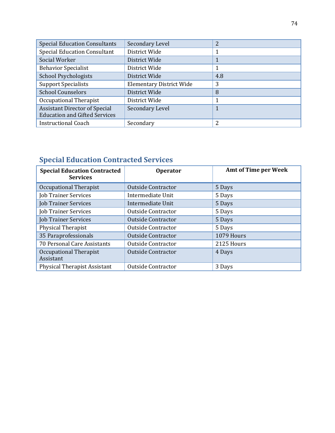| <b>Special Education Consultants</b>                                         | Secondary Level                 | 2   |
|------------------------------------------------------------------------------|---------------------------------|-----|
| <b>Special Education Consultant</b>                                          | District Wide                   |     |
| Social Worker                                                                | District Wide                   |     |
| <b>Behavior Specialist</b>                                                   | District Wide                   | 1   |
| <b>School Psychologists</b>                                                  | District Wide                   | 4.8 |
| <b>Support Specialists</b>                                                   | <b>Elementary District Wide</b> | 3   |
| <b>School Counselors</b>                                                     | District Wide                   | 8   |
| Occupational Therapist                                                       | District Wide                   | 1   |
| <b>Assistant Director of Special</b><br><b>Education and Gifted Services</b> | Secondary Level                 |     |
| <b>Instructional Coach</b>                                                   | Secondary                       | າ   |

## **Special Education Contracted Services**

| <b>Special Education Contracted</b><br><b>Services</b> | <b>Operator</b>           | <b>Amt of Time per Week</b> |
|--------------------------------------------------------|---------------------------|-----------------------------|
| Occupational Therapist                                 | <b>Outside Contractor</b> | 5 Days                      |
| <b>Job Trainer Services</b>                            | Intermediate Unit         | 5 Days                      |
| <b>Job Trainer Services</b>                            | Intermediate Unit         | 5 Days                      |
| <b>Job Trainer Services</b>                            | <b>Outside Contractor</b> | 5 Days                      |
| <b>Job Trainer Services</b>                            | <b>Outside Contractor</b> | 5 Days                      |
| Physical Therapist                                     | <b>Outside Contractor</b> | 5 Days                      |
| 35 Paraprofessionals                                   | <b>Outside Contractor</b> | 1079 Hours                  |
| 70 Personal Care Assistants                            | Outside Contractor        | 2125 Hours                  |
| Occupational Therapist<br>Assistant                    | <b>Outside Contractor</b> | 4 Days                      |
| <b>Physical Therapist Assistant</b>                    | <b>Outside Contractor</b> | 3 Days                      |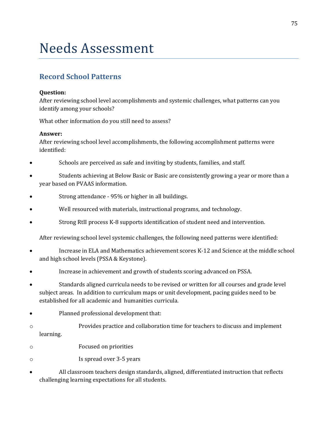# Needs Assessment

## **Record School Patterns**

## **Question:**

After reviewing school level accomplishments and systemic challenges, what patterns can you identify among your schools?

What other information do you still need to assess?

## **Answer:**

After reviewing school level accomplishments, the following accomplishment patterns were identified:

- Schools are perceived as safe and inviting by students, families, and staff.
- Students achieving at Below Basic or Basic are consistently growing a year or more than a year based on PVAAS information.
- Strong attendance 95% or higher in all buildings.
- Well resourced with materials, instructional programs, and technology.
- Strong RtII process K-8 supports identification of student need and intervention.

After reviewing school level systemic challenges, the following need patterns were identified:

- Increase in ELA and Mathematics achievement scores K-12 and Science at the middle school and high school levels (PSSA & Keystone).
- Increase in achievement and growth of students scoring advanced on PSSA.
- Standards aligned curricula needs to be revised or written for all courses and grade level subject areas. In addition to curriculum maps or unit development, pacing guides need to be established for all academic and humanities curricula.
- Planned professional development that:
- o Provides practice and collaboration time for teachers to discuss and implement learning.
- o Focused on priorities
- o Is spread over 3-5 years
- All classroom teachers design standards, aligned, differentiated instruction that reflects challenging learning expectations for all students.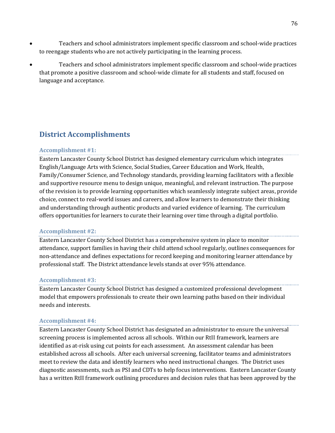- Teachers and school administrators implement specific classroom and school-wide practices to reengage students who are not actively participating in the learning process.
- Teachers and school administrators implement specific classroom and school-wide practices that promote a positive classroom and school-wide climate for all students and staff, focused on language and acceptance.

## **District Accomplishments**

## **Accomplishment #1:**

Eastern Lancaster County School District has designed elementary curriculum which integrates English/Language Arts with Science, Social Studies, Career Education and Work, Health, Family/Consumer Science, and Technology standards, providing learning facilitators with a flexible and supportive resource menu to design unique, meaningful, and relevant instruction. The purpose of the revision is to provide learning opportunities which seamlessly integrate subject areas, provide choice, connect to real-world issues and careers, and allow learners to demonstrate their thinking and understanding through authentic products and varied evidence of learning. The curriculum offers opportunities for learners to curate their learning over time through a digital portfolio.

## **Accomplishment #2:**

Eastern Lancaster County School District has a comprehensive system in place to monitor attendance, support families in having their child attend school regularly, outlines consequences for non-attendance and defines expectations for record keeping and monitoring learner attendance by professional staff. The District attendance levels stands at over 95% attendance.

## **Accomplishment #3:**

Eastern Lancaster County School District has designed a customized professional development model that empowers professionals to create their own learning paths based on their individual needs and interests.

## **Accomplishment #4:**

Eastern Lancaster County School District has designated an administrator to ensure the universal screening process is implemented across all schools. Within our RtII framework, learners are identified as at-risk using cut points for each assessment. An assessment calendar has been established across all schools. After each universal screening, facilitator teams and administrators meet to review the data and identify learners who need instructional changes. The District uses diagnostic assessments, such as PSI and CDTs to help focus interventions. Eastern Lancaster County has a written RtII framework outlining procedures and decision rules that has been approved by the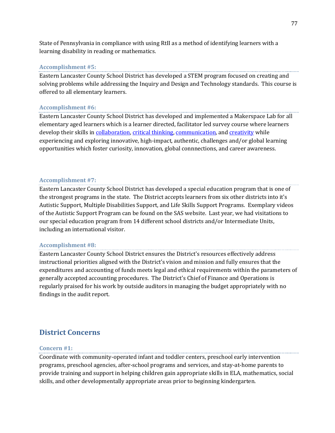State of Pennsylvania in compliance with using RtII as a method of identifying learners with a learning disability in reading or mathematics.

#### **Accomplishment #5:**

Eastern Lancaster County School District has developed a STEM program focused on creating and solving problems while addressing the Inquiry and Design and Technology standards. This course is offered to all elementary learners.

#### **Accomplishment #6:**

Eastern Lancaster County School District has developed and implemented a Makerspace Lab for all elementary aged learners which is a learner directed, facilitator led survey course where learners develop their skills in [collaboration,](http://www.p21.org/component/content/article/2224) [critical thinking,](http://www.p21.org/about-us/p21-framework/260) [communication,](http://www.p21.org/about-us/p21-framework/261) and [creativity](http://www.p21.org/about-us/p21-framework/262) while experiencing and exploring innovative, high-impact, authentic, challenges and/or global learning opportunities which foster curiosity, innovation, global connnections, and career awareness.

#### **Accomplishment #7:**

Eastern Lancaster County School District has developed a special education program that is one of the strongest programs in the state. The District accepts learners from six other districts into it's Autistic Support, Multiple Disabilities Support, and Life Skills Support Programs. Exemplary videos of the Autistic Support Program can be found on the SAS website. Last year, we had visitations to our special education program from 14 different school districts and/or Intermediate Units, including an international visitor.

#### **Accomplishment #8:**

Eastern Lancaster County School District ensures the District's resources effectively address instructional priorities aligned with the District's vision and mission and fully ensures that the expenditures and accounting of funds meets legal and ethical requirements within the parameters of generally accepted accounting procedures. The District's Chief of Finance and Operations is regularly praised for his work by outside auditors in managing the budget appropriately with no findings in the audit report.

## **District Concerns**

#### **Concern #1:**

Coordinate with community-operated infant and toddler centers, preschool early intervention programs, preschool agencies, after-school programs and services, and stay-at-home parents to provide training and support in helping children gain appropriate skills in ELA, mathematics, social skills, and other developmentally appropriate areas prior to beginning kindergarten.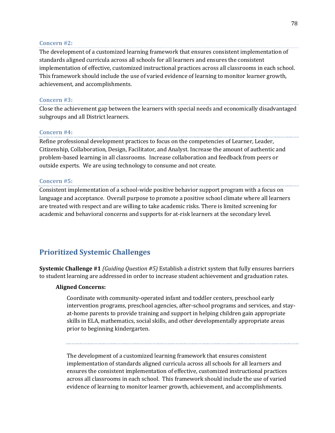## **Concern #2:**

The development of a customized learning framework that ensures consistent implementation of standards aligned curricula across all schools for all learners and ensures the consistent implementation of effective, customized instructional practices across all classrooms in each school. This framework should include the use of varied evidence of learning to monitor learner growth, achievement, and accomplishments.

## **Concern #3:**

Close the achievement gap between the learners with special needs and economically disadvantaged subgroups and all District learners.

## **Concern #4:**

Refine professional development practices to focus on the competencies of Learner, Leader, Citizenship, Collaboration, Design, Facilitator, and Analyst. Increase the amount of authentic and problem-based learning in all classrooms. Increase collaboration and feedback from peers or outside experts. We are using technology to consume and not create.

## **Concern #5:**

Consistent implementation of a school-wide positive behavior support program with a focus on language and acceptance. Overall purpose to promote a positive school climate where all learners are treated with respect and are willing to take academic risks. There is limited screening for academic and behavioral concerns and supports for at-risk learners at the secondary level.

## **Prioritized Systemic Challenges**

**Systemic Challenge #1** *(Guiding Question #5)* Establish a district system that fully ensures barriers to student learning are addressed in order to increase student achievement and graduation rates.

## **Aligned Concerns:**

Coordinate with community-operated infant and toddler centers, preschool early intervention programs, preschool agencies, after-school programs and services, and stayat-home parents to provide training and support in helping children gain appropriate skills in ELA, mathematics, social skills, and other developmentally appropriate areas prior to beginning kindergarten.

The development of a customized learning framework that ensures consistent implementation of standards aligned curricula across all schools for all learners and ensures the consistent implementation of effective, customized instructional practices across all classrooms in each school. This framework should include the use of varied evidence of learning to monitor learner growth, achievement, and accomplishments.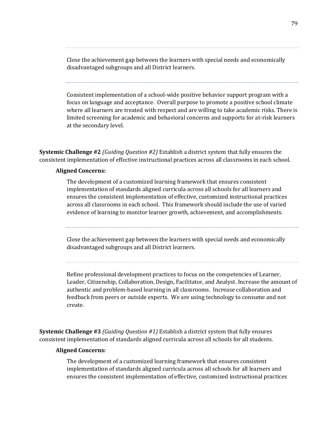Close the achievement gap between the learners with special needs and economically disadvantaged subgroups and all District learners.

Consistent implementation of a school-wide positive behavior support program with a focus on language and acceptance. Overall purpose to promote a positive school climate where all learners are treated with respect and are willing to take academic risks. There is limited screening for academic and behavioral concerns and supports for at-risk learners at the secondary level.

**Systemic Challenge #2** *(Guiding Question #2)* Establish a district system that fully ensures the consistent implementation of effective instructional practices across all classrooms in each school.

#### **Aligned Concerns:**

The development of a customized learning framework that ensures consistent implementation of standards aligned curricula across all schools for all learners and ensures the consistent implementation of effective, customized instructional practices across all classrooms in each school. This framework should include the use of varied evidence of learning to monitor learner growth, achievement, and accomplishments.

Close the achievement gap between the learners with special needs and economically disadvantaged subgroups and all District learners.

Refine professional development practices to focus on the competencies of Learner, Leader, Citizenship, Collaboration, Design, Facilitator, and Analyst. Increase the amount of authentic and problem-based learning in all classrooms. Increase collaboration and feedback from peers or outside experts. We are using technology to consume and not create.

**Systemic Challenge #3** *(Guiding Question #1)* Establish a district system that fully ensures consistent implementation of standards aligned curricula across all schools for all students.

#### **Aligned Concerns:**

The development of a customized learning framework that ensures consistent implementation of standards aligned curricula across all schools for all learners and ensures the consistent implementation of effective, customized instructional practices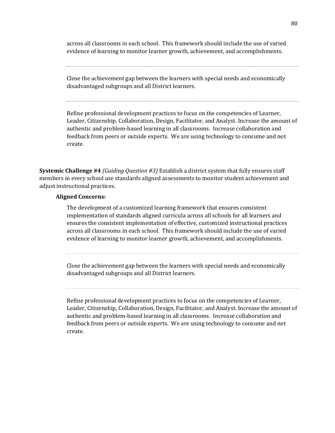across all classrooms in each school. This framework should include the use of varied evidence of learning to monitor learner growth, achievement, and accomplishments.

Close the achievement gap between the learners with special needs and economically disadvantaged subgroups and all District learners.

Refine professional development practices to focus on the competencies of Learner, Leader, Citizenship, Collaboration, Design, Facilitator, and Analyst. Increase the amount of authentic and problem-based learning in all classrooms. Increase collaboration and feedback from peers or outside experts. We are using technology to consume and not create.

**Systemic Challenge #4** *(Guiding Question #3)* Establish a district system that fully ensures staff members in every school use standards aligned assessments to monitor student achievement and adjust instructional practices.

#### **Aligned Concerns:**

The development of a customized learning framework that ensures consistent implementation of standards aligned curricula across all schools for all learners and ensures the consistent implementation of effective, customized instructional practices across all classrooms in each school. This framework should include the use of varied evidence of learning to monitor learner growth, achievement, and accomplishments.

Close the achievement gap between the learners with special needs and economically disadvantaged subgroups and all District learners.

Refine professional development practices to focus on the competencies of Learner, Leader, Citizenship, Collaboration, Design, Facilitator, and Analyst. Increase the amount of authentic and problem-based learning in all classrooms. Increase collaboration and feedback from peers or outside experts. We are using technology to consume and not create.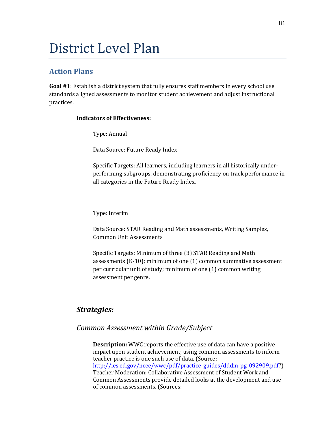# District Level Plan

## **Action Plans**

**Goal #1**: Establish a district system that fully ensures staff members in every school use standards aligned assessments to monitor student achievement and adjust instructional practices.

## **Indicators of Effectiveness:**

Type: Annual

Data Source: Future Ready Index

Specific Targets: All learners, including learners in all historically underperforming subgroups, demonstrating proficiency on track performance in all categories in the Future Ready Index.

## Type: Interim

Data Source: STAR Reading and Math assessments, Writing Samples, Common Unit Assessments

Specific Targets: Minimum of three (3) STAR Reading and Math assessments (K-10); minimum of one (1) common summative assessment per curricular unit of study; minimum of one (1) common writing assessment per genre.

## *Strategies:*

## *Common Assessment within Grade/Subject*

**Description:** WWC reports the effective use of data can have a positive impact upon student achievement; using common assessments to inform teacher practice is one such use of data. (Source: [http://ies.ed.gov/ncee/wwc/pdf/practice\\_guides/dddm\\_pg\\_092909.pdf?](http://ies.ed.gov/ncee/wwc/pdf/practice_guides/dddm_pg_092909.pdf)) Teacher Moderation: Collaborative Assessment of Student Work and Common Assessments provide detailed looks at the development and use of common assessments. (Sources: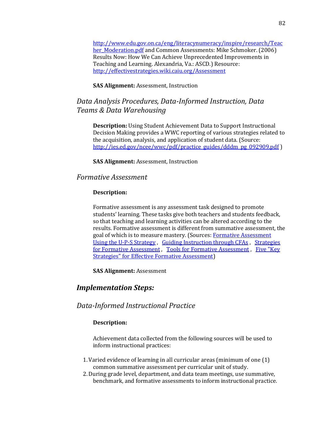[http://www.edu.gov.on.ca/eng/literacynumeracy/inspire/research/Teac](http://www.edu.gov.on.ca/eng/literacynumeracy/inspire/research/Teacher_Moderation.pdf) [her\\_Moderation.pdf](http://www.edu.gov.on.ca/eng/literacynumeracy/inspire/research/Teacher_Moderation.pdf) and Common Assessments: Mike Schmoker. (2006) Results Now: How We Can Achieve Unprecedented Improvements in Teaching and Learning. Alexandria, Va.: ASCD.) Resource: <http://effectivestrategies.wiki.caiu.org/Assessment>

## **SAS Alignment:** Assessment, Instruction

## *Data Analysis Procedures, Data-Informed Instruction, Data Teams & Data Warehousing*

**Description:** Using Student Achievement Data to Support Instructional Decision Making provides a WWC reporting of various strategies related to the acquisition, analysis, and application of student data. (Source: [http://ies.ed.gov/ncee/wwc/pdf/practice\\_guides/dddm\\_pg\\_092909.pdf](http://ies.ed.gov/ncee/wwc/pdf/practice_guides/dddm_pg_092909.pdf) )

**SAS Alignment:** Assessment, Instruction

## *Formative Assessment*

#### **Description:**

Formative assessment is any assessment task designed to promote students' learning. These tasks give both teachers and students feedback, so that teaching and learning activities can be altered according to the results. Formative assessment is different from summative assessment, the goal of which is to measure mastery. (Sources: [Formative Assessment](https://www.teachingchannel.org/videos/ups-strategy-as-assessment-tool)  [Using the U-P-S Strategy](https://www.teachingchannel.org/videos/ups-strategy-as-assessment-tool) , [Guiding Instruction through CFAs](https://www.teachingchannel.org/videos/guide-instruction-with-cfas) , [Strategies](http://www.nctm.org/Research-and-Advocacy/research-brief-and-clips/Strategies-for-Formative-Assessment/)  [for Formative Assessment](http://www.nctm.org/Research-and-Advocacy/research-brief-and-clips/Strategies-for-Formative-Assessment/), [Tools for Formative Assessment](http://appservice.caiu.org/GetDocument?folderPath=CP%5CResouceBank%5C&filename=Formative%20Assessment%201.pdf), Five "Key [Strategies" for Effective Formative Assessment\)](http://appservice.caiu.org/GetDocument?folderPath=CP%5CResouceBank%5C&filename=Formative%20Assessment%202.pdf)

**SAS Alignment:** Assessment

## *Implementation Steps:*

## *Data-Informed Instructional Practice*

#### **Description:**

Achievement data collected from the following sources will be used to inform instructional practices:

- 1.Varied evidence of learning in all curricular areas (minimum of one (1) common summative assessment per curricular unit of study.
- 2.During grade level, department, and data team meetings, use summative, benchmark, and formative assessments to inform instructional practice.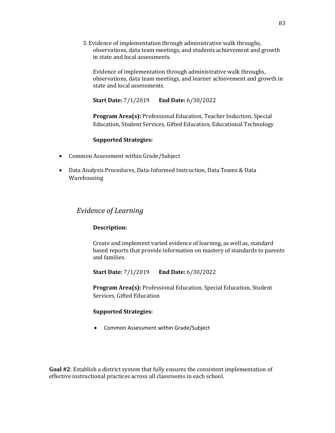3.Evidence of implementation through administrative walk throughs, observations, data team meetings, and students achievement and growth in state and local assessments.

Evidence of implementation through administrative walk throughs, observations, data team meetings, and learner achievement and growth in state and local assessments.

**Start Date:** 7/1/2019 **End Date:** 6/30/2022

**Program Area(s):** Professional Education, Teacher Induction, Special Education, Student Services, Gifted Education, Educational Technology

## **Supported Strategies:**

- Common Assessment within Grade/Subject
- Data Analysis Procedures, Data-Informed Instruction, Data Teams & Data Warehousing

## *Evidence of Learning*

#### **Description:**

Create and implement varied evidence of learning, as well as, standard based reports that provide information on mastery of standards to parents and families.

**Start Date:** 7/1/2019 **End Date:** 6/30/2022

**Program Area(s):** Professional Education, Special Education, Student Services, Gifted Education

#### **Supported Strategies:**

• Common Assessment within Grade/Subject

**Goal #2**: Establish a district system that fully ensures the consistent implementation of effective instructional practices across all classrooms in each school.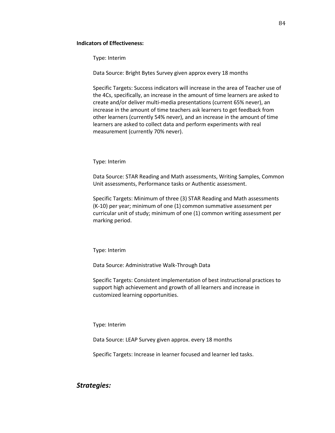#### **Indicators of Effectiveness:**

Type: Interim

Data Source: Bright Bytes Survey given approx every 18 months

Specific Targets: Success indicators will increase in the area of Teacher use of the 4Cs, specifically, an increase in the amount of time learners are asked to create and/or deliver multi-media presentations (current 65% never), an increase in the amount of time teachers ask learners to get feedback from other learners (currently 54% never), and an increase in the amount of time learners are asked to collect data and perform experiments with real measurement (currently 70% never).

Type: Interim

Data Source: STAR Reading and Math assessments, Writing Samples, Common Unit assessments, Performance tasks or Authentic assessment.

Specific Targets: Minimum of three (3) STAR Reading and Math assessments (K-10) per year; minimum of one (1) common summative assessment per curricular unit of study; minimum of one (1) common writing assessment per marking period.

Type: Interim

Data Source: Administrative Walk-Through Data

Specific Targets: Consistent implementation of best instructional practices to support high achievement and growth of all learners and increase in customized learning opportunities.

Type: Interim

Data Source: LEAP Survey given approx. every 18 months

Specific Targets: Increase in learner focused and learner led tasks.

*Strategies:*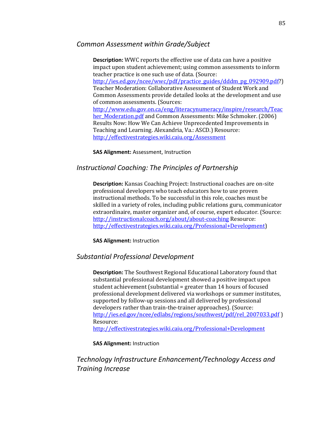## *Common Assessment within Grade/Subject*

**Description:** WWC reports the effective use of data can have a positive impact upon student achievement; using common assessments to inform teacher practice is one such use of data. (Source: [http://ies.ed.gov/ncee/wwc/pdf/practice\\_guides/dddm\\_pg\\_092909.pdf?](http://ies.ed.gov/ncee/wwc/pdf/practice_guides/dddm_pg_092909.pdf)) Teacher Moderation: Collaborative Assessment of Student Work and Common Assessments provide detailed looks at the development and use of common assessments. (Sources: [http://www.edu.gov.on.ca/eng/literacynumeracy/inspire/research/Teac](http://www.edu.gov.on.ca/eng/literacynumeracy/inspire/research/Teacher_Moderation.pdf) [her\\_Moderation.pdf](http://www.edu.gov.on.ca/eng/literacynumeracy/inspire/research/Teacher_Moderation.pdf) and Common Assessments: Mike Schmoker. (2006) Results Now: How We Can Achieve Unprecedented Improvements in Teaching and Learning. Alexandria, Va.: ASCD.) Resource: <http://effectivestrategies.wiki.caiu.org/Assessment>

**SAS Alignment:** Assessment, Instruction

## *Instructional Coaching: The Principles of Partnership*

**Description:** Kansas Coaching Project: Instructional coaches are on-site professional developers who teach educators how to use proven instructional methods. To be successful in this role, coaches must be skilled in a variety of roles, including public relations guru, communicator extraordinaire, master organizer and, of course, expert educator. (Source: <http://instructionalcoach.org/about/about-coaching> Resource: [http://effectivestrategies.wiki.caiu.org/Professional+Development\)](http://effectivestrategies.wiki.caiu.org/Professional+Development)

**SAS Alignment:** Instruction

## *Substantial Professional Development*

**Description:** The Southwest Regional Educational Laboratory found that substantial professional development showed a positive impact upon student achievement (substantial = greater than 14 hours of focused professional development delivered via workshops or summer institutes, supported by follow-up sessions and all delivered by professional developers rather than train-the-trainer approaches). (Source: [http://ies.ed.gov/ncee/edlabs/regions/southwest/pdf/rel\\_2007033.pdf](http://ies.ed.gov/ncee/edlabs/regions/southwest/pdf/rel_2007033.pdf) ) Resource: <http://effectivestrategies.wiki.caiu.org/Professional+Development>

**SAS Alignment:** Instruction

## *Technology Infrastructure Enhancement/Technology Access and Training Increase*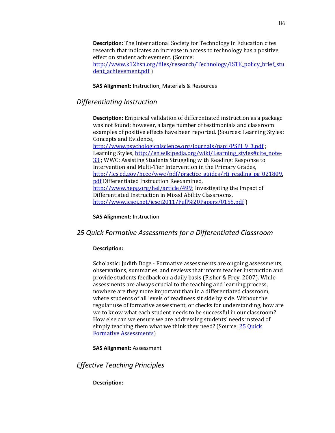**Description:** The International Society for Technology in Education cites research that indicates an increase in access to technology has a positive effect on student achievement. (Source: [http://www.k12hsn.org/files/research/Technology/ISTE\\_policy\\_brief\\_stu](http://www.k12hsn.org/files/research/Technology/ISTE_policy_brief_student_achievement.pdf) dent achievement.pdf )

**SAS Alignment:** Instruction, Materials & Resources

## *Differentiating Instruction*

**Description:** Empirical validation of differentiated instruction as a package was not found; however, a large number of testimonials and classroom examples of positive effects have been reported. (Sources: Learning Styles: Concepts and Evidence,

[http://www.psychologicalscience.org/journals/pspi/PSPI\\_9\\_3.pdf](http://www.psychologicalscience.org/journals/pspi/PSPI_9_3.pdf) ; Learning Styles, http://en.wikipedia.org/wiki/Learning styles#cite\_note-[33](http://en.wikipedia.org/wiki/Learning_styles#cite_note-33) ; WWC: Assisting Students Struggling with Reading: Response to Intervention and Multi-Tier Intervention in the Primary Grades, [http://ies.ed.gov/ncee/wwc/pdf/practice\\_guides/rti\\_reading\\_pg\\_021809.](http://ies.ed.gov/ncee/wwc/pdf/practice_guides/rti_reading_pg_021809.pdf) [pdf](http://ies.ed.gov/ncee/wwc/pdf/practice_guides/rti_reading_pg_021809.pdf) Differentiated Instruction Reexamined, [http://www.hepg.org/hel/article/499;](http://www.hepg.org/hel/article/499) Investigating the Impact of Differentiated Instruction in Mixed Ability Classrooms, <http://www.icsei.net/icsei2011/Full%20Papers/0155.pdf> )

**SAS Alignment:** Instruction

## *25 Quick Formative Assessments for a Differentiated Classroom*

## **Description:**

Scholastic: Judith Doge - Formative assessments are ongoing assessments, observations, summaries, and reviews that inform teacher instruction and provide students feedback on a daily basis (Fisher & Frey, 2007). While assessments are always crucial to the teaching and learning process, nowhere are they more important than in a differentiated classroom, where students of all levels of readiness sit side by side. Without the regular use of formative assessment, or checks for understanding, how are we to know what each student needs to be successful in our classroom? How else can we ensure we are addressing students' needs instead of simply teaching them what we think they need? (Source: 25 Quick [Formative Assessments\)](http://appservice.caiu.org/GetDocument?folderPath=CP/ResouceBank/&filename=25%20Quick%20Formative%20Assessments.pdf)

**SAS Alignment:** Assessment

*Effective Teaching Principles*

#### **Description:**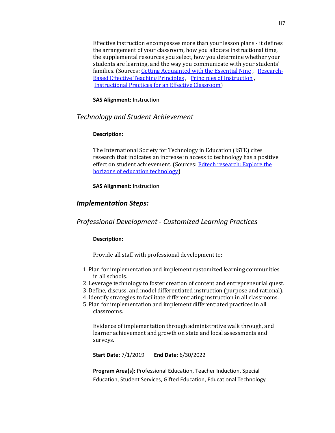Effective instruction encompasses more than your lesson plans ‐ it defines the arrangement of your classroom, how you allocate instructional time, the supplemental resources you select, how you determine whether your students are learning, and the way you communicate with your students' families. (Sources: [Getting Acquainted with the Essential Nine](http://www.ascd.org/publications/curriculum-update/winter2002/Getting-Acquainted-with-the-Essential-Nine.aspx) , [Research-](http://appservice.caiu.org/GetDocument?folderPath=CP%5CResouceBank%5C&filename=Effective%20Teaching%20Principles%201.pdf)[Based Effective Teaching Principles](http://appservice.caiu.org/GetDocument?folderPath=CP%5CResouceBank%5C&filename=Effective%20Teaching%20Principles%201.pdf) , [Principles of Instruction](http://appservice.caiu.org/GetDocument?folderPath=CP%5CResouceBank%5C&filename=Effective%20Teaching%20Principles%202.pdf) , [Instructional Practices for an Effective Classroom\)](http://appservice.caiu.org/GetDocument?folderPath=CP%5CResouceBank%5C&filename=Effective%20Teaching%20Principles%203.pdf)

**SAS Alignment:** Instruction

## *Technology and Student Achievement*

## **Description:**

The International Society for Technology in Education (ISTE) cites research that indicates an increase in access to technology has a positive effect on student achievement. (Sources: [Edtech research: Explore the](http://www.iste.org/learn/edtech-research)  [horizons of education technology\)](http://www.iste.org/learn/edtech-research)

**SAS Alignment:** Instruction

## *Implementation Steps:*

*Professional Development - Customized Learning Practices*

## **Description:**

Provide all staff with professional development to:

- 1. Plan for implementation and implement customized learning communities in all schools.
- 2. Leverage technology to foster creation of content and entrepreneurial quest.
- 3.Define, discuss, and model differentiated instruction (purpose and rational).
- 4.Identify strategies to facilitate differentiating instruction in all classrooms.
- 5. Plan for implementation and implement differentiated practices in all classrooms.

Evidence of implementation through administrative walk through, and learner achievement and growth on state and local assessments and surveys.

**Start Date:** 7/1/2019 **End Date:** 6/30/2022

**Program Area(s):** Professional Education, Teacher Induction, Special Education, Student Services, Gifted Education, Educational Technology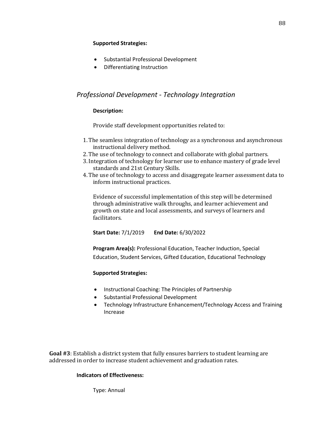## **Supported Strategies:**

- Substantial Professional Development
- Differentiating Instruction

## *Professional Development - Technology Integration*

## **Description:**

Provide staff development opportunities related to:

- 1.The seamless integration of technology as a synchronous and asynchronous instructional delivery method.
- 2.The use of technology to connect and collaborate with global partners.
- 3.Integration of technology for learner use to enhance mastery of grade level standards and 21st Century Skills.
- 4.The use of technology to access and disaggregate learner assessment data to inform instructional practices.

Evidence of successful implementation of this step will be determined through administrative walk throughs, and learner achievement and growth on state and local assessments, and surveys of learners and facilitators.

**Start Date:** 7/1/2019 **End Date:** 6/30/2022

**Program Area(s):** Professional Education, Teacher Induction, Special Education, Student Services, Gifted Education, Educational Technology

## **Supported Strategies:**

- Instructional Coaching: The Principles of Partnership
- Substantial Professional Development
- Technology Infrastructure Enhancement/Technology Access and Training Increase

**Goal #3**: Establish a district system that fully ensures barriers to student learning are addressed in order to increase student achievement and graduation rates.

## **Indicators of Effectiveness:**

Type: Annual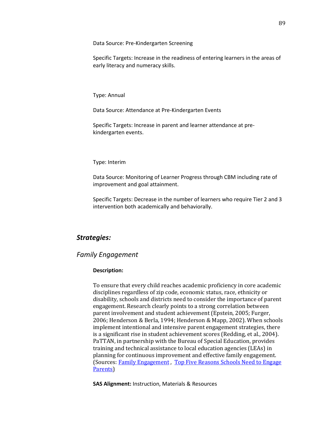Data Source: Pre-Kindergarten Screening

Specific Targets: Increase in the readiness of entering learners in the areas of early literacy and numeracy skills.

Type: Annual

Data Source: Attendance at Pre-Kindergarten Events

Specific Targets: Increase in parent and learner attendance at prekindergarten events.

Type: Interim

Data Source: Monitoring of Learner Progress through CBM including rate of improvement and goal attainment.

Specific Targets: Decrease in the number of learners who require Tier 2 and 3 intervention both academically and behaviorally.

## *Strategies:*

#### *Family Engagement*

#### **Description:**

To ensure that every child reaches academic proficiency in core academic disciplines regardless of zip code, economic status, race, ethnicity or disability, schools and districts need to consider the importance of parent engagement. Research clearly points to a strong correlation between parent involvement and student achievement (Epstein, 2005; Furger, 2006; Henderson & Berla, 1994; Henderson & Mapp, 2002). When schools implement intentional and intensive parent engagement strategies, there is a significant rise in student achievement scores (Redding, et al., 2004). PaTTAN, in partnership with the Bureau of Special Education, provides training and technical assistance to local education agencies (LEAs) in planning for continuous improvement and effective family engagement. (Sources[: Family Engagement](http://www.pattan.net/category/Educational%20Initiatives/Family%20Engagement) , [Top Five Reasons Schools Need to Engage](http://appservice.caiu.org/GetDocument?folderPath=CP%5CResouceBank%5C&filename=Family%20Engagement.pdf)  [Parents\)](http://appservice.caiu.org/GetDocument?folderPath=CP%5CResouceBank%5C&filename=Family%20Engagement.pdf)

**SAS Alignment:** Instruction, Materials & Resources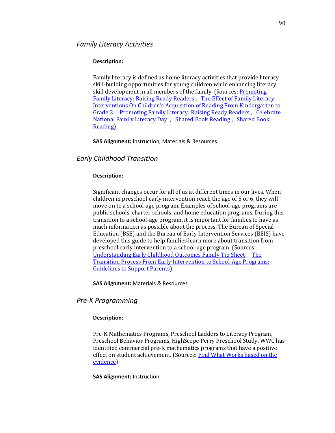#### **Description:**

Family literacy is defined as home literacy activities that provide literacy skill-building opportunities for young children while enhancing literacy skill development in all members of the family. (Sources: [Promoting](http://www.getreadytoread.org/early-learning-childhood-basics/early-literacy/promoting-family-literacy-raising-ready-readers)  [Family Literacy: Raising Ready Readers](http://www.getreadytoread.org/early-learning-childhood-basics/early-literacy/promoting-family-literacy-raising-ready-readers) , [The Effect of Family Literacy](http://appservice.caiu.org/GetDocument?folderPath=CP%5CResouceBank%5C&filename=Family%20Literacy%201.pdf)  [Interventions On Children's Acquisition of Reading From Kindergarten to](http://appservice.caiu.org/GetDocument?folderPath=CP%5CResouceBank%5C&filename=Family%20Literacy%201.pdf)  [Grade 3](http://appservice.caiu.org/GetDocument?folderPath=CP%5CResouceBank%5C&filename=Family%20Literacy%201.pdf) , [Promoting Family Literacy: Raising Ready Readers](http://appservice.caiu.org/GetDocument?folderPath=CP%5CResouceBank%5C&filename=Family%20Literacy%202.pdf) , [Celebrate](http://appservice.caiu.org/GetDocument?folderPath=CP%5CResouceBank%5C&filename=Family%20Literacy%203.pdf)  [National Family Literacy Day!](http://appservice.caiu.org/GetDocument?folderPath=CP%5CResouceBank%5C&filename=Family%20Literacy%203.pdf) , [Shared Book Reading](http://appservice.caiu.org/GetDocument?folderPath=CP%5CResouceBank%5C&filename=Family%20Literacy%204.pdf) , [Shared Book](https://ies.ed.gov/ncee/wwc/EvidenceSnapshot/458)  [Reading\)](https://ies.ed.gov/ncee/wwc/EvidenceSnapshot/458)

**SAS Alignment:** Instruction, Materials & Resources

## *Early Childhood Transition*

#### **Description:**

Significant changes occur for all of us at different times in our lives. When children in preschool early intervention reach the age of 5 or 6, they will move on to a school‐age program. Examples of school‐age programs are public schools, charter schools, and home education programs. During this transition to a school-age program, it is important for families to have as much information as possible about the process. The Bureau of Special Education (BSE) and the Bureau of Early Intervention Services (BEIS) have developed this guide to help families learn more about transition from preschool early intervention to a school‐age program. (Sources: [Understanding Early Childhood Outcomes Family Tip Sheet](http://www.pattan.net/category/Resources/PaTTAN%20Publications/Browse/Single/?id=570f9467140ba0ab338b4574) , [The](http://appservice.caiu.org/GetDocument?folderPath=CP%5CResouceBank%5C&filename=Early%20Childhood%20Transition.pdf)  [Transition Process From Early Intervention to School-Age Programs:](http://appservice.caiu.org/GetDocument?folderPath=CP%5CResouceBank%5C&filename=Early%20Childhood%20Transition.pdf)  [Guidelines to Support Parents\)](http://appservice.caiu.org/GetDocument?folderPath=CP%5CResouceBank%5C&filename=Early%20Childhood%20Transition.pdf)

**SAS Alignment:** Materials & Resources

## *Pre-K Programming*

#### **Description:**

Pre‐K Mathematics Programs, Preschool Ladders to Literacy Program, Preschool Behavior Programs, HighScope Perry Preschool Study. WWC has identified commercial pre‐K mathematics programs that have a positive effect on student achievement. (Sources: Find What Works based on the [evidence\)](https://ies.ed.gov/ncee/wwc/FWW/Results?filters=,Pre-K)

#### **SAS Alignment:** Instruction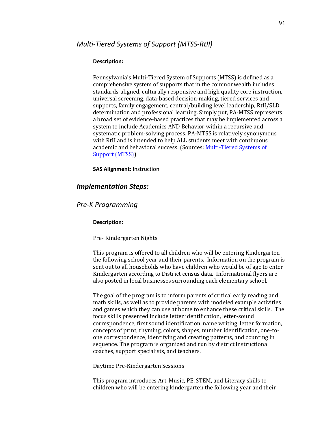#### **Description:**

Pennsylvania's Multi-Tiered System of Supports (MTSS) is defined as a comprehensive system of supports that in the commonwealth includes standards‐aligned, culturally responsive and high quality core instruction, universal screening, data‐based decision‐making, tiered services and supports, family engagement, central/building level leadership, RtII/SLD determination and professional learning. Simply put, PA‐MTSS represents a broad set of evidence‐based practices that may be implemented across a system to include Academics AND Behavior within a recursive and systematic problem‐solving process. PA‐MTSS is relatively synonymous with RtII and is intended to help ALL students meet with continuous academic and behavioral success. (Sources: Multi-Tiered Systems of [Support \(MTSS\)\)](http://www.pattan.net/category/Educational%20Initiatives/Multi-Tiered%20Systems%20of%20Support%20(MTSS))

**SAS Alignment:** Instruction

## *Implementation Steps:*

## *Pre-K Programming*

#### **Description:**

Pre- Kindergarten Nights

This program is offered to all children who will be entering Kindergarten the following school year and their parents. Information on the program is sent out to all households who have children who would be of age to enter Kindergarten according to District census data. Informational flyers are also posted in local businesses surrounding each elementary school.

The goal of the program is to inform parents of critical early reading and math skills, as well as to provide parents with modeled example activities and games which they can use at home to enhance these critical skills. The focus skills presented include letter identification, letter-sound correspondence, first sound identification, name writing, letter formation, concepts of print, rhyming, colors, shapes, number identification, one-toone correspondence, identifying and creating patterns, and counting in sequence. The program is organized and run by district instructional coaches, support specialists, and teachers.

Daytime Pre-Kindergarten Sessions

This program introduces Art, Music, PE, STEM, and Literacy skills to children who will be entering kindergarten the following year and their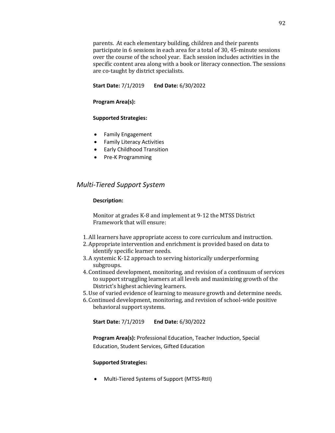parents. At each elementary building, children and their parents participate in 6 sessions in each area for a total of 30, 45-minute sessions over the course of the school year. Each session includes activities in the specific content area along with a book or literacy connection. The sessions are co-taught by district specialists.

**Start Date:** 7/1/2019 **End Date:** 6/30/2022

#### **Program Area(s):**

#### **Supported Strategies:**

- Family Engagement
- Family Literacy Activities
- Early Childhood Transition
- Pre-K Programming

## *Multi-Tiered Support System*

#### **Description:**

Monitor at grades K-8 and implement at 9-12 the MTSS District Framework that will ensure:

- 1.All learners have appropriate access to core curriculum and instruction.
- 2.Appropriate intervention and enrichment is provided based on data to identify specific learner needs.
- 3.A systemic K-12 approach to serving historically underperforming subgroups.
- 4. Continued development, monitoring, and revision of a continuum of services to support struggling learners at all levels and maximizing growth of the District's highest achieving learners.
- 5.Use of varied evidence of learning to measure growth and determine needs.
- 6. Continued development, monitoring, and revision of school-wide positive behavioral support systems.

**Start Date:** 7/1/2019 **End Date:** 6/30/2022

**Program Area(s):** Professional Education, Teacher Induction, Special Education, Student Services, Gifted Education

#### **Supported Strategies:**

• Multi-Tiered Systems of Support (MTSS-RtII)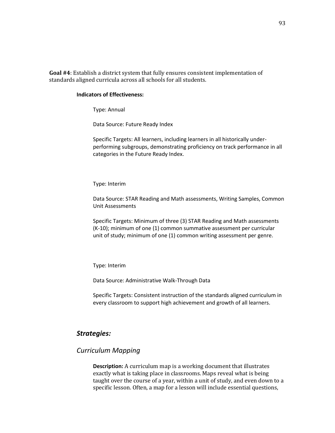**Goal #4**: Establish a district system that fully ensures consistent implementation of standards aligned curricula across all schools for all students.

#### **Indicators of Effectiveness:**

Type: Annual

Data Source: Future Ready Index

Specific Targets: All learners, including learners in all historically underperforming subgroups, demonstrating proficiency on track performance in all categories in the Future Ready Index.

Type: Interim

Data Source: STAR Reading and Math assessments, Writing Samples, Common Unit Assessments

Specific Targets: Minimum of three (3) STAR Reading and Math assessments (K-10); minimum of one (1) common summative assessment per curricular unit of study; minimum of one (1) common writing assessment per genre.

Type: Interim

Data Source: Administrative Walk-Through Data

Specific Targets: Consistent instruction of the standards aligned curriculum in every classroom to support high achievement and growth of all learners.

## *Strategies:*

## *Curriculum Mapping*

**Description:** A curriculum map is a working document that illustrates exactly what is taking place in classrooms. Maps reveal what is being taught over the course of a year, within a unit of study, and even down to a specific lesson. Often, a map for a lesson will include essential questions,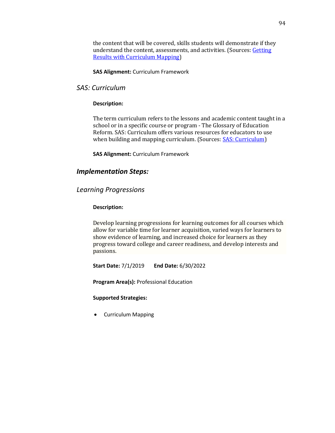the content that will be covered, skills students will demonstrate if they understand the content, assessments, and activities. (Sources: Getting [Results with Curriculum Mapping\)](http://appservice.caiu.org/GetDocument?folderPath=CP%5CResouceBank%5C&filename=Curriculum%20Mapping.pdf)

## **SAS Alignment:** Curriculum Framework

## *SAS: Curriculum*

#### **Description:**

The term curriculum refers to the lessons and academic content taught in a school or in a specific course or program ‐ The Glossary of Education Reform. SAS: Curriculum offers various resources for educators to use when building and mapping curriculum. (Sources: **SAS: Curriculum**)

**SAS Alignment:** Curriculum Framework

## *Implementation Steps:*

## *Learning Progressions*

#### **Description:**

Develop learning progressions for learning outcomes for all courses which allow for variable time for learner acquisition, varied ways for learners to show evidence of learning, and increased choice for learners as they progress toward college and career readiness, and develop interests and passions.

**Start Date:** 7/1/2019 **End Date:** 6/30/2022

**Program Area(s):** Professional Education

#### **Supported Strategies:**

• Curriculum Mapping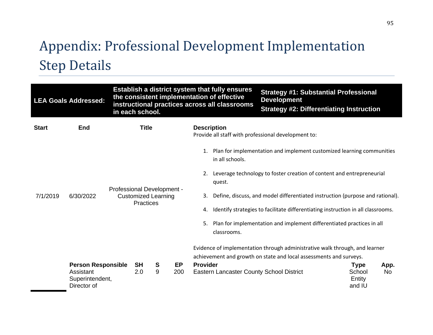# Appendix: Professional Development Implementation Step Details

|              | <b>LEA Goals Addressed:</b>                                              |                            | in each school.                                |        |           |                 | Establish a district system that fully ensures<br>the consistent implementation of effective<br>instructional practices across all classrooms | <b>Strategy #1: Substantial Professional</b><br><b>Development</b><br><b>Strategy #2: Differentiating Instruction</b>                             |                                           |                   |
|--------------|--------------------------------------------------------------------------|----------------------------|------------------------------------------------|--------|-----------|-----------------|-----------------------------------------------------------------------------------------------------------------------------------------------|---------------------------------------------------------------------------------------------------------------------------------------------------|-------------------------------------------|-------------------|
| <b>Start</b> | <b>End</b>                                                               |                            | <b>Title</b>                                   |        |           |                 | <b>Description</b>                                                                                                                            | Provide all staff with professional development to:                                                                                               |                                           |                   |
|              |                                                                          |                            |                                                |        |           |                 | in all schools.                                                                                                                               | 1. Plan for implementation and implement customized learning communities                                                                          |                                           |                   |
|              |                                                                          | Professional Development - |                                                |        |           |                 | quest.                                                                                                                                        | 2. Leverage technology to foster creation of content and entrepreneurial                                                                          |                                           |                   |
| 7/1/2019     | 6/30/2022                                                                |                            | <b>Customized Learning</b><br><b>Practices</b> |        |           | 3.              |                                                                                                                                               | Define, discuss, and model differentiated instruction (purpose and rational).                                                                     |                                           |                   |
|              |                                                                          |                            |                                                |        |           | 4.              |                                                                                                                                               | Identify strategies to facilitate differentiating instruction in all classrooms.                                                                  |                                           |                   |
|              |                                                                          |                            |                                                |        |           | 5.              | classrooms.                                                                                                                                   | Plan for implementation and implement differentiated practices in all                                                                             |                                           |                   |
|              |                                                                          |                            |                                                |        |           |                 |                                                                                                                                               | Evidence of implementation through administrative walk through, and learner<br>achievement and growth on state and local assessments and surveys. |                                           |                   |
|              | <b>Person Responsible</b><br>Assistant<br>Superintendent,<br>Director of |                            | <b>SH</b><br>2.0                               | S<br>9 | EP<br>200 | <b>Provider</b> | Eastern Lancaster County School District                                                                                                      |                                                                                                                                                   | <b>Type</b><br>School<br>Entity<br>and IU | App.<br><b>No</b> |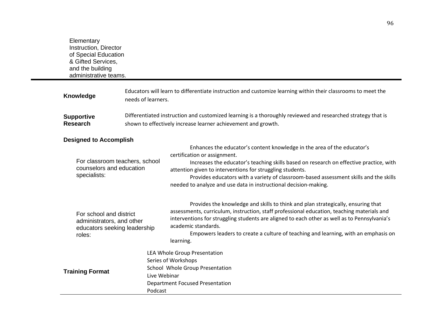**Elementary** Instruction, Director of Special Education & Gifted Services, and the building administrative teams. **Knowledge** Educators will learn to differentiate instruction and customize learning within their classrooms to meet the needs of learners. **Supportive Research**  Differentiated instruction and customized learning is a thoroughly reviewed and researched strategy that is shown to effectively increase learner achievement and growth. **Designed to Accomplish** For classroom teachers, school counselors and education specialists: • Enhances the educator's content knowledge in the area of the educator's certification or assignment. • Increases the educator's teaching skills based on research on effective practice, with attention given to interventions for struggling students. • Provides educators with a variety of classroom-based assessment skills and the skills needed to analyze and use data in instructional decision-making. For school and district administrators, and other educators seeking leadership roles: • Provides the knowledge and skills to think and plan strategically, ensuring that assessments, curriculum, instruction, staff professional education, teaching materials and interventions for struggling students are aligned to each other as well as to Pennsylvania's academic standards. • Empowers leaders to create a culture of teaching and learning, with an emphasis on learning. **Training Format** LEA Whole Group Presentation • Series of Workshops School Whole Group Presentation Live Webinar • Department Focused Presentation • Podcast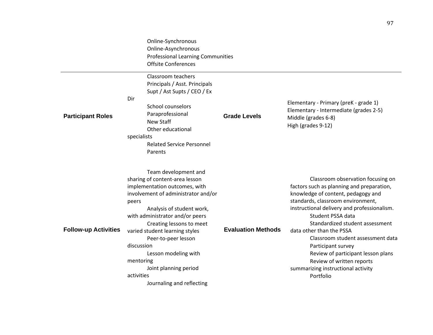|                             | Online-Synchronous<br>Online-Asynchronous<br><b>Professional Learning Communities</b><br><b>Offsite Conferences</b><br>Classroom teachers<br>Principals / Asst. Principals<br>Supt / Ast Supts / CEO / Ex                                                                                                                                                                                                           |                           |                                                                                                                                                                                                                                                                                                                                                                                                                                                                               |
|-----------------------------|---------------------------------------------------------------------------------------------------------------------------------------------------------------------------------------------------------------------------------------------------------------------------------------------------------------------------------------------------------------------------------------------------------------------|---------------------------|-------------------------------------------------------------------------------------------------------------------------------------------------------------------------------------------------------------------------------------------------------------------------------------------------------------------------------------------------------------------------------------------------------------------------------------------------------------------------------|
| <b>Participant Roles</b>    | Dir<br>School counselors<br>Paraprofessional<br>New Staff<br>Other educational<br>specialists<br><b>Related Service Personnel</b><br>Parents                                                                                                                                                                                                                                                                        | <b>Grade Levels</b>       | Elementary - Primary (preK - grade 1)<br>Elementary - Intermediate (grades 2-5)<br>Middle (grades 6-8)<br>High (grades 9-12)                                                                                                                                                                                                                                                                                                                                                  |
| <b>Follow-up Activities</b> | Team development and<br>sharing of content-area lesson<br>implementation outcomes, with<br>involvement of administrator and/or<br>peers<br>Analysis of student work,<br>with administrator and/or peers<br>Creating lessons to meet<br>varied student learning styles<br>Peer-to-peer lesson<br>discussion<br>Lesson modeling with<br>mentoring<br>Joint planning period<br>activities<br>Journaling and reflecting | <b>Evaluation Methods</b> | Classroom observation focusing on<br>factors such as planning and preparation,<br>knowledge of content, pedagogy and<br>standards, classroom environment,<br>instructional delivery and professionalism.<br>Student PSSA data<br>Standardized student assessment<br>data other than the PSSA<br>Classroom student assessment data<br>Participant survey<br>Review of participant lesson plans<br>Review of written reports<br>summarizing instructional activity<br>Portfolio |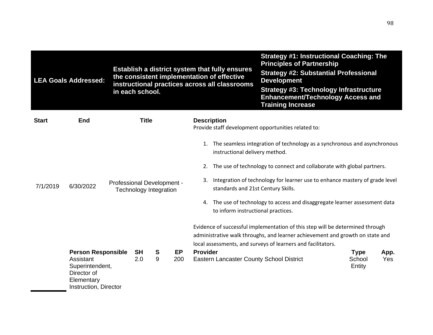|              | <b>LEA Goals Addressed:</b>                                                        |                            | Establish a district system that fully ensures<br>the consistent implementation of effective<br>instructional practices across all classrooms<br>in each school. |                                    |           |                                                                                                                               | <b>Strategy #1: Instructional Coaching: The</b><br><b>Principles of Partnership</b><br><b>Strategy #2: Substantial Professional</b><br><b>Development</b><br><b>Strategy #3: Technology Infrastructure</b><br><b>Enhancement/Technology Access and</b><br><b>Training Increase</b>                                                                                                                                                                                                                                                                          |                  |      |
|--------------|------------------------------------------------------------------------------------|----------------------------|------------------------------------------------------------------------------------------------------------------------------------------------------------------|------------------------------------|-----------|-------------------------------------------------------------------------------------------------------------------------------|-------------------------------------------------------------------------------------------------------------------------------------------------------------------------------------------------------------------------------------------------------------------------------------------------------------------------------------------------------------------------------------------------------------------------------------------------------------------------------------------------------------------------------------------------------------|------------------|------|
| <b>Start</b> | End                                                                                |                            | <b>Title</b>                                                                                                                                                     |                                    |           | <b>Description</b><br>Provide staff development opportunities related to:                                                     |                                                                                                                                                                                                                                                                                                                                                                                                                                                                                                                                                             |                  |      |
| 7/1/2019     | 6/30/2022<br><b>Person Responsible</b>                                             | Professional Development - | <b>SH</b>                                                                                                                                                        | <b>Technology Integration</b><br>S | <b>EP</b> | instructional delivery method.<br>standards and 21st Century Skills.<br>to inform instructional practices.<br><b>Provider</b> | 1. The seamless integration of technology as a synchronous and asynchronous<br>2. The use of technology to connect and collaborate with global partners.<br>3. Integration of technology for learner use to enhance mastery of grade level<br>4. The use of technology to access and disaggregate learner assessment data<br>Evidence of successful implementation of this step will be determined through<br>administrative walk throughs, and learner achievement and growth on state and<br>local assessments, and surveys of learners and facilitators. | <b>Type</b>      | App. |
|              | Assistant<br>Superintendent,<br>Director of<br>Elementary<br>Instruction, Director |                            | 2.0                                                                                                                                                              | 9                                  | 200       | Eastern Lancaster County School District                                                                                      |                                                                                                                                                                                                                                                                                                                                                                                                                                                                                                                                                             | School<br>Entity | Yes  |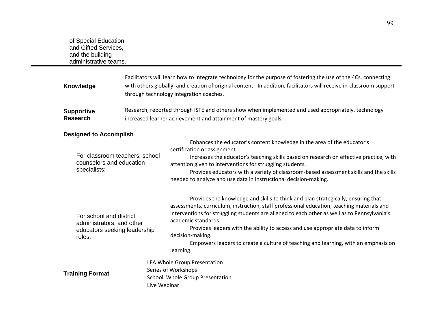|                        | <b>Knowledge</b>                                                                               | Facilitators will learn how to integrate technology for the purpose of fostering the use of the 4Cs, connecting<br>with others globally, and creation of original content. In addition, facilitators will receive in-classroom support<br>through technology integration coaches. |                                                                                                                                                                                                                                                                                                                                                                                                                                                                                                                |  |  |  |  |  |
|------------------------|------------------------------------------------------------------------------------------------|-----------------------------------------------------------------------------------------------------------------------------------------------------------------------------------------------------------------------------------------------------------------------------------|----------------------------------------------------------------------------------------------------------------------------------------------------------------------------------------------------------------------------------------------------------------------------------------------------------------------------------------------------------------------------------------------------------------------------------------------------------------------------------------------------------------|--|--|--|--|--|
|                        | <b>Supportive</b><br><b>Research</b>                                                           | Research, reported through ISTE and others show when implemented and used appropriately, technology<br>increased learner achievement and attainment of mastery goals.                                                                                                             |                                                                                                                                                                                                                                                                                                                                                                                                                                                                                                                |  |  |  |  |  |
|                        | <b>Designed to Accomplish</b>                                                                  |                                                                                                                                                                                                                                                                                   |                                                                                                                                                                                                                                                                                                                                                                                                                                                                                                                |  |  |  |  |  |
|                        | For classroom teachers, school<br>counselors and education<br>specialists:                     |                                                                                                                                                                                                                                                                                   | Enhances the educator's content knowledge in the area of the educator's<br>certification or assignment.<br>Increases the educator's teaching skills based on research on effective practice, with<br>attention given to interventions for struggling students.<br>Provides educators with a variety of classroom-based assessment skills and the skills<br>needed to analyze and use data in instructional decision-making.                                                                                    |  |  |  |  |  |
|                        | For school and district<br>administrators, and other<br>educators seeking leadership<br>roles: |                                                                                                                                                                                                                                                                                   | Provides the knowledge and skills to think and plan strategically, ensuring that<br>assessments, curriculum, instruction, staff professional education, teaching materials and<br>interventions for struggling students are aligned to each other as well as to Pennsylvania's<br>academic standards.<br>Provides leaders with the ability to access and use appropriate data to inform<br>decision-making.<br>Empowers leaders to create a culture of teaching and learning, with an emphasis on<br>learning. |  |  |  |  |  |
| <b>Training Format</b> |                                                                                                | Live Webinar                                                                                                                                                                                                                                                                      | LEA Whole Group Presentation<br>Series of Workshops<br>School Whole Group Presentation                                                                                                                                                                                                                                                                                                                                                                                                                         |  |  |  |  |  |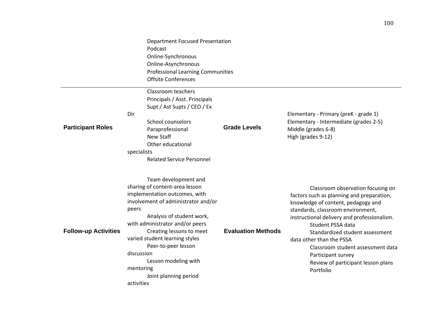|                             | <b>Department Focused Presentation</b><br>Podcast<br>Online-Synchronous<br>Online-Asynchronous<br><b>Professional Learning Communities</b><br><b>Offsite Conferences</b>                                                                                                                                                                                                               |                           |                                                                                                                                                                                                                                                                                                                                                                                                            |
|-----------------------------|----------------------------------------------------------------------------------------------------------------------------------------------------------------------------------------------------------------------------------------------------------------------------------------------------------------------------------------------------------------------------------------|---------------------------|------------------------------------------------------------------------------------------------------------------------------------------------------------------------------------------------------------------------------------------------------------------------------------------------------------------------------------------------------------------------------------------------------------|
| <b>Participant Roles</b>    | Classroom teachers<br>Principals / Asst. Principals<br>Supt / Ast Supts / CEO / Ex<br>Dir<br><b>School counselors</b><br>Paraprofessional<br>New Staff<br>Other educational<br>specialists<br><b>Related Service Personnel</b>                                                                                                                                                         | <b>Grade Levels</b>       | Elementary - Primary (preK - grade 1)<br>Elementary - Intermediate (grades 2-5)<br>Middle (grades 6-8)<br>High (grades 9-12)                                                                                                                                                                                                                                                                               |
| <b>Follow-up Activities</b> | Team development and<br>sharing of content-area lesson<br>implementation outcomes, with<br>involvement of administrator and/or<br>peers<br>Analysis of student work,<br>with administrator and/or peers<br>Creating lessons to meet<br>varied student learning styles<br>Peer-to-peer lesson<br>discussion<br>Lesson modeling with<br>mentoring<br>Joint planning period<br>activities | <b>Evaluation Methods</b> | Classroom observation focusing on<br>factors such as planning and preparation,<br>knowledge of content, pedagogy and<br>standards, classroom environment,<br>instructional delivery and professionalism.<br>Student PSSA data<br>Standardized student assessment<br>data other than the PSSA<br>Classroom student assessment data<br>Participant survey<br>Review of participant lesson plans<br>Portfolio |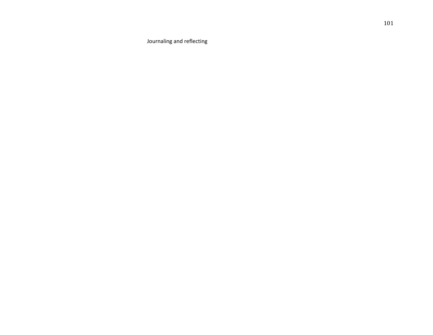• Journaling and reflecting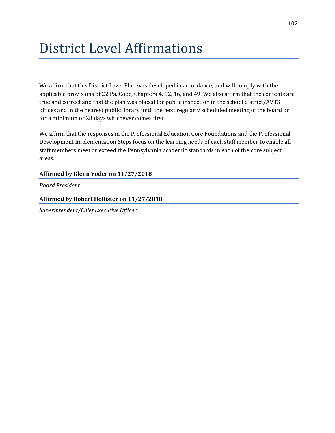# District Level Affirmations

We affirm that this District Level Plan was developed in accordance, and will comply with the applicable provisions of 22 Pa. Code, Chapters 4, 12, 16, and 49. We also affirm that the contents are true and correct and that the plan was placed for public inspection in the school district/AVTS offices and in the nearest public library until the next regularly scheduled meeting of the board or for a minimum or 28 days whichever comes first.

We affirm that the responses in the Professional Education Core Foundations and the Professional Development Implementation Steps focus on the learning needs of each staff member to enable all staff members meet or exceed the Pennsylvania academic standards in each of the core subject areas.

## **Affirmed by Glenn Yoder on 11/27/2018**

*Board President*

## **Affirmed by Robert Hollister on 11/27/2018**

*Superintendent/Chief Executive Officer*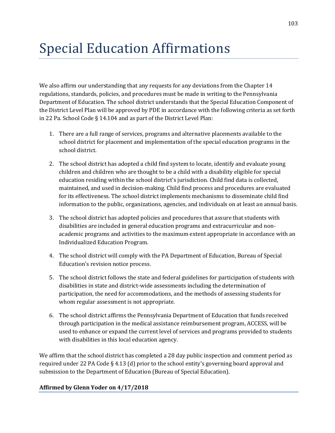# Special Education Affirmations

We also affirm our understanding that any requests for any deviations from the Chapter 14 regulations, standards, policies, and procedures must be made in writing to the Pennsylvania Department of Education. The school district understands that the Special Education Component of the District Level Plan will be approved by PDE in accordance with the following criteria as set forth in 22 Pa. School Code § 14.104 and as part of the District Level Plan:

- 1. There are a full range of services, programs and alternative placements available to the school district for placement and implementation of the special education programs in the school district.
- 2. The school district has adopted a child find system to locate, identify and evaluate young children and children who are thought to be a child with a disability eligible for special education residing within the school district's jurisdiction. Child find data is collected, maintained, and used in decision-making. Child find process and procedures are evaluated for its effectiveness. The school district implements mechanisms to disseminate child find information to the public, organizations, agencies, and individuals on at least an annual basis.
- 3. The school district has adopted policies and procedures that assure that students with disabilities are included in general education programs and extracurricular and nonacademic programs and activities to the maximum extent appropriate in accordance with an Individualized Education Program.
- 4. The school district will comply with the PA Department of Education, Bureau of Special Education's revision notice process.
- 5. The school district follows the state and federal guidelines for participation of students with disabilities in state and district-wide assessments including the determination of participation, the need for accommodations, and the methods of assessing students for whom regular assessment is not appropriate.
- 6. The school district affirms the Pennsylvania Department of Education that funds received through participation in the medical assistance reimbursement program, ACCESS, will be used to enhance or expand the current level of services and programs provided to students with disabilities in this local education agency.

We affirm that the school district has completed a 28 day public inspection and comment period as required under 22 PA Code § 4.13 (d) prior to the school entity's governing board approval and submission to the Department of Education (Bureau of Special Education).

## **Affirmed by Glenn Yoder on 4/17/2018**